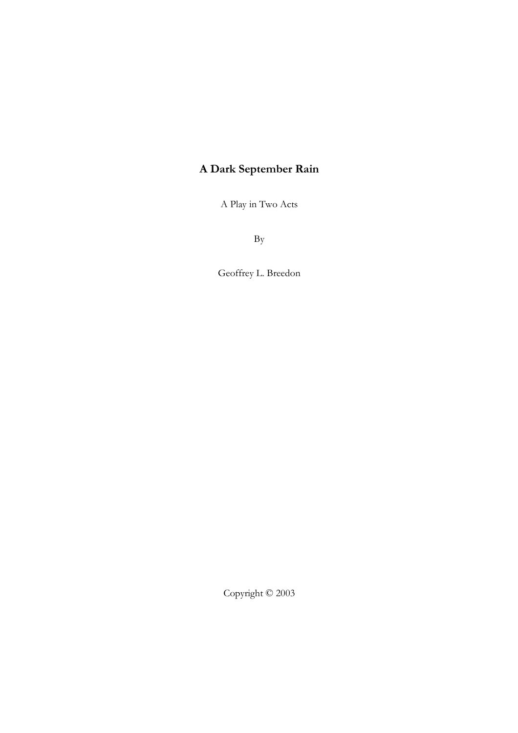# **A Dark September Rain**

A Play in Two Acts

By

Geoffrey L. Breedon

Copyright © 2003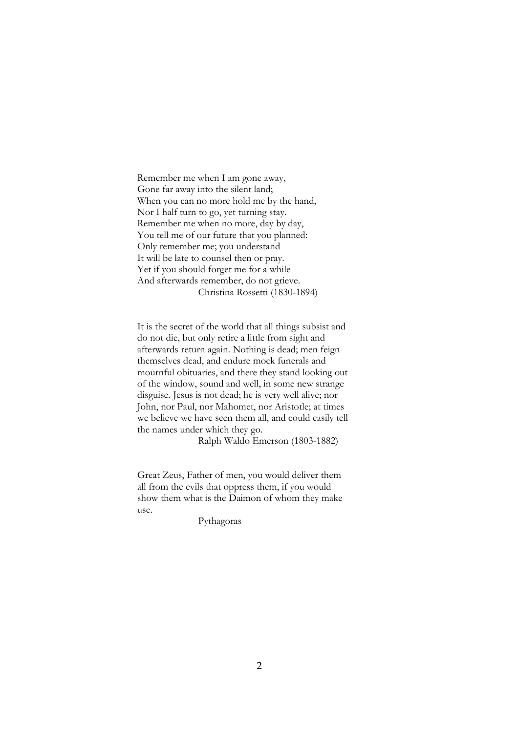Remember me when I am gone away, Gone far away into the silent land; When you can no more hold me by the hand, Nor I half turn to go, yet turning stay. Remember me when no more, day by day, You tell me of our future that you planned: Only remember me; you understand It will be late to counsel then or pray. Yet if you should forget me for a while And afterwards remember, do not grieve. Christina Rossetti (1830-1894)

It is the secret of the world that all things subsist and do not die, but only retire a little from sight and afterwards return again. Nothing is dead; men feign themselves dead, and endure mock funerals and mournful obituaries, and there they stand looking out of the window, sound and well, in some new strange disguise. Jesus is not dead; he is very well alive; nor John, nor Paul, nor Mahomet, nor Aristotle; at times we believe we have seen them all, and could easily tell the names under which they go.

Ralph Waldo Emerson (1803-1882)

Great Zeus, Father of men, you would deliver them all from the evils that oppress them, if you would show them what is the Daimon of whom they make use.

Pythagoras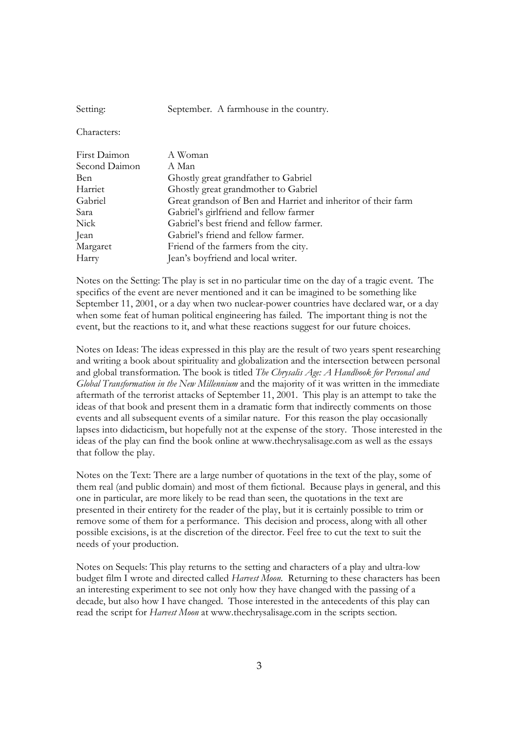Setting: September. A farmhouse in the country.

Characters:

| First Daimon  | A Woman                                                       |
|---------------|---------------------------------------------------------------|
| Second Daimon | A Man                                                         |
| Ben           | Ghostly great grandfather to Gabriel                          |
| Harriet       | Ghostly great grandmother to Gabriel                          |
| Gabriel       | Great grandson of Ben and Harriet and inheritor of their farm |
| Sara          | Gabriel's girlfriend and fellow farmer                        |
| Nick          | Gabriel's best friend and fellow farmer.                      |
| Jean          | Gabriel's friend and fellow farmer.                           |
| Margaret      | Friend of the farmers from the city.                          |
| Harry         | Jean's boyfriend and local writer.                            |

Notes on the Setting: The play is set in no particular time on the day of a tragic event. The specifics of the event are never mentioned and it can be imagined to be something like September 11, 2001, or a day when two nuclear-power countries have declared war, or a day when some feat of human political engineering has failed. The important thing is not the event, but the reactions to it, and what these reactions suggest for our future choices.

Notes on Ideas: The ideas expressed in this play are the result of two years spent researching and writing a book about spirituality and globalization and the intersection between personal and global transformation. The book is titled *The Chrysalis Age: A Handbook for Personal and Global Transformation in the New Millennium* and the majority of it was written in the immediate aftermath of the terrorist attacks of September 11, 2001. This play is an attempt to take the ideas of that book and present them in a dramatic form that indirectly comments on those events and all subsequent events of a similar nature. For this reason the play occasionally lapses into didacticism, but hopefully not at the expense of the story. Those interested in the ideas of the play can find the book online at www.thechrysalisage.com as well as the essays that follow the play.

Notes on the Text: There are a large number of quotations in the text of the play, some of them real (and public domain) and most of them fictional. Because plays in general, and this one in particular, are more likely to be read than seen, the quotations in the text are presented in their entirety for the reader of the play, but it is certainly possible to trim or remove some of them for a performance. This decision and process, along with all other possible excisions, is at the discretion of the director. Feel free to cut the text to suit the needs of your production.

Notes on Sequels: This play returns to the setting and characters of a play and ultra-low budget film I wrote and directed called *Harvest Moon*. Returning to these characters has been an interesting experiment to see not only how they have changed with the passing of a decade, but also how I have changed. Those interested in the antecedents of this play can read the script for *Harvest Moon* at www.thechrysalisage.com in the scripts section.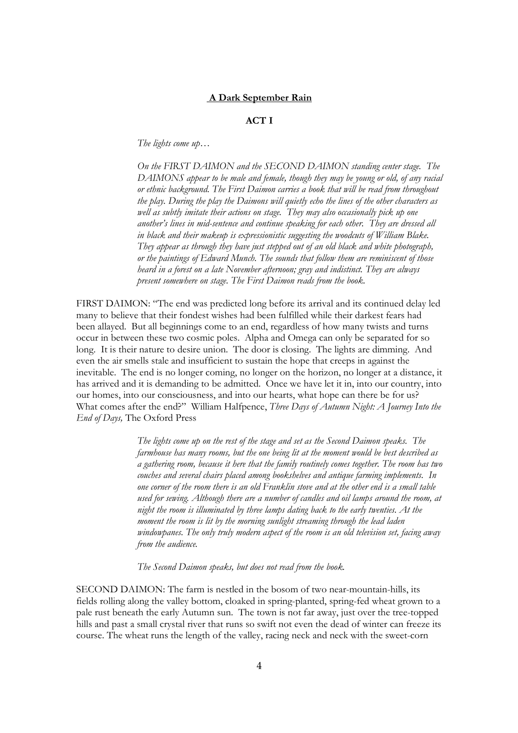## **A Dark September Rain**

# **ACT I**

*The lights come up…*

*On the FIRST DAIMON and the SECOND DAIMON standing center stage. The DAIMONS appear to be male and female, though they may be young or old, of any racial or ethnic background. The First Daimon carries a book that will be read from throughout the play. During the play the Daimons will quietly echo the lines of the other characters as well as subtly imitate their actions on stage. They may also occasionally pick up one another's lines in mid-sentence and continue speaking for each other. They are dressed all in black and their makeup is expressionistic suggesting the woodcuts of William Blake. They appear as through they have just stepped out of an old black and white photograph, or the paintings of Edward Munch. The sounds that follow them are reminiscent of those heard in a forest on a late November afternoon; gray and indistinct. They are always present somewhere on stage. The First Daimon reads from the book.* 

FIRST DAIMON: "The end was predicted long before its arrival and its continued delay led many to believe that their fondest wishes had been fulfilled while their darkest fears had been allayed. But all beginnings come to an end, regardless of how many twists and turns occur in between these two cosmic poles. Alpha and Omega can only be separated for so long. It is their nature to desire union. The door is closing. The lights are dimming. And even the air smells stale and insufficient to sustain the hope that creeps in against the inevitable. The end is no longer coming, no longer on the horizon, no longer at a distance, it has arrived and it is demanding to be admitted. Once we have let it in, into our country, into our homes, into our consciousness, and into our hearts, what hope can there be for us? What comes after the end?" William Halfpence, *Three Days of Autumn Night: A Journey Into the End of Days,* The Oxford Press

> *The lights come up on the rest of the stage and set as the Second Daimon speaks. The farmhouse has many rooms, but the one being lit at the moment would be best described as a gathering room, because it here that the family routinely comes together. The room has two couches and several chairs placed among bookshelves and antique farming implements. In one corner of the room there is an old Franklin stove and at the other end is a small table used for sewing. Although there are a number of candles and oil lamps around the room, at night the room is illuminated by three lamps dating back to the early twenties. At the moment the room is lit by the morning sunlight streaming through the lead laden windowpanes. The only truly modern aspect of the room is an old television set, facing away from the audience.*

*The Second Daimon speaks, but does not read from the book.* 

SECOND DAIMON: The farm is nestled in the bosom of two near-mountain-hills, its fields rolling along the valley bottom, cloaked in spring-planted, spring-fed wheat grown to a pale rust beneath the early Autumn sun. The town is not far away, just over the tree-topped hills and past a small crystal river that runs so swift not even the dead of winter can freeze its course. The wheat runs the length of the valley, racing neck and neck with the sweet-corn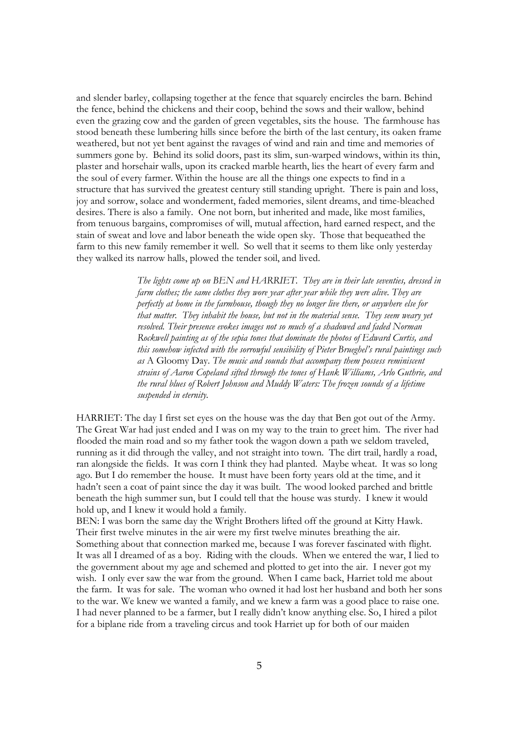and slender barley, collapsing together at the fence that squarely encircles the barn. Behind the fence, behind the chickens and their coop, behind the sows and their wallow, behind even the grazing cow and the garden of green vegetables, sits the house. The farmhouse has stood beneath these lumbering hills since before the birth of the last century, its oaken frame weathered, but not yet bent against the ravages of wind and rain and time and memories of summers gone by. Behind its solid doors, past its slim, sun-warped windows, within its thin, plaster and horsehair walls, upon its cracked marble hearth, lies the heart of every farm and the soul of every farmer. Within the house are all the things one expects to find in a structure that has survived the greatest century still standing upright. There is pain and loss, joy and sorrow, solace and wonderment, faded memories, silent dreams, and time-bleached desires. There is also a family. One not born, but inherited and made, like most families, from tenuous bargains, compromises of will, mutual affection, hard earned respect, and the stain of sweat and love and labor beneath the wide open sky. Those that bequeathed the farm to this new family remember it well. So well that it seems to them like only yesterday they walked its narrow halls, plowed the tender soil, and lived.

> *The lights come up on BEN and HARRIET. They are in their late seventies, dressed in farm clothes; the same clothes they wore year after year while they were alive. They are perfectly at home in the farmhouse, though they no longer live there, or anywhere else for that matter. They inhabit the house, but not in the material sense. They seem weary yet resolved. Their presence evokes images not so much of a shadowed and faded Norman Rockwell painting as of the sepia tones that dominate the photos of Edward Curtis, and this somehow infected with the sorrowful sensibility of Pieter Brueghel's rural paintings such as* A Gloomy Day. *The music and sounds that accompany them possess reminiscent strains of Aaron Copeland sifted through the tones of Hank Williams, Arlo Guthrie, and the rural blues of Robert Johnson and Muddy Waters: The frozen sounds of a lifetime suspended in eternity.*

HARRIET: The day I first set eyes on the house was the day that Ben got out of the Army. The Great War had just ended and I was on my way to the train to greet him. The river had flooded the main road and so my father took the wagon down a path we seldom traveled, running as it did through the valley, and not straight into town. The dirt trail, hardly a road, ran alongside the fields. It was corn I think they had planted. Maybe wheat. It was so long ago. But I do remember the house. It must have been forty years old at the time, and it hadn't seen a coat of paint since the day it was built. The wood looked parched and brittle beneath the high summer sun, but I could tell that the house was sturdy. I knew it would hold up, and I knew it would hold a family.

BEN: I was born the same day the Wright Brothers lifted off the ground at Kitty Hawk. Their first twelve minutes in the air were my first twelve minutes breathing the air. Something about that connection marked me, because I was forever fascinated with flight. It was all I dreamed of as a boy. Riding with the clouds. When we entered the war, I lied to the government about my age and schemed and plotted to get into the air. I never got my wish. I only ever saw the war from the ground. When I came back, Harriet told me about the farm. It was for sale. The woman who owned it had lost her husband and both her sons to the war. We knew we wanted a family, and we knew a farm was a good place to raise one. I had never planned to be a farmer, but I really didn't know anything else. So, I hired a pilot for a biplane ride from a traveling circus and took Harriet up for both of our maiden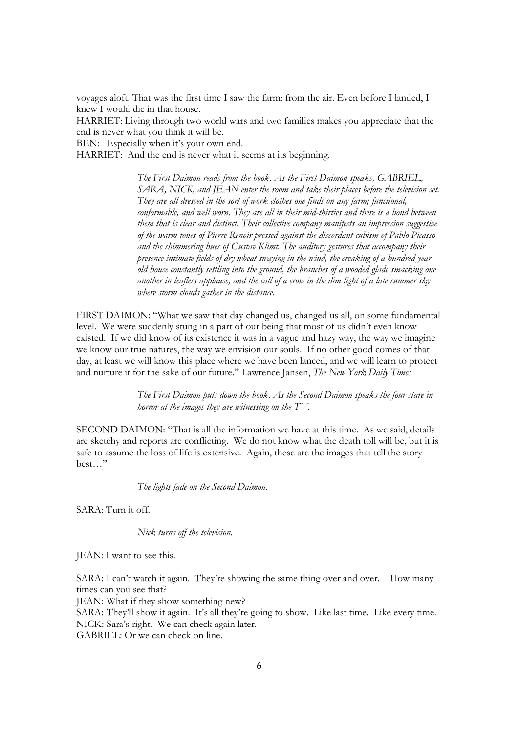voyages aloft. That was the first time I saw the farm: from the air. Even before I landed, I knew I would die in that house.

HARRIET: Living through two world wars and two families makes you appreciate that the end is never what you think it will be.

BEN: Especially when it's your own end.

HARRIET: And the end is never what it seems at its beginning.

*The First Daimon reads from the book. As the First Daimon speaks, GABRIEL, SARA, NICK, and JEAN enter the room and take their places before the television set. They are all dressed in the sort of work clothes one finds on any farm; functional, conformable, and well worn. They are all in their mid-thirties and there is a bond between them that is clear and distinct. Their collective company manifests an impression suggestive of the warm tones of Pierre Renoir pressed against the discordant cubism of Pablo Picasso and the shimmering hues of Gustav Klimt. The auditory gestures that accompany their presence intimate fields of dry wheat swaying in the wind, the creaking of a hundred year old house constantly settling into the ground, the branches of a wooded glade smacking one another in leafless applause, and the call of a crow in the dim light of a late summer sky where storm clouds gather in the distance.* 

FIRST DAIMON: "What we saw that day changed us, changed us all, on some fundamental level. We were suddenly stung in a part of our being that most of us didn't even know existed. If we did know of its existence it was in a vague and hazy way, the way we imagine we know our true natures, the way we envision our souls. If no other good comes of that day, at least we will know this place where we have been lanced, and we will learn to protect and nurture it for the sake of our future." Lawrence Jansen, *The New York Daily Times* 

> *The First Daimon puts down the book. As the Second Daimon speaks the four stare in horror at the images they are witnessing on the TV.*

SECOND DAIMON: "That is all the information we have at this time. As we said, details are sketchy and reports are conflicting. We do not know what the death toll will be, but it is safe to assume the loss of life is extensive. Again, these are the images that tell the story best…"

*The lights fade on the Second Daimon.* 

SARA: Turn it off.

*Nick turns off the television.*

JEAN: I want to see this.

SARA: I can't watch it again. They're showing the same thing over and over. How many times can you see that?

JEAN: What if they show something new?

SARA: They'll show it again. It's all they're going to show. Like last time. Like every time. NICK: Sara's right. We can check again later. GABRIEL: Or we can check on line.

6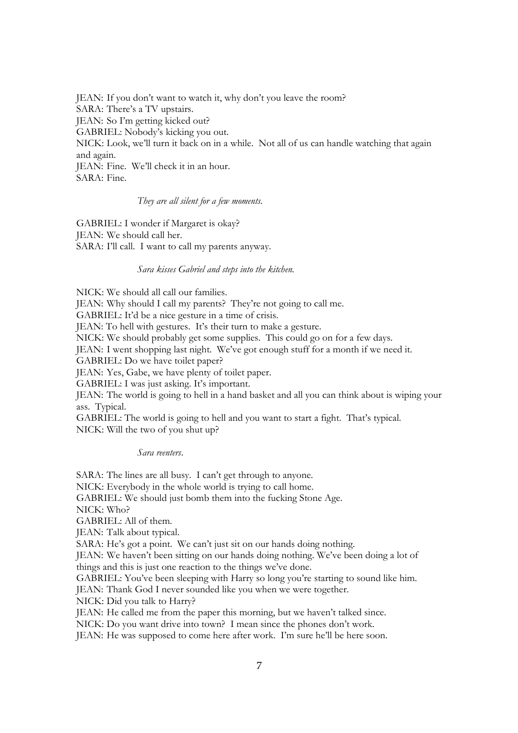JEAN: If you don't want to watch it, why don't you leave the room? SARA: There's a TV upstairs. JEAN: So I'm getting kicked out? GABRIEL: Nobody's kicking you out. NICK: Look, we'll turn it back on in a while. Not all of us can handle watching that again and again. JEAN: Fine. We'll check it in an hour. SARA: Fine.

## *They are all silent for a few moments.*

GABRIEL: I wonder if Margaret is okay? JEAN: We should call her. SARA: I'll call. I want to call my parents anyway.

#### *Sara kisses Gabriel and steps into the kitchen.*

NICK: We should all call our families.

JEAN: Why should I call my parents? They're not going to call me.

GABRIEL: It'd be a nice gesture in a time of crisis.

JEAN: To hell with gestures. It's their turn to make a gesture.

NICK: We should probably get some supplies. This could go on for a few days.

JEAN: I went shopping last night. We've got enough stuff for a month if we need it.

GABRIEL: Do we have toilet paper?

JEAN: Yes, Gabe, we have plenty of toilet paper.

GABRIEL: I was just asking. It's important.

JEAN: The world is going to hell in a hand basket and all you can think about is wiping your ass. Typical.

GABRIEL: The world is going to hell and you want to start a fight. That's typical. NICK: Will the two of you shut up?

*Sara reenters*.

SARA: The lines are all busy. I can't get through to anyone. NICK: Everybody in the whole world is trying to call home. GABRIEL: We should just bomb them into the fucking Stone Age. NICK: Who? GABRIEL: All of them. JEAN: Talk about typical. SARA: He's got a point. We can't just sit on our hands doing nothing. JEAN: We haven't been sitting on our hands doing nothing. We've been doing a lot of things and this is just one reaction to the things we've done. GABRIEL: You've been sleeping with Harry so long you're starting to sound like him. JEAN: Thank God I never sounded like you when we were together. NICK: Did you talk to Harry? JEAN: He called me from the paper this morning, but we haven't talked since. NICK: Do you want drive into town? I mean since the phones don't work. JEAN: He was supposed to come here after work. I'm sure he'll be here soon.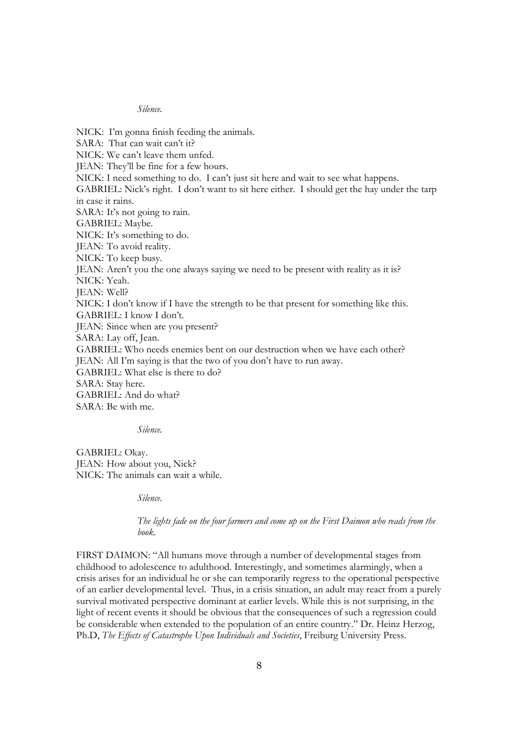# *Silence.*

NICK: I'm gonna finish feeding the animals. SARA: That can wait can't it? NICK: We can't leave them unfed. JEAN: They'll be fine for a few hours. NICK: I need something to do. I can't just sit here and wait to see what happens. GABRIEL: Nick's right. I don't want to sit here either. I should get the hay under the tarp in case it rains. SARA: It's not going to rain. GABRIEL: Maybe. NICK: It's something to do. JEAN: To avoid reality. NICK: To keep busy. JEAN: Aren't you the one always saying we need to be present with reality as it is? NICK: Yeah. JEAN: Well? NICK: I don't know if I have the strength to be that present for something like this. GABRIEL: I know I don't. JEAN: Since when are you present? SARA: Lay off, Jean. GABRIEL: Who needs enemies bent on our destruction when we have each other? JEAN: All I'm saying is that the two of you don't have to run away. GABRIEL: What else is there to do? SARA: Stay here. GABRIEL: And do what? SARA: Be with me.

*Silence.* 

GABRIEL: Okay. JEAN: How about you, Nick? NICK: The animals can wait a while.

*Silence*.

*The lights fade on the four farmers and come up on the First Daimon who reads from the book.* 

FIRST DAIMON: "All humans move through a number of developmental stages from childhood to adolescence to adulthood. Interestingly, and sometimes alarmingly, when a crisis arises for an individual he or she can temporarily regress to the operational perspective of an earlier developmental level. Thus, in a crisis situation, an adult may react from a purely survival motivated perspective dominant at earlier levels. While this is not surprising, in the light of recent events it should be obvious that the consequences of such a regression could be considerable when extended to the population of an entire country." Dr. Heinz Herzog, Ph.D, *The Effects of Catastrophe Upon Individuals and Societies*, Freiburg University Press.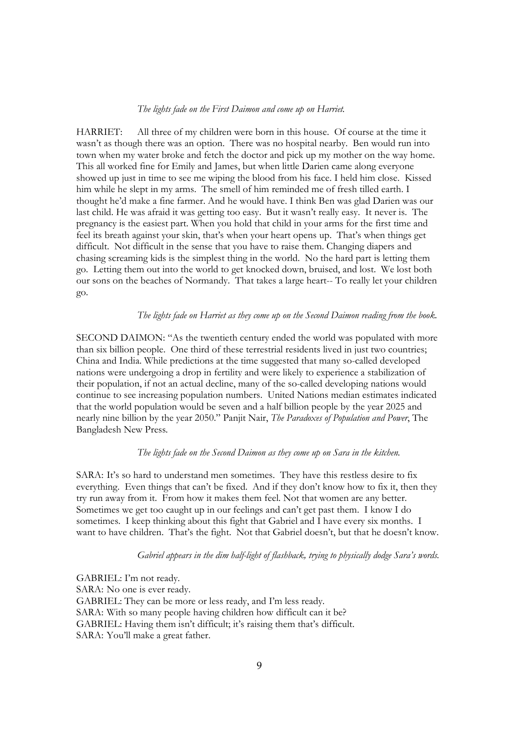## *The lights fade on the First Daimon and come up on Harriet.*

HARRIET: All three of my children were born in this house. Of course at the time it wasn't as though there was an option. There was no hospital nearby. Ben would run into town when my water broke and fetch the doctor and pick up my mother on the way home. This all worked fine for Emily and James, but when little Darien came along everyone showed up just in time to see me wiping the blood from his face. I held him close. Kissed him while he slept in my arms. The smell of him reminded me of fresh tilled earth. I thought he'd make a fine farmer. And he would have. I think Ben was glad Darien was our last child. He was afraid it was getting too easy. But it wasn't really easy. It never is. The pregnancy is the easiest part. When you hold that child in your arms for the first time and feel its breath against your skin, that's when your heart opens up. That's when things get difficult. Not difficult in the sense that you have to raise them. Changing diapers and chasing screaming kids is the simplest thing in the world. No the hard part is letting them go. Letting them out into the world to get knocked down, bruised, and lost. We lost both our sons on the beaches of Normandy. That takes a large heart-- To really let your children go.

## *The lights fade on Harriet as they come up on the Second Daimon reading from the book.*

SECOND DAIMON: "As the twentieth century ended the world was populated with more than six billion people. One third of these terrestrial residents lived in just two countries; China and India. While predictions at the time suggested that many so-called developed nations were undergoing a drop in fertility and were likely to experience a stabilization of their population, if not an actual decline, many of the so-called developing nations would continue to see increasing population numbers. United Nations median estimates indicated that the world population would be seven and a half billion people by the year 2025 and nearly nine billion by the year 2050." Panjit Nair, *The Paradoxes of Population and Power*, The Bangladesh New Press*.* 

# *The lights fade on the Second Daimon as they come up on Sara in the kitchen.*

SARA: It's so hard to understand men sometimes. They have this restless desire to fix everything. Even things that can't be fixed. And if they don't know how to fix it, then they try run away from it. From how it makes them feel. Not that women are any better. Sometimes we get too caught up in our feelings and can't get past them. I know I do sometimes. I keep thinking about this fight that Gabriel and I have every six months. I want to have children. That's the fight. Not that Gabriel doesn't, but that he doesn't know.

## *Gabriel appears in the dim half-light of flashback, trying to physically dodge Sara's words.*

GABRIEL: I'm not ready. SARA: No one is ever ready. GABRIEL: They can be more or less ready, and I'm less ready. SARA: With so many people having children how difficult can it be? GABRIEL: Having them isn't difficult; it's raising them that's difficult. SARA: You'll make a great father.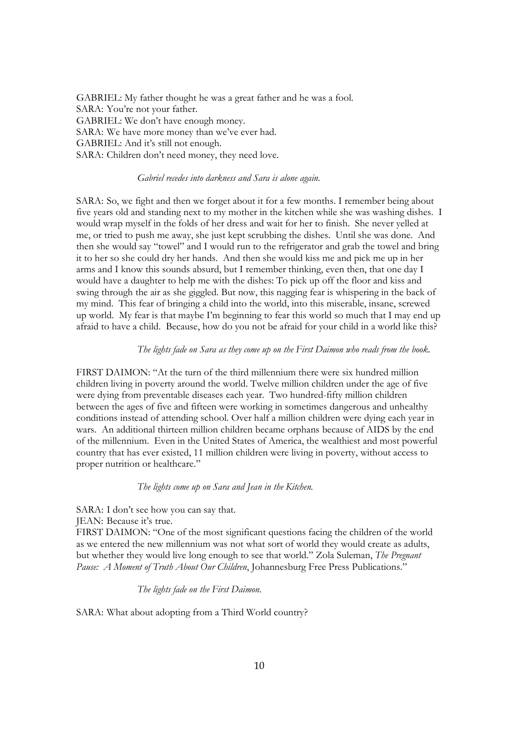GABRIEL: My father thought he was a great father and he was a fool. SARA: You're not your father. GABRIEL: We don't have enough money. SARA: We have more money than we've ever had. GABRIEL: And it's still not enough. SARA: Children don't need money, they need love.

## *Gabriel recedes into darkness and Sara is alone again.*

SARA: So, we fight and then we forget about it for a few months. I remember being about five years old and standing next to my mother in the kitchen while she was washing dishes. I would wrap myself in the folds of her dress and wait for her to finish. She never yelled at me, or tried to push me away, she just kept scrubbing the dishes. Until she was done. And then she would say "towel" and I would run to the refrigerator and grab the towel and bring it to her so she could dry her hands. And then she would kiss me and pick me up in her arms and I know this sounds absurd, but I remember thinking, even then, that one day I would have a daughter to help me with the dishes: To pick up off the floor and kiss and swing through the air as she giggled. But now, this nagging fear is whispering in the back of my mind. This fear of bringing a child into the world, into this miserable, insane, screwed up world. My fear is that maybe I'm beginning to fear this world so much that I may end up afraid to have a child. Because, how do you not be afraid for your child in a world like this?

#### *The lights fade on Sara as they come up on the First Daimon who reads from the book.*

FIRST DAIMON: "At the turn of the third millennium there were six hundred million children living in poverty around the world. Twelve million children under the age of five were dying from preventable diseases each year. Two hundred-fifty million children between the ages of five and fifteen were working in sometimes dangerous and unhealthy conditions instead of attending school. Over half a million children were dying each year in wars. An additional thirteen million children became orphans because of AIDS by the end of the millennium. Even in the United States of America, the wealthiest and most powerful country that has ever existed, 11 million children were living in poverty, without access to proper nutrition or healthcare."

#### *The lights come up on Sara and Jean in the Kitchen.*

SARA: I don't see how you can say that. JEAN: Because it's true. FIRST DAIMON: "One of the most significant questions facing the children of the world as we entered the new millennium was not what sort of world they would create as adults, but whether they would live long enough to see that world." Zola Suleman, *The Pregnant Pause: A Moment of Truth About Our Children*, Johannesburg Free Press Publications."

*The lights fade on the First Daimon.* 

SARA: What about adopting from a Third World country?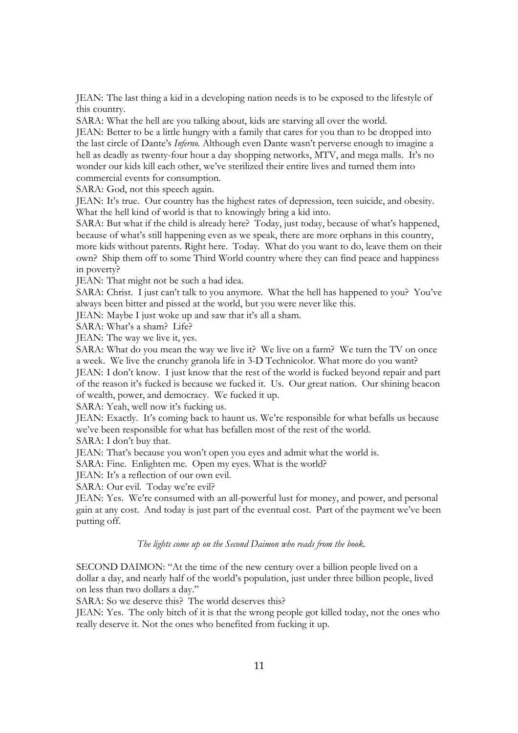JEAN: The last thing a kid in a developing nation needs is to be exposed to the lifestyle of this country.

SARA: What the hell are you talking about, kids are starving all over the world.

JEAN: Better to be a little hungry with a family that cares for you than to be dropped into the last circle of Dante's *Inferno.* Although even Dante wasn't perverse enough to imagine a hell as deadly as twenty-four hour a day shopping networks, MTV, and mega malls. It's no wonder our kids kill each other, we've sterilized their entire lives and turned them into commercial events for consumption.

SARA: God, not this speech again.

JEAN: It's true. Our country has the highest rates of depression, teen suicide, and obesity. What the hell kind of world is that to knowingly bring a kid into.

SARA: But what if the child is already here? Today, just today, because of what's happened, because of what's still happening even as we speak, there are more orphans in this country, more kids without parents. Right here. Today. What do you want to do, leave them on their own? Ship them off to some Third World country where they can find peace and happiness in poverty?

JEAN: That might not be such a bad idea.

SARA: Christ. I just can't talk to you anymore. What the hell has happened to you? You've always been bitter and pissed at the world, but you were never like this.

JEAN: Maybe I just woke up and saw that it's all a sham.

SARA: What's a sham? Life?

JEAN: The way we live it, yes.

SARA: What do you mean the way we live it? We live on a farm? We turn the TV on once a week. We live the crunchy granola life in 3-D Technicolor. What more do you want?

JEAN: I don't know. I just know that the rest of the world is fucked beyond repair and part of the reason it's fucked is because we fucked it. Us. Our great nation. Our shining beacon of wealth, power, and democracy. We fucked it up.

SARA: Yeah, well now it's fucking us.

JEAN: Exactly. It's coming back to haunt us. We're responsible for what befalls us because we've been responsible for what has befallen most of the rest of the world.

SARA: I don't buy that.

JEAN: That's because you won't open you eyes and admit what the world is.

SARA: Fine. Enlighten me. Open my eyes. What is the world?

JEAN: It's a reflection of our own evil.

SARA: Our evil. Today we're evil?

JEAN: Yes. We're consumed with an all-powerful lust for money, and power, and personal gain at any cost. And today is just part of the eventual cost. Part of the payment we've been putting off.

## *The lights come up on the Second Daimon who reads from the book.*

SECOND DAIMON: "At the time of the new century over a billion people lived on a dollar a day, and nearly half of the world's population, just under three billion people, lived on less than two dollars a day."

SARA: So we deserve this? The world deserves this?

JEAN: Yes. The only bitch of it is that the wrong people got killed today, not the ones who really deserve it. Not the ones who benefited from fucking it up.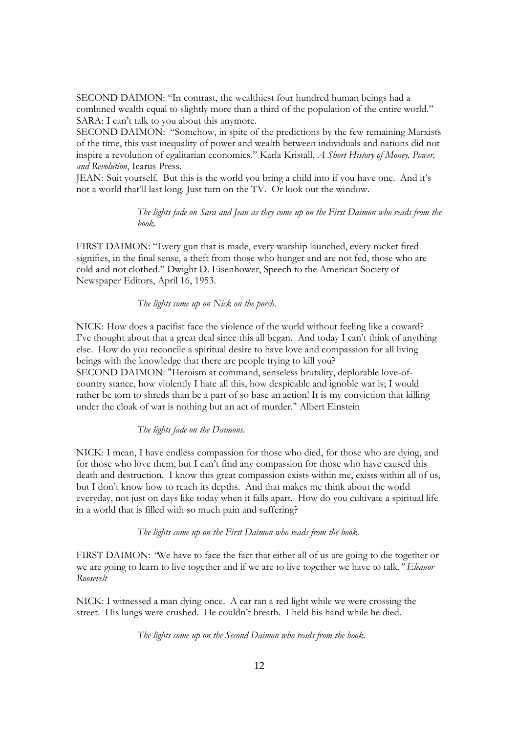SECOND DAIMON: "In contrast, the wealthiest four hundred human beings had a combined wealth equal to slightly more than a third of the population of the entire world." SARA: I can't talk to you about this anymore.

SECOND DAIMON: "Somehow, in spite of the predictions by the few remaining Marxists of the time, this vast inequality of power and wealth between individuals and nations did not inspire a revolution of egalitarian economics." Karla Kristall, *A Short History of Money, Power, and Revolution*, Icarus Press.

JEAN: Suit yourself. But this is the world you bring a child into if you have one. And it's not a world that'll last long. Just turn on the TV. Or look out the window.

> *The lights fade on Sara and Jean as they come up on the First Daimon who reads from the book.*

FIRST DAIMON: "Every gun that is made, every warship launched, every rocket fired signifies, in the final sense, a theft from those who hunger and are not fed, those who are cold and not clothed." Dwight D. Eisenhower, Speech to the American Society of Newspaper Editors, April 16, 1953.

 *The lights come up on Nick on the porch.* 

NICK: How does a pacifist face the violence of the world without feeling like a coward? I've thought about that a great deal since this all began. And today I can't think of anything else. How do you reconcile a spiritual desire to have love and compassion for all living beings with the knowledge that there are people trying to kill you? SECOND DAIMON: "Heroism at command, senseless brutality, deplorable love-ofcountry stance, how violently I hate all this, how despicable and ignoble war is; I would rather be torn to shreds than be a part of so base an action! It is my conviction that killing under the cloak of war is nothing but an act of murder." Albert Einstein

*The lights fade on the Daimons.*

NICK: I mean, I have endless compassion for those who died, for those who are dying, and for those who love them, but I can't find any compassion for those who have caused this death and destruction. I know this great compassion exists within me, exists within all of us, but I don't know how to reach its depths. And that makes me think about the world everyday, not just on days like today when it falls apart. How do you cultivate a spiritual life in a world that is filled with so much pain and suffering?

*The lights come up on the First Daimon who reads from the book.* 

FIRST DAIMON: *"*We have to face the fact that either all of us are going to die together or we are going to learn to live together and if we are to live together we have to talk.*" Eleanor Roosevelt* 

NICK: I witnessed a man dying once. A car ran a red light while we were crossing the street. His lungs were crushed. He couldn't breath. I held his hand while he died.

*The lights come up on the Second Daimon who reads from the book.*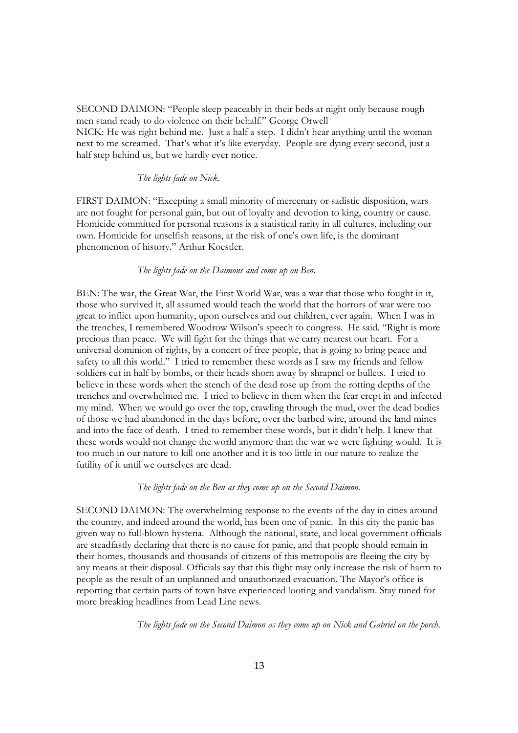SECOND DAIMON: "People sleep peaceably in their beds at night only because rough men stand ready to do violence on their behalf." George Orwell NICK: He was right behind me. Just a half a step. I didn't hear anything until the woman next to me screamed. That's what it's like everyday. People are dying every second, just a half step behind us, but we hardly ever notice.

#### *The lights fade on Nick.*

FIRST DAIMON: "Excepting a small minority of mercenary or sadistic disposition, wars are not fought for personal gain, but out of loyalty and devotion to king, country or cause. Homicide committed for personal reasons is a statistical rarity in all cultures, including our own. Homicide for unselfish reasons, at the risk of one's own life, is the dominant phenomenon of history." Arthur Koestler.

#### *The lights fade on the Daimons and come up on Ben.*

BEN: The war, the Great War, the First World War, was a war that those who fought in it, those who survived it, all assumed would teach the world that the horrors of war were too great to inflict upon humanity, upon ourselves and our children, ever again. When I was in the trenches, I remembered Woodrow Wilson's speech to congress. He said. "Right is more precious than peace. We will fight for the things that we carry nearest our heart. For a universal dominion of rights, by a concert of free people, that is going to bring peace and safety to all this world." I tried to remember these words as I saw my friends and fellow soldiers cut in half by bombs, or their heads shorn away by shrapnel or bullets. I tried to believe in these words when the stench of the dead rose up from the rotting depths of the trenches and overwhelmed me. I tried to believe in them when the fear crept in and infected my mind. When we would go over the top, crawling through the mud, over the dead bodies of those we had abandoned in the days before, over the barbed wire, around the land mines and into the face of death. I tried to remember these words, but it didn't help. I knew that these words would not change the world anymore than the war we were fighting would. It is too much in our nature to kill one another and it is too little in our nature to realize the futility of it until we ourselves are dead.

#### *The lights fade on the Ben as they come up on the Second Daimon.*

SECOND DAIMON: The overwhelming response to the events of the day in cities around the country, and indeed around the world, has been one of panic. In this city the panic has given way to full-blown hysteria. Although the national, state, and local government officials are steadfastly declaring that there is no cause for panic, and that people should remain in their homes, thousands and thousands of citizens of this metropolis are fleeing the city by any means at their disposal. Officials say that this flight may only increase the risk of harm to people as the result of an unplanned and unauthorized evacuation. The Mayor's office is reporting that certain parts of town have experienced looting and vandalism. Stay tuned for more breaking headlines from Lead Line news.

*The lights fade on the Second Daimon as they come up on Nick and Gabriel on the porch.*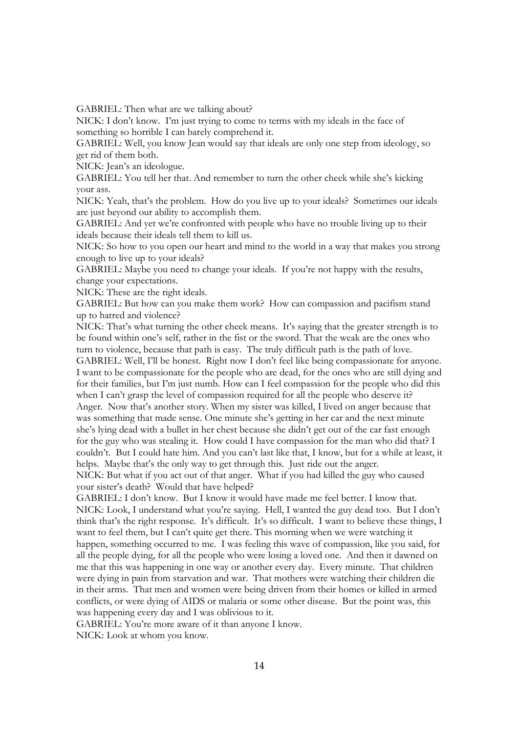GABRIEL: Then what are we talking about?

NICK: I don't know. I'm just trying to come to terms with my ideals in the face of something so horrible I can barely comprehend it.

GABRIEL: Well, you know Jean would say that ideals are only one step from ideology, so get rid of them both.

NICK: Jean's an ideologue.

GABRIEL: You tell her that. And remember to turn the other cheek while she's kicking your ass.

NICK: Yeah, that's the problem. How do you live up to your ideals? Sometimes our ideals are just beyond our ability to accomplish them.

GABRIEL: And yet we're confronted with people who have no trouble living up to their ideals because their ideals tell them to kill us.

NICK: So how to you open our heart and mind to the world in a way that makes you strong enough to live up to your ideals?

GABRIEL: Maybe you need to change your ideals. If you're not happy with the results, change your expectations.

NICK: These are the right ideals.

GABRIEL: But how can you make them work? How can compassion and pacifism stand up to hatred and violence?

NICK: That's what turning the other cheek means. It's saying that the greater strength is to be found within one's self, rather in the fist or the sword. That the weak are the ones who turn to violence, because that path is easy. The truly difficult path is the path of love. GABRIEL: Well, I'll be honest. Right now I don't feel like being compassionate for anyone. I want to be compassionate for the people who are dead, for the ones who are still dying and for their families, but I'm just numb. How can I feel compassion for the people who did this when I can't grasp the level of compassion required for all the people who deserve it? Anger. Now that's another story. When my sister was killed, I lived on anger because that was something that made sense. One minute she's getting in her car and the next minute she's lying dead with a bullet in her chest because she didn't get out of the car fast enough for the guy who was stealing it. How could I have compassion for the man who did that? I couldn't. But I could hate him. And you can't last like that, I know, but for a while at least, it helps. Maybe that's the only way to get through this. Just ride out the anger.

NICK: But what if you act out of that anger. What if you had killed the guy who caused your sister's death? Would that have helped?

GABRIEL: I don't know. But I know it would have made me feel better. I know that. NICK: Look, I understand what you're saying. Hell, I wanted the guy dead too. But I don't think that's the right response. It's difficult. It's so difficult. I want to believe these things, I want to feel them, but I can't quite get there. This morning when we were watching it happen, something occurred to me. I was feeling this wave of compassion, like you said, for all the people dying, for all the people who were losing a loved one. And then it dawned on me that this was happening in one way or another every day. Every minute. That children were dying in pain from starvation and war. That mothers were watching their children die in their arms. That men and women were being driven from their homes or killed in armed conflicts, or were dying of AIDS or malaria or some other disease. But the point was, this was happening every day and I was oblivious to it.

GABRIEL: You're more aware of it than anyone I know.

NICK: Look at whom you know.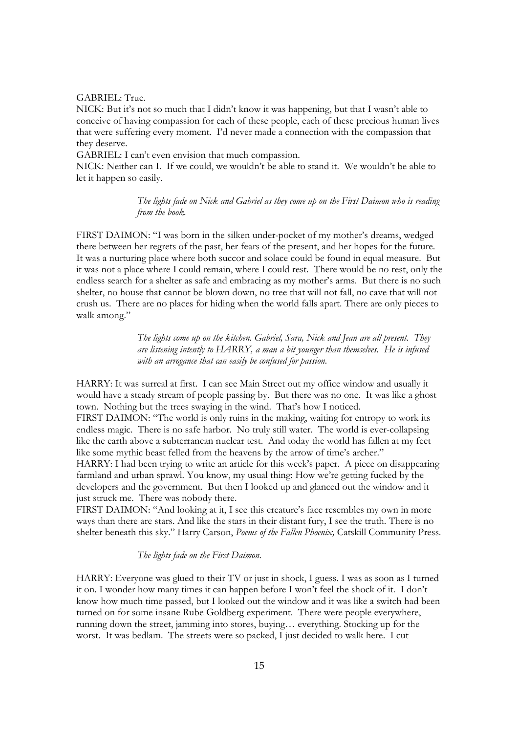GABRIEL: True.

NICK: But it's not so much that I didn't know it was happening, but that I wasn't able to conceive of having compassion for each of these people, each of these precious human lives that were suffering every moment. I'd never made a connection with the compassion that they deserve.

GABRIEL: I can't even envision that much compassion.

NICK: Neither can I. If we could, we wouldn't be able to stand it. We wouldn't be able to let it happen so easily.

> *The lights fade on Nick and Gabriel as they come up on the First Daimon who is reading from the book.*

FIRST DAIMON: "I was born in the silken under-pocket of my mother's dreams, wedged there between her regrets of the past, her fears of the present, and her hopes for the future. It was a nurturing place where both succor and solace could be found in equal measure. But it was not a place where I could remain, where I could rest. There would be no rest, only the endless search for a shelter as safe and embracing as my mother's arms. But there is no such shelter, no house that cannot be blown down, no tree that will not fall, no cave that will not crush us. There are no places for hiding when the world falls apart. There are only pieces to walk among."

> *The lights come up on the kitchen. Gabriel, Sara, Nick and Jean are all present. They are listening intently to HARRY, a man a bit younger than themselves. He is infused with an arrogance that can easily be confused for passion.*

HARRY: It was surreal at first. I can see Main Street out my office window and usually it would have a steady stream of people passing by. But there was no one. It was like a ghost town. Nothing but the trees swaying in the wind. That's how I noticed.

FIRST DAIMON: "The world is only ruins in the making, waiting for entropy to work its endless magic. There is no safe harbor. No truly still water. The world is ever-collapsing like the earth above a subterranean nuclear test. And today the world has fallen at my feet like some mythic beast felled from the heavens by the arrow of time's archer."

HARRY: I had been trying to write an article for this week's paper. A piece on disappearing farmland and urban sprawl. You know, my usual thing: How we're getting fucked by the developers and the government. But then I looked up and glanced out the window and it just struck me. There was nobody there.

FIRST DAIMON: "And looking at it, I see this creature's face resembles my own in more ways than there are stars. And like the stars in their distant fury, I see the truth. There is no shelter beneath this sky." Harry Carson, *Poems of the Fallen Phoenix,* Catskill Community Press*.*

## *The lights fade on the First Daimon.*

HARRY: Everyone was glued to their TV or just in shock, I guess. I was as soon as I turned it on. I wonder how many times it can happen before I won't feel the shock of it. I don't know how much time passed, but I looked out the window and it was like a switch had been turned on for some insane Rube Goldberg experiment. There were people everywhere, running down the street, jamming into stores, buying… everything. Stocking up for the worst. It was bedlam. The streets were so packed, I just decided to walk here. I cut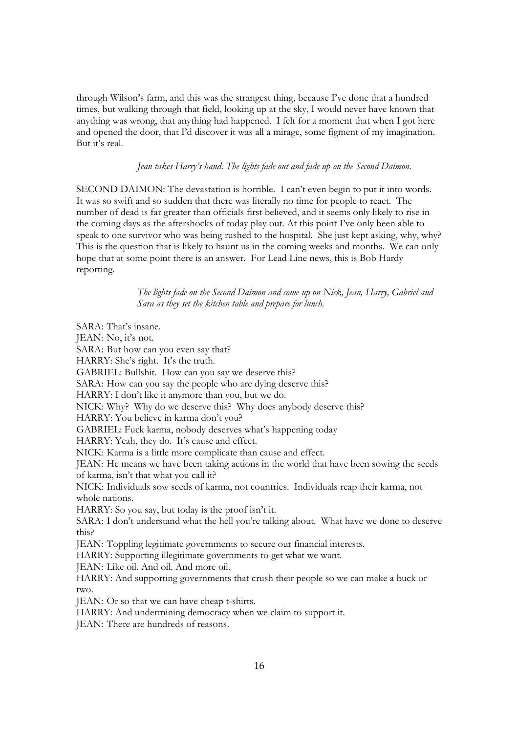through Wilson's farm, and this was the strangest thing, because I've done that a hundred times, but walking through that field, looking up at the sky, I would never have known that anything was wrong, that anything had happened. I felt for a moment that when I got here and opened the door, that I'd discover it was all a mirage, some figment of my imagination. But it's real.

*Jean takes Harry's hand*. *The lights fade out and fade up on the Second Daimon.*

SECOND DAIMON: The devastation is horrible. I can't even begin to put it into words. It was so swift and so sudden that there was literally no time for people to react. The number of dead is far greater than officials first believed, and it seems only likely to rise in the coming days as the aftershocks of today play out. At this point I've only been able to speak to one survivor who was being rushed to the hospital. She just kept asking, why, why? This is the question that is likely to haunt us in the coming weeks and months. We can only hope that at some point there is an answer. For Lead Line news, this is Bob Hardy reporting.

> *The lights fade on the Second Daimon and come up on Nick, Jean, Harry, Gabriel and Sara as they set the kitchen table and prepare for lunch.*

SARA: That's insane. JEAN: No, it's not. SARA: But how can you even say that? HARRY: She's right. It's the truth. GABRIEL: Bullshit. How can you say we deserve this? SARA: How can you say the people who are dying deserve this? HARRY: I don't like it anymore than you, but we do. NICK: Why? Why do we deserve this? Why does anybody deserve this? HARRY: You believe in karma don't you? GABRIEL: Fuck karma, nobody deserves what's happening today HARRY: Yeah, they do. It's cause and effect. NICK: Karma is a little more complicate than cause and effect. JEAN: He means we have been taking actions in the world that have been sowing the seeds of karma, isn't that what you call it? NICK: Individuals sow seeds of karma, not countries. Individuals reap their karma, not whole nations. HARRY: So you say, but today is the proof isn't it. SARA: I don't understand what the hell you're talking about. What have we done to deserve this? JEAN: Toppling legitimate governments to secure our financial interests. HARRY: Supporting illegitimate governments to get what we want. JEAN: Like oil. And oil. And more oil. HARRY: And supporting governments that crush their people so we can make a buck or two. JEAN: Or so that we can have cheap t-shirts. HARRY: And undermining democracy when we claim to support it. JEAN: There are hundreds of reasons.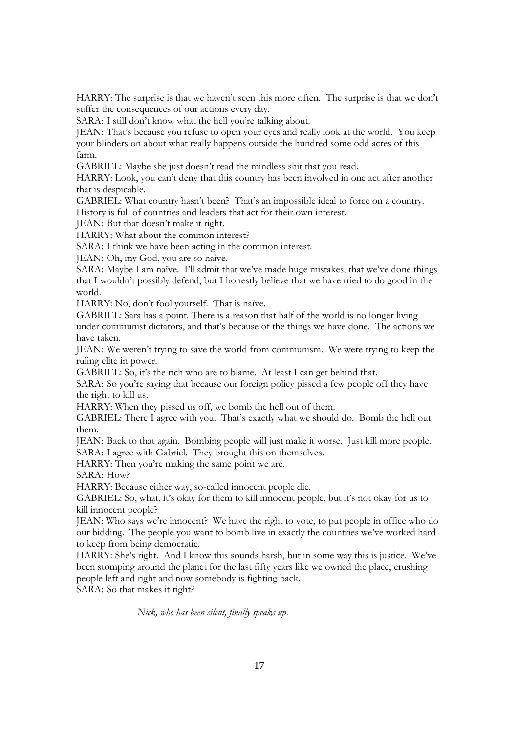HARRY: The surprise is that we haven't seen this more often. The surprise is that we don't suffer the consequences of our actions every day.

SARA: I still don't know what the hell you're talking about.

JEAN: That's because you refuse to open your eyes and really look at the world. You keep your blinders on about what really happens outside the hundred some odd acres of this farm.

GABRIEL: Maybe she just doesn't read the mindless shit that you read.

HARRY: Look, you can't deny that this country has been involved in one act after another that is despicable.

GABRIEL: What country hasn't been? That's an impossible ideal to force on a country.

History is full of countries and leaders that act for their own interest.

JEAN: But that doesn't make it right.

HARRY: What about the common interest?

SARA: I think we have been acting in the common interest.

JEAN: Oh, my God, you are so naive.

SARA: Maybe I am naïve. I'll admit that we've made huge mistakes, that we've done things that I wouldn't possibly defend, but I honestly believe that we have tried to do good in the world.

HARRY: No, don't fool yourself. That is naïve.

GABRIEL: Sara has a point. There is a reason that half of the world is no longer living under communist dictators, and that's because of the things we have done. The actions we have taken.

JEAN: We weren't trying to save the world from communism. We were trying to keep the ruling elite in power.

GABRIEL: So, it's the rich who are to blame. At least I can get behind that.

SARA: So you're saying that because our foreign policy pissed a few people off they have the right to kill us.

HARRY: When they pissed us off, we bomb the hell out of them.

GABRIEL: There I agree with you. That's exactly what we should do. Bomb the hell out them.

JEAN: Back to that again. Bombing people will just make it worse. Just kill more people. SARA: I agree with Gabriel. They brought this on themselves.

HARRY: Then you're making the same point we are.

SARA: How?

HARRY: Because either way, so-called innocent people die.

GABRIEL: So, what, it's okay for them to kill innocent people, but it's not okay for us to kill innocent people?

JEAN: Who says we're innocent? We have the right to vote, to put people in office who do our bidding. The people you want to bomb live in exactly the countries we've worked hard to keep from being democratic.

HARRY: She's right. And I know this sounds harsh, but in some way this is justice. We've been stomping around the planet for the last fifty years like we owned the place, crushing people left and right and now somebody is fighting back.

SARA: So that makes it right?

*Nick, who has been silent, finally speaks up*.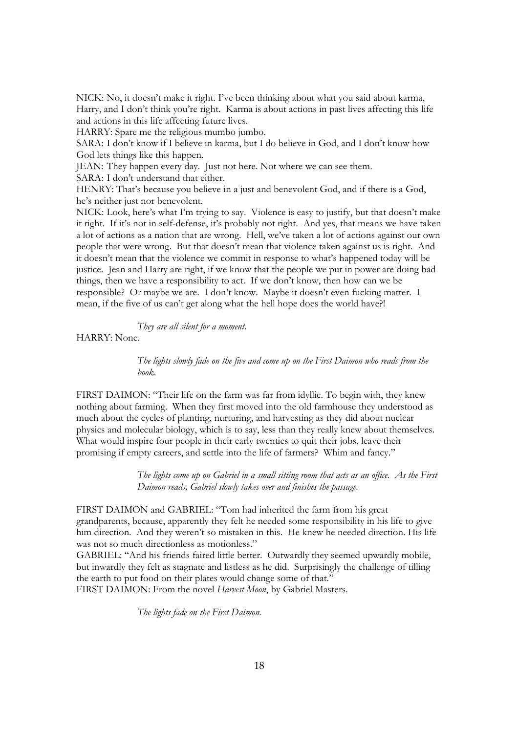NICK: No, it doesn't make it right. I've been thinking about what you said about karma, Harry, and I don't think you're right. Karma is about actions in past lives affecting this life and actions in this life affecting future lives.

HARRY: Spare me the religious mumbo jumbo.

SARA: I don't know if I believe in karma, but I do believe in God, and I don't know how God lets things like this happen.

JEAN: They happen every day. Just not here. Not where we can see them.

SARA: I don't understand that either.

HENRY: That's because you believe in a just and benevolent God, and if there is a God, he's neither just nor benevolent.

NICK: Look, here's what I'm trying to say. Violence is easy to justify, but that doesn't make it right. If it's not in self-defense, it's probably not right. And yes, that means we have taken a lot of actions as a nation that are wrong. Hell, we've taken a lot of actions against our own people that were wrong. But that doesn't mean that violence taken against us is right. And it doesn't mean that the violence we commit in response to what's happened today will be justice. Jean and Harry are right, if we know that the people we put in power are doing bad things, then we have a responsibility to act. If we don't know, then how can we be responsible? Or maybe we are. I don't know. Maybe it doesn't even fucking matter. I mean, if the five of us can't get along what the hell hope does the world have?!

*They are all silent for a moment*.

HARRY: None.

*The lights slowly fade on the five and come up on the First Daimon who reads from the book*.

FIRST DAIMON: "Their life on the farm was far from idyllic. To begin with, they knew nothing about farming. When they first moved into the old farmhouse they understood as much about the cycles of planting, nurturing, and harvesting as they did about nuclear physics and molecular biology, which is to say, less than they really knew about themselves. What would inspire four people in their early twenties to quit their jobs, leave their promising if empty careers, and settle into the life of farmers? Whim and fancy."

> *The lights come up on Gabriel in a small sitting room that acts as an office. As the First Daimon reads, Gabriel slowly takes over and finishes the passage.*

FIRST DAIMON and GABRIEL: "Tom had inherited the farm from his great grandparents, because, apparently they felt he needed some responsibility in his life to give him direction. And they weren't so mistaken in this. He knew he needed direction. His life was not so much directionless as motionless."

GABRIEL: "And his friends faired little better. Outwardly they seemed upwardly mobile, but inwardly they felt as stagnate and listless as he did. Surprisingly the challenge of tilling the earth to put food on their plates would change some of that."

FIRST DAIMON: From the novel *Harvest Moon*, by Gabriel Masters.

*The lights fade on the First Daimon.*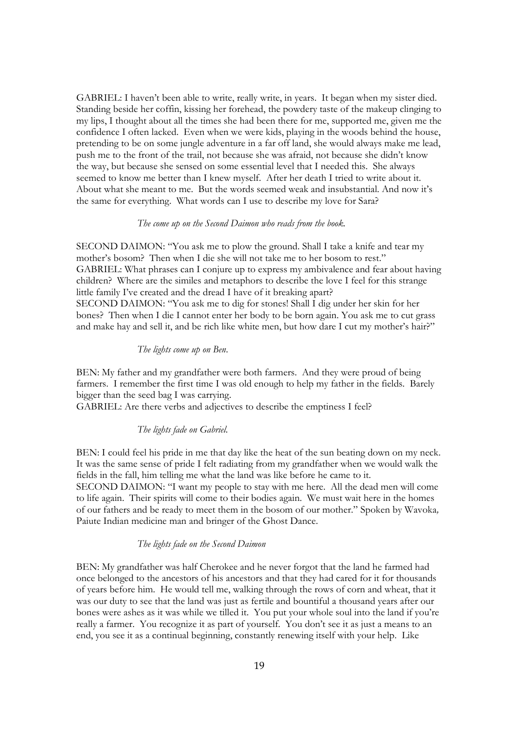GABRIEL: I haven't been able to write, really write, in years. It began when my sister died. Standing beside her coffin, kissing her forehead, the powdery taste of the makeup clinging to my lips, I thought about all the times she had been there for me, supported me, given me the confidence I often lacked. Even when we were kids, playing in the woods behind the house, pretending to be on some jungle adventure in a far off land, she would always make me lead, push me to the front of the trail, not because she was afraid, not because she didn't know the way, but because she sensed on some essential level that I needed this. She always seemed to know me better than I knew myself. After her death I tried to write about it. About what she meant to me. But the words seemed weak and insubstantial. And now it's the same for everything. What words can I use to describe my love for Sara?

#### *The come up on the Second Daimon who reads from the book.*

SECOND DAIMON: "You ask me to plow the ground. Shall I take a knife and tear my mother's bosom? Then when I die she will not take me to her bosom to rest." GABRIEL: What phrases can I conjure up to express my ambivalence and fear about having children? Where are the similes and metaphors to describe the love I feel for this strange little family I've created and the dread I have of it breaking apart? SECOND DAIMON: "You ask me to dig for stones! Shall I dig under her skin for her bones? Then when I die I cannot enter her body to be born again. You ask me to cut grass and make hay and sell it, and be rich like white men, but how dare I cut my mother's hair?"

### *The lights come up on Ben*.

BEN: My father and my grandfather were both farmers. And they were proud of being farmers. I remember the first time I was old enough to help my father in the fields. Barely bigger than the seed bag I was carrying.

GABRIEL: Are there verbs and adjectives to describe the emptiness I feel?

## *The lights fade on Gabriel.*

BEN: I could feel his pride in me that day like the heat of the sun beating down on my neck. It was the same sense of pride I felt radiating from my grandfather when we would walk the fields in the fall, him telling me what the land was like before he came to it. SECOND DAIMON: "I want my people to stay with me here. All the dead men will come to life again. Their spirits will come to their bodies again. We must wait here in the homes of our fathers and be ready to meet them in the bosom of our mother." Spoken by Wavoka*,* Paiute Indian medicine man and bringer of the Ghost Dance.

#### *The lights fade on the Second Daimon*

BEN: My grandfather was half Cherokee and he never forgot that the land he farmed had once belonged to the ancestors of his ancestors and that they had cared for it for thousands of years before him. He would tell me, walking through the rows of corn and wheat, that it was our duty to see that the land was just as fertile and bountiful a thousand years after our bones were ashes as it was while we tilled it. You put your whole soul into the land if you're really a farmer. You recognize it as part of yourself. You don't see it as just a means to an end, you see it as a continual beginning, constantly renewing itself with your help. Like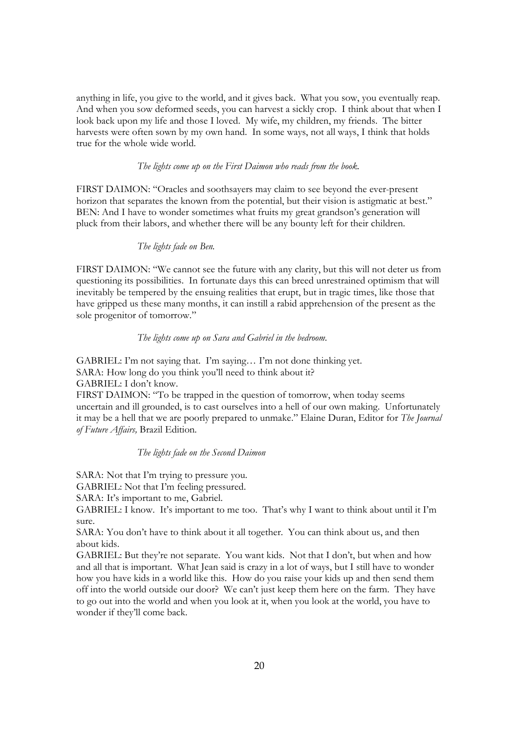anything in life, you give to the world, and it gives back. What you sow, you eventually reap. And when you sow deformed seeds, you can harvest a sickly crop. I think about that when I look back upon my life and those I loved. My wife, my children, my friends. The bitter harvests were often sown by my own hand. In some ways, not all ways, I think that holds true for the whole wide world.

# *The lights come up on the First Daimon who reads from the book.*

FIRST DAIMON: "Oracles and soothsayers may claim to see beyond the ever-present horizon that separates the known from the potential, but their vision is astigmatic at best." BEN: And I have to wonder sometimes what fruits my great grandson's generation will pluck from their labors, and whether there will be any bounty left for their children.

#### *The lights fade on Ben.*

FIRST DAIMON: "We cannot see the future with any clarity, but this will not deter us from questioning its possibilities. In fortunate days this can breed unrestrained optimism that will inevitably be tempered by the ensuing realities that erupt, but in tragic times, like those that have gripped us these many months, it can instill a rabid apprehension of the present as the sole progenitor of tomorrow."

# *The lights come up on Sara and Gabriel in the bedroom.*

GABRIEL: I'm not saying that. I'm saying… I'm not done thinking yet. SARA: How long do you think you'll need to think about it? GABRIEL: I don't know. FIRST DAIMON: "To be trapped in the question of tomorrow, when today seems uncertain and ill grounded, is to cast ourselves into a hell of our own making. Unfortunately it may be a hell that we are poorly prepared to unmake." Elaine Duran, Editor for *The Journal of Future Affairs,* Brazil Edition*.* 

*The lights fade on the Second Daimon* 

SARA: Not that I'm trying to pressure you.

GABRIEL: Not that I'm feeling pressured.

SARA: It's important to me, Gabriel.

GABRIEL: I know. It's important to me too. That's why I want to think about until it I'm sure.

SARA: You don't have to think about it all together. You can think about us, and then about kids.

GABRIEL: But they're not separate. You want kids. Not that I don't, but when and how and all that is important. What Jean said is crazy in a lot of ways, but I still have to wonder how you have kids in a world like this. How do you raise your kids up and then send them off into the world outside our door? We can't just keep them here on the farm. They have to go out into the world and when you look at it, when you look at the world, you have to wonder if they'll come back.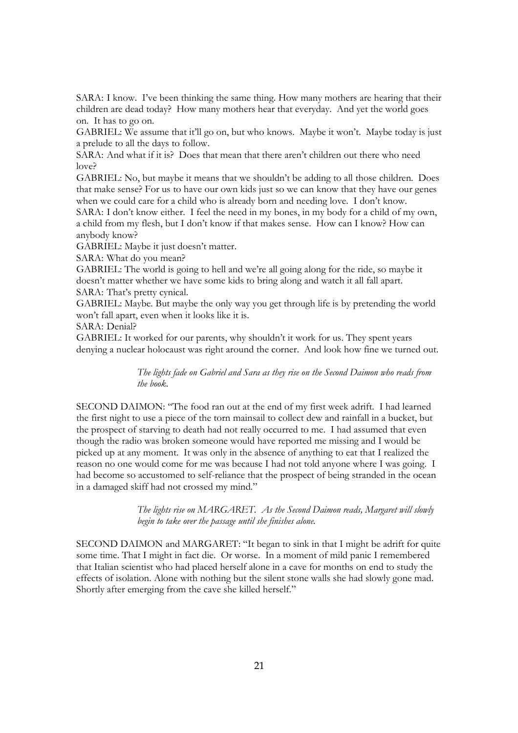SARA: I know. I've been thinking the same thing. How many mothers are hearing that their children are dead today? How many mothers hear that everyday. And yet the world goes on. It has to go on.

GABRIEL: We assume that it'll go on, but who knows. Maybe it won't. Maybe today is just a prelude to all the days to follow.

SARA: And what if it is? Does that mean that there aren't children out there who need love?

GABRIEL: No, but maybe it means that we shouldn't be adding to all those children. Does that make sense? For us to have our own kids just so we can know that they have our genes when we could care for a child who is already born and needing love. I don't know.

SARA: I don't know either. I feel the need in my bones, in my body for a child of my own, a child from my flesh, but I don't know if that makes sense. How can I know? How can anybody know?

GABRIEL: Maybe it just doesn't matter.

SARA: What do you mean?

GABRIEL: The world is going to hell and we're all going along for the ride, so maybe it doesn't matter whether we have some kids to bring along and watch it all fall apart. SARA: That's pretty cynical.

GABRIEL: Maybe. But maybe the only way you get through life is by pretending the world won't fall apart, even when it looks like it is.

SARA: Denial?

GABRIEL: It worked for our parents, why shouldn't it work for us. They spent years denying a nuclear holocaust was right around the corner. And look how fine we turned out.

> *The lights fade on Gabriel and Sara as they rise on the Second Daimon who reads from the book*.

SECOND DAIMON: "The food ran out at the end of my first week adrift. I had learned the first night to use a piece of the torn mainsail to collect dew and rainfall in a bucket, but the prospect of starving to death had not really occurred to me. I had assumed that even though the radio was broken someone would have reported me missing and I would be picked up at any moment. It was only in the absence of anything to eat that I realized the reason no one would come for me was because I had not told anyone where I was going. I had become so accustomed to self-reliance that the prospect of being stranded in the ocean in a damaged skiff had not crossed my mind."

> *The lights rise on MARGARET. As the Second Daimon reads, Margaret will slowly begin to take over the passage until she finishes alone.*

SECOND DAIMON and MARGARET: "It began to sink in that I might be adrift for quite some time. That I might in fact die. Or worse. In a moment of mild panic I remembered that Italian scientist who had placed herself alone in a cave for months on end to study the effects of isolation. Alone with nothing but the silent stone walls she had slowly gone mad. Shortly after emerging from the cave she killed herself."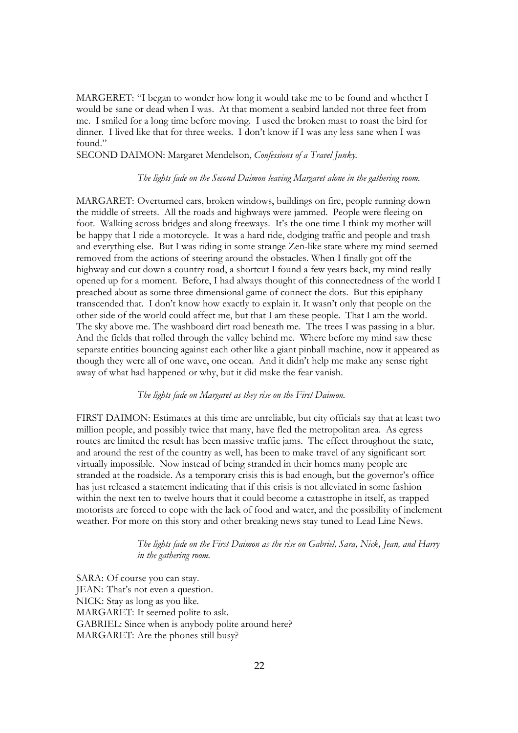MARGERET: "I began to wonder how long it would take me to be found and whether I would be sane or dead when I was. At that moment a seabird landed not three feet from me. I smiled for a long time before moving. I used the broken mast to roast the bird for dinner. I lived like that for three weeks. I don't know if I was any less sane when I was found."

SECOND DAIMON: Margaret Mendelson, *Confessions of a Travel Junky.* 

# *The lights fade on the Second Daimon leaving Margaret alone in the gathering room.*

MARGARET: Overturned cars, broken windows, buildings on fire, people running down the middle of streets. All the roads and highways were jammed. People were fleeing on foot. Walking across bridges and along freeways. It's the one time I think my mother will be happy that I ride a motorcycle. It was a hard ride, dodging traffic and people and trash and everything else. But I was riding in some strange Zen-like state where my mind seemed removed from the actions of steering around the obstacles. When I finally got off the highway and cut down a country road, a shortcut I found a few years back, my mind really opened up for a moment. Before, I had always thought of this connectedness of the world I preached about as some three dimensional game of connect the dots. But this epiphany transcended that. I don't know how exactly to explain it. It wasn't only that people on the other side of the world could affect me, but that I am these people. That I am the world. The sky above me. The washboard dirt road beneath me. The trees I was passing in a blur. And the fields that rolled through the valley behind me. Where before my mind saw these separate entities bouncing against each other like a giant pinball machine, now it appeared as though they were all of one wave, one ocean. And it didn't help me make any sense right away of what had happened or why, but it did make the fear vanish.

#### *The lights fade on Margaret as they rise on the First Daimon.*

FIRST DAIMON: Estimates at this time are unreliable, but city officials say that at least two million people, and possibly twice that many, have fled the metropolitan area. As egress routes are limited the result has been massive traffic jams. The effect throughout the state, and around the rest of the country as well, has been to make travel of any significant sort virtually impossible. Now instead of being stranded in their homes many people are stranded at the roadside. As a temporary crisis this is bad enough, but the governor's office has just released a statement indicating that if this crisis is not alleviated in some fashion within the next ten to twelve hours that it could become a catastrophe in itself, as trapped motorists are forced to cope with the lack of food and water, and the possibility of inclement weather. For more on this story and other breaking news stay tuned to Lead Line News.

## *The lights fade on the First Daimon as the rise on Gabriel, Sara, Nick, Jean, and Harry in the gathering room.*

SARA: Of course you can stay. JEAN: That's not even a question. NICK: Stay as long as you like. MARGARET: It seemed polite to ask. GABRIEL: Since when is anybody polite around here? MARGARET: Are the phones still busy?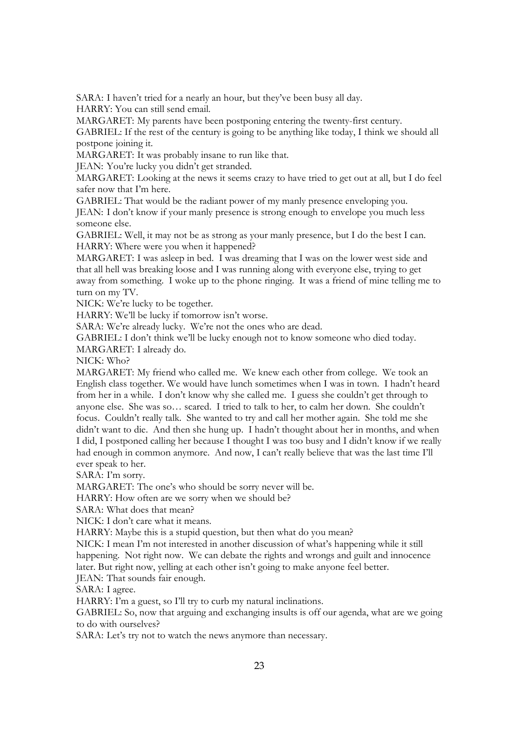SARA: I haven't tried for a nearly an hour, but they've been busy all day.

HARRY: You can still send email.

MARGARET: My parents have been postponing entering the twenty-first century.

GABRIEL: If the rest of the century is going to be anything like today, I think we should all postpone joining it.

MARGARET: It was probably insane to run like that.

JEAN: You're lucky you didn't get stranded.

MARGARET: Looking at the news it seems crazy to have tried to get out at all, but I do feel safer now that I'm here.

GABRIEL: That would be the radiant power of my manly presence enveloping you.

JEAN: I don't know if your manly presence is strong enough to envelope you much less someone else.

GABRIEL: Well, it may not be as strong as your manly presence, but I do the best I can. HARRY: Where were you when it happened?

MARGARET: I was asleep in bed. I was dreaming that I was on the lower west side and that all hell was breaking loose and I was running along with everyone else, trying to get away from something. I woke up to the phone ringing. It was a friend of mine telling me to turn on my TV.

NICK: We're lucky to be together.

HARRY: We'll be lucky if tomorrow isn't worse.

SARA: We're already lucky. We're not the ones who are dead.

GABRIEL: I don't think we'll be lucky enough not to know someone who died today.

MARGARET: I already do.

NICK: Who?

MARGARET: My friend who called me. We knew each other from college. We took an English class together. We would have lunch sometimes when I was in town. I hadn't heard from her in a while. I don't know why she called me. I guess she couldn't get through to anyone else. She was so… scared. I tried to talk to her, to calm her down. She couldn't focus. Couldn't really talk. She wanted to try and call her mother again. She told me she didn't want to die. And then she hung up. I hadn't thought about her in months, and when I did, I postponed calling her because I thought I was too busy and I didn't know if we really had enough in common anymore. And now, I can't really believe that was the last time I'll ever speak to her.

SARA: I'm sorry.

MARGARET: The one's who should be sorry never will be.

HARRY: How often are we sorry when we should be?

SARA: What does that mean?

NICK: I don't care what it means.

HARRY: Maybe this is a stupid question, but then what do you mean?

NICK: I mean I'm not interested in another discussion of what's happening while it still happening. Not right now. We can debate the rights and wrongs and guilt and innocence later. But right now, yelling at each other isn't going to make anyone feel better.

JEAN: That sounds fair enough.

SARA: I agree.

HARRY: I'm a guest, so I'll try to curb my natural inclinations.

GABRIEL: So, now that arguing and exchanging insults is off our agenda, what are we going to do with ourselves?

SARA: Let's try not to watch the news anymore than necessary.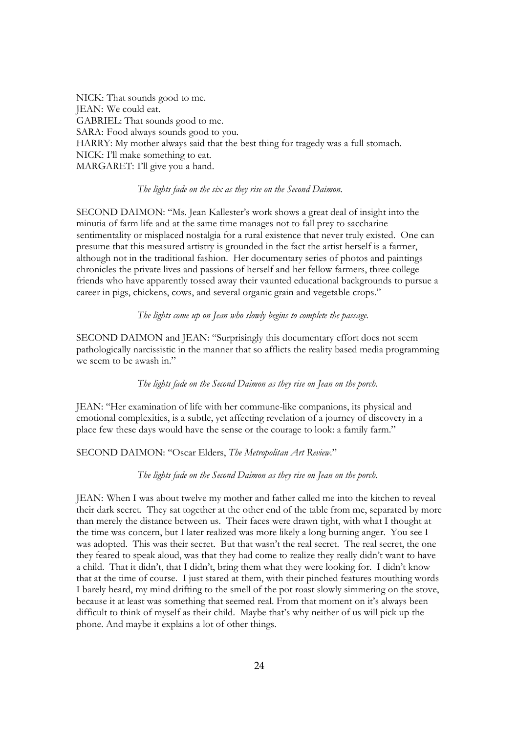NICK: That sounds good to me. JEAN: We could eat. GABRIEL: That sounds good to me. SARA: Food always sounds good to you. HARRY: My mother always said that the best thing for tragedy was a full stomach. NICK: I'll make something to eat. MARGARET: I'll give you a hand.

## *The lights fade on the six as they rise on the Second Daimon.*

SECOND DAIMON: "Ms. Jean Kallester's work shows a great deal of insight into the minutia of farm life and at the same time manages not to fall prey to saccharine sentimentality or misplaced nostalgia for a rural existence that never truly existed. One can presume that this measured artistry is grounded in the fact the artist herself is a farmer, although not in the traditional fashion. Her documentary series of photos and paintings chronicles the private lives and passions of herself and her fellow farmers, three college friends who have apparently tossed away their vaunted educational backgrounds to pursue a career in pigs, chickens, cows, and several organic grain and vegetable crops."

## *The lights come up on Jean who slowly begins to complete the passage.*

SECOND DAIMON and JEAN: "Surprisingly this documentary effort does not seem pathologically narcissistic in the manner that so afflicts the reality based media programming we seem to be awash in."

*The lights fade on the Second Daimon as they rise on Jean on the porch*.

JEAN: "Her examination of life with her commune-like companions, its physical and emotional complexities, is a subtle, yet affecting revelation of a journey of discovery in a place few these days would have the sense or the courage to look: a family farm."

# SECOND DAIMON: "Oscar Elders, *The Metropolitan Art Review*."

## *The lights fade on the Second Daimon as they rise on Jean on the porch*.

JEAN: When I was about twelve my mother and father called me into the kitchen to reveal their dark secret. They sat together at the other end of the table from me, separated by more than merely the distance between us. Their faces were drawn tight, with what I thought at the time was concern, but I later realized was more likely a long burning anger. You see I was adopted. This was their secret. But that wasn't the real secret. The real secret, the one they feared to speak aloud, was that they had come to realize they really didn't want to have a child. That it didn't, that I didn't, bring them what they were looking for. I didn't know that at the time of course. I just stared at them, with their pinched features mouthing words I barely heard, my mind drifting to the smell of the pot roast slowly simmering on the stove, because it at least was something that seemed real. From that moment on it's always been difficult to think of myself as their child. Maybe that's why neither of us will pick up the phone. And maybe it explains a lot of other things.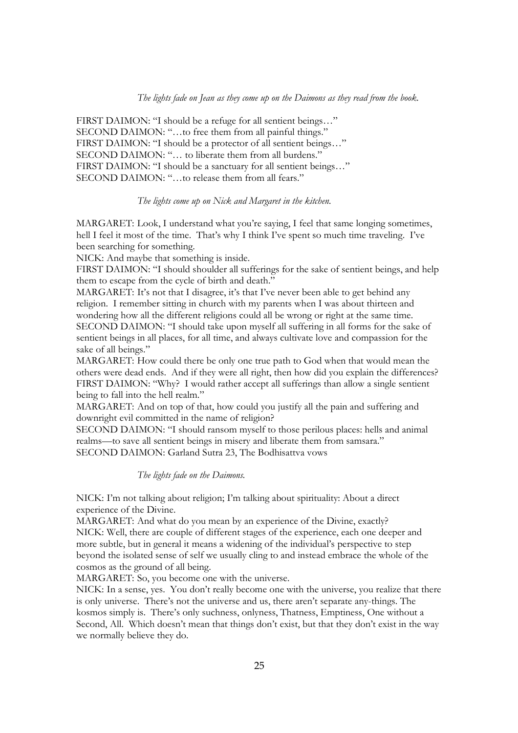## *The lights fade on Jean as they come up on the Daimons as they read from the book.*

FIRST DAIMON: "I should be a refuge for all sentient beings..." SECOND DAIMON: "...to free them from all painful things." FIRST DAIMON: "I should be a protector of all sentient beings…" SECOND DAIMON: "... to liberate them from all burdens." FIRST DAIMON: "I should be a sanctuary for all sentient beings…" SECOND DAIMON: "...to release them from all fears."

#### *The lights come up on Nick and Margaret in the kitchen.*

MARGARET: Look, I understand what you're saying, I feel that same longing sometimes, hell I feel it most of the time. That's why I think I've spent so much time traveling. I've been searching for something.

NICK: And maybe that something is inside.

FIRST DAIMON: "I should shoulder all sufferings for the sake of sentient beings, and help them to escape from the cycle of birth and death."

MARGARET: It's not that I disagree, it's that I've never been able to get behind any religion. I remember sitting in church with my parents when I was about thirteen and wondering how all the different religions could all be wrong or right at the same time. SECOND DAIMON: "I should take upon myself all suffering in all forms for the sake of sentient beings in all places, for all time, and always cultivate love and compassion for the sake of all beings."

MARGARET: How could there be only one true path to God when that would mean the others were dead ends. And if they were all right, then how did you explain the differences? FIRST DAIMON: "Why? I would rather accept all sufferings than allow a single sentient being to fall into the hell realm."

MARGARET: And on top of that, how could you justify all the pain and suffering and downright evil committed in the name of religion?

SECOND DAIMON: "I should ransom myself to those perilous places: hells and animal realms—to save all sentient beings in misery and liberate them from samsara." SECOND DAIMON: Garland Sutra 23, The Bodhisattva vows

*The lights fade on the Daimons.* 

NICK: I'm not talking about religion; I'm talking about spirituality: About a direct experience of the Divine.

MARGARET: And what do you mean by an experience of the Divine, exactly? NICK: Well, there are couple of different stages of the experience, each one deeper and more subtle, but in general it means a widening of the individual's perspective to step beyond the isolated sense of self we usually cling to and instead embrace the whole of the cosmos as the ground of all being.

MARGARET: So, you become one with the universe.

NICK: In a sense, yes. You don't really become one with the universe, you realize that there is only universe. There's not the universe and us, there aren't separate any-things. The kosmos simply is. There's only suchness, onlyness, Thatness, Emptiness, One without a Second, All. Which doesn't mean that things don't exist, but that they don't exist in the way we normally believe they do.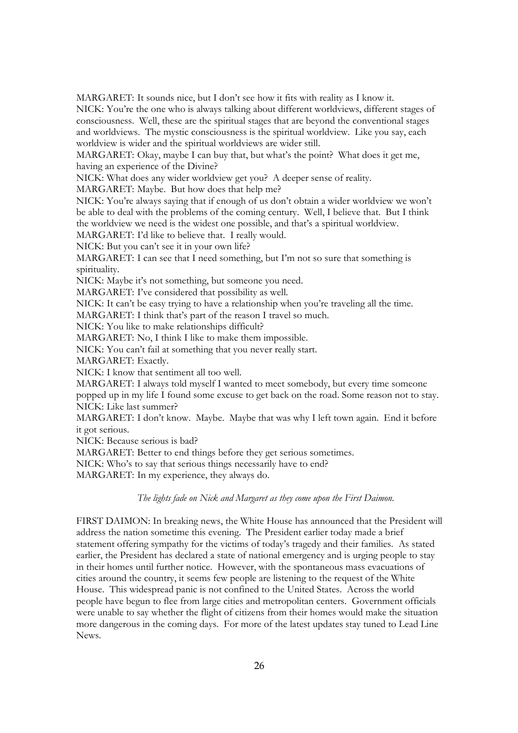MARGARET: It sounds nice, but I don't see how it fits with reality as I know it. NICK: You're the one who is always talking about different worldviews, different stages of consciousness. Well, these are the spiritual stages that are beyond the conventional stages and worldviews. The mystic consciousness is the spiritual worldview. Like you say, each worldview is wider and the spiritual worldviews are wider still.

MARGARET: Okay, maybe I can buy that, but what's the point? What does it get me, having an experience of the Divine?

NICK: What does any wider worldview get you? A deeper sense of reality.

MARGARET: Maybe. But how does that help me?

NICK: You're always saying that if enough of us don't obtain a wider worldview we won't be able to deal with the problems of the coming century. Well, I believe that. But I think the worldview we need is the widest one possible, and that's a spiritual worldview.

MARGARET: I'd like to believe that. I really would.

NICK: But you can't see it in your own life?

MARGARET: I can see that I need something, but I'm not so sure that something is spirituality.

NICK: Maybe it's not something, but someone you need.

MARGARET: I've considered that possibility as well.

NICK: It can't be easy trying to have a relationship when you're traveling all the time.

MARGARET: I think that's part of the reason I travel so much.

NICK: You like to make relationships difficult?

MARGARET: No, I think I like to make them impossible.

NICK: You can't fail at something that you never really start.

MARGARET: Exactly.

NICK: I know that sentiment all too well.

MARGARET: I always told myself I wanted to meet somebody, but every time someone

popped up in my life I found some excuse to get back on the road. Some reason not to stay. NICK: Like last summer?

MARGARET: I don't know. Maybe. Maybe that was why I left town again. End it before it got serious.

NICK: Because serious is bad?

MARGARET: Better to end things before they get serious sometimes.

NICK: Who's to say that serious things necessarily have to end?

MARGARET: In my experience, they always do.

## *The lights fade on Nick and Margaret as they come upon the First Daimon.*

FIRST DAIMON: In breaking news, the White House has announced that the President will address the nation sometime this evening. The President earlier today made a brief statement offering sympathy for the victims of today's tragedy and their families. As stated earlier, the President has declared a state of national emergency and is urging people to stay in their homes until further notice. However, with the spontaneous mass evacuations of cities around the country, it seems few people are listening to the request of the White House. This widespread panic is not confined to the United States. Across the world people have begun to flee from large cities and metropolitan centers. Government officials were unable to say whether the flight of citizens from their homes would make the situation more dangerous in the coming days. For more of the latest updates stay tuned to Lead Line News.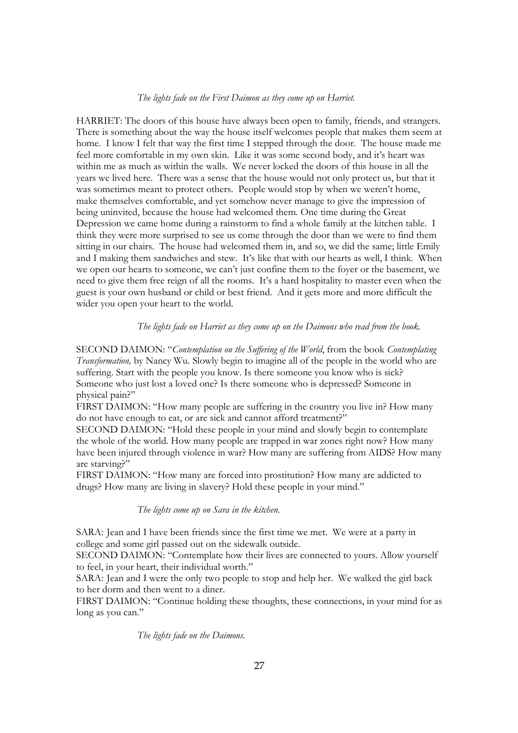#### *The lights fade on the First Daimon as they come up on Harriet.*

HARRIET: The doors of this house have always been open to family, friends, and strangers. There is something about the way the house itself welcomes people that makes them seem at home. I know I felt that way the first time I stepped through the door. The house made me feel more comfortable in my own skin. Like it was some second body, and it's heart was within me as much as within the walls. We never locked the doors of this house in all the years we lived here. There was a sense that the house would not only protect us, but that it was sometimes meant to protect others. People would stop by when we weren't home, make themselves comfortable, and yet somehow never manage to give the impression of being uninvited, because the house had welcomed them. One time during the Great Depression we came home during a rainstorm to find a whole family at the kitchen table. I think they were more surprised to see us come through the door than we were to find them sitting in our chairs. The house had welcomed them in, and so, we did the same; little Emily and I making them sandwiches and stew. It's like that with our hearts as well, I think. When we open our hearts to someone, we can't just confine them to the foyer or the basement, we need to give them free reign of all the rooms. It's a hard hospitality to master even when the guest is your own husband or child or best friend. And it gets more and more difficult the wider you open your heart to the world.

*The lights fade on Harriet as they come up on the Daimons who read from the book.*

SECOND DAIMON: "*Contemplation on the Suffering of the World*, from the book *Contemplating Transformation,* by Nancy Wu. Slowly begin to imagine all of the people in the world who are suffering. Start with the people you know. Is there someone you know who is sick? Someone who just lost a loved one? Is there someone who is depressed? Someone in physical pain?"

FIRST DAIMON: "How many people are suffering in the country you live in? How many do not have enough to eat, or are sick and cannot afford treatment?"

SECOND DAIMON: "Hold these people in your mind and slowly begin to contemplate the whole of the world. How many people are trapped in war zones right now? How many have been injured through violence in war? How many are suffering from AIDS? How many are starving?"

FIRST DAIMON: "How many are forced into prostitution? How many are addicted to drugs? How many are living in slavery? Hold these people in your mind."

*The lights come up on Sara in the kitchen.* 

SARA: Jean and I have been friends since the first time we met. We were at a party in college and some girl passed out on the sidewalk outside.

SECOND DAIMON: "Contemplate how their lives are connected to yours. Allow yourself to feel, in your heart, their individual worth."

SARA: Jean and I were the only two people to stop and help her. We walked the girl back to her dorm and then went to a diner.

FIRST DAIMON: "Continue holding these thoughts, these connections, in your mind for as long as you can."

*The lights fade on the Daimons.*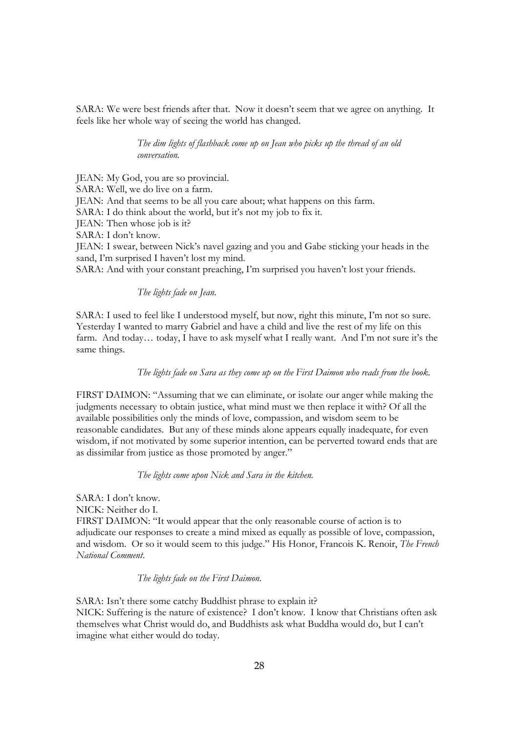SARA: We were best friends after that. Now it doesn't seem that we agree on anything. It feels like her whole way of seeing the world has changed.

> *The dim lights of flashback come up on Jean who picks up the thread of an old conversation.*

JEAN: My God, you are so provincial.

SARA: Well, we do live on a farm.

JEAN: And that seems to be all you care about; what happens on this farm.

SARA: I do think about the world, but it's not my job to fix it.

JEAN: Then whose job is it?

SARA: I don't know.

JEAN: I swear, between Nick's navel gazing and you and Gabe sticking your heads in the sand, I'm surprised I haven't lost my mind.

SARA: And with your constant preaching, I'm surprised you haven't lost your friends.

# *The lights fade on Jean.*

SARA: I used to feel like I understood myself, but now, right this minute, I'm not so sure. Yesterday I wanted to marry Gabriel and have a child and live the rest of my life on this farm. And today… today, I have to ask myself what I really want. And I'm not sure it's the same things.

# *The lights fade on Sara as they come up on the First Daimon who reads from the book.*

FIRST DAIMON: "Assuming that we can eliminate, or isolate our anger while making the judgments necessary to obtain justice, what mind must we then replace it with? Of all the available possibilities only the minds of love, compassion, and wisdom seem to be reasonable candidates. But any of these minds alone appears equally inadequate, for even wisdom, if not motivated by some superior intention, can be perverted toward ends that are as dissimilar from justice as those promoted by anger."

*The lights come upon Nick and Sara in the kitchen.* 

SARA: I don't know. NICK: Neither do I. FIRST DAIMON: "It would appear that the only reasonable course of action is to adjudicate our responses to create a mind mixed as equally as possible of love, compassion, and wisdom. Or so it would seem to this judge." His Honor, Francois K. Renoir, *The French National Comment*.

*The lights fade on the First Daimon.* 

SARA: Isn't there some catchy Buddhist phrase to explain it? NICK: Suffering is the nature of existence? I don't know. I know that Christians often ask themselves what Christ would do, and Buddhists ask what Buddha would do, but I can't imagine what either would do today.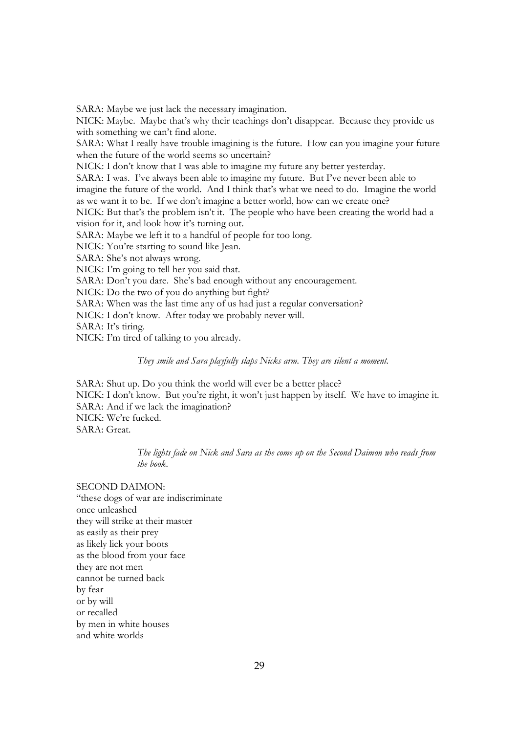SARA: Maybe we just lack the necessary imagination.

NICK: Maybe. Maybe that's why their teachings don't disappear. Because they provide us with something we can't find alone.

SARA: What I really have trouble imagining is the future. How can you imagine your future when the future of the world seems so uncertain?

NICK: I don't know that I was able to imagine my future any better yesterday.

SARA: I was. I've always been able to imagine my future. But I've never been able to

imagine the future of the world. And I think that's what we need to do. Imagine the world as we want it to be. If we don't imagine a better world, how can we create one?

NICK: But that's the problem isn't it. The people who have been creating the world had a vision for it, and look how it's turning out.

SARA: Maybe we left it to a handful of people for too long.

NICK: You're starting to sound like Jean.

SARA: She's not always wrong.

NICK: I'm going to tell her you said that.

SARA: Don't you dare. She's bad enough without any encouragement.

NICK: Do the two of you do anything but fight?

SARA: When was the last time any of us had just a regular conversation?

NICK: I don't know. After today we probably never will.

SARA: It's tiring.

NICK: I'm tired of talking to you already.

*They smile and Sara playfully slaps Nicks arm. They are silent a moment.*

SARA: Shut up. Do you think the world will ever be a better place?

NICK: I don't know. But you're right, it won't just happen by itself. We have to imagine it. SARA: And if we lack the imagination? NICK: We're fucked. SARA: Great.

> *The lights fade on Nick and Sara as the come up on the Second Daimon who reads from the book.*

SECOND DAIMON:

"these dogs of war are indiscriminate once unleashed they will strike at their master as easily as their prey as likely lick your boots as the blood from your face they are not men cannot be turned back by fear or by will or recalled by men in white houses and white worlds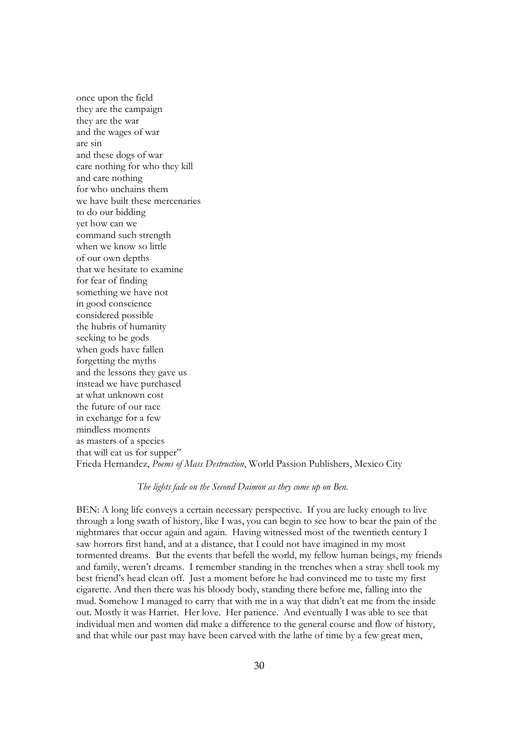once upon the field they are the campaign they are the war and the wages of war are sin and these dogs of war care nothing for who they kill and care nothing for who unchains them we have built these mercenaries to do our bidding yet how can we command such strength when we know so little of our own depths that we hesitate to examine for fear of finding something we have not in good conscience considered possible the hubris of humanity seeking to be gods when gods have fallen forgetting the myths and the lessons they gave us instead we have purchased at what unknown cost the future of our race in exchange for a few mindless moments as masters of a species that will eat us for supper" Frieda Hernandez, *Poems of Mass Destruction*, World Passion Publishers, Mexico City

#### *The lights fade on the Second Daimon as they come up on Ben.*

BEN: A long life conveys a certain necessary perspective. If you are lucky enough to live through a long swath of history, like I was, you can begin to see how to bear the pain of the nightmares that occur again and again. Having witnessed most of the twentieth century I saw horrors first hand, and at a distance, that I could not have imagined in my most tormented dreams. But the events that befell the world, my fellow human beings, my friends and family, weren't dreams. I remember standing in the trenches when a stray shell took my best friend's head clean off. Just a moment before he had convinced me to taste my first cigarette. And then there was his bloody body, standing there before me, falling into the mud. Somehow I managed to carry that with me in a way that didn't eat me from the inside out. Mostly it was Harriet. Her love. Her patience. And eventually I was able to see that individual men and women did make a difference to the general course and flow of history, and that while our past may have been carved with the lathe of time by a few great men,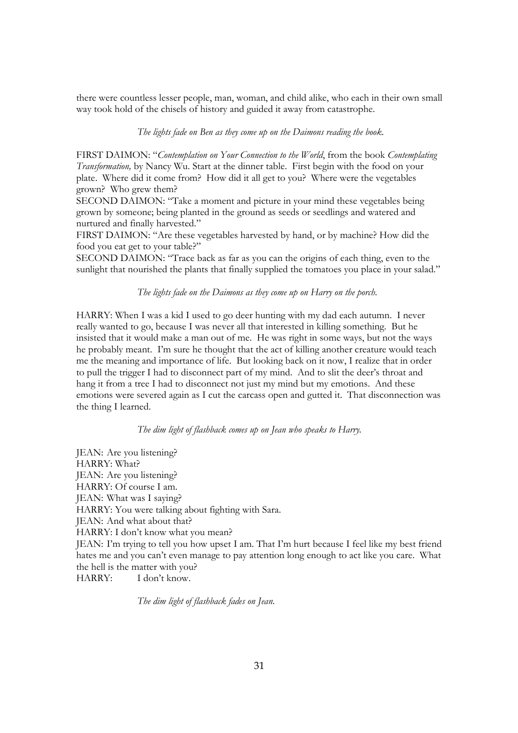there were countless lesser people, man, woman, and child alike, who each in their own small way took hold of the chisels of history and guided it away from catastrophe.

*The lights fade on Ben as they come up on the Daimons reading the book.* 

FIRST DAIMON: "*Contemplation on Your Connection to the World*, from the book *Contemplating Transformation,* by Nancy Wu. Start at the dinner table. First begin with the food on your plate. Where did it come from? How did it all get to you? Where were the vegetables grown? Who grew them?

SECOND DAIMON: "Take a moment and picture in your mind these vegetables being grown by someone; being planted in the ground as seeds or seedlings and watered and nurtured and finally harvested."

FIRST DAIMON: "Are these vegetables harvested by hand, or by machine? How did the food you eat get to your table?"

SECOND DAIMON: "Trace back as far as you can the origins of each thing, even to the sunlight that nourished the plants that finally supplied the tomatoes you place in your salad."

*The lights fade on the Daimons as they come up on Harry on the porch.* 

HARRY: When I was a kid I used to go deer hunting with my dad each autumn. I never really wanted to go, because I was never all that interested in killing something. But he insisted that it would make a man out of me. He was right in some ways, but not the ways he probably meant. I'm sure he thought that the act of killing another creature would teach me the meaning and importance of life. But looking back on it now, I realize that in order to pull the trigger I had to disconnect part of my mind. And to slit the deer's throat and hang it from a tree I had to disconnect not just my mind but my emotions. And these emotions were severed again as I cut the carcass open and gutted it. That disconnection was the thing I learned.

#### *The dim light of flashback comes up on Jean who speaks to Harry.*

JEAN: Are you listening? HARRY: What? JEAN: Are you listening? HARRY: Of course I am. JEAN: What was I saying? HARRY: You were talking about fighting with Sara. JEAN: And what about that? HARRY: I don't know what you mean? JEAN: I'm trying to tell you how upset I am. That I'm hurt because I feel like my best friend hates me and you can't even manage to pay attention long enough to act like you care. What the hell is the matter with you? HARRY: I don't know.

*The dim light of flashback fades on Jean.*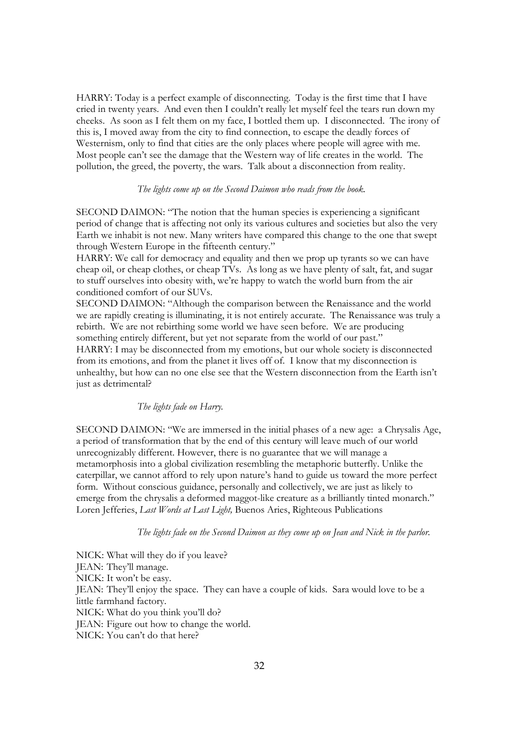HARRY: Today is a perfect example of disconnecting. Today is the first time that I have cried in twenty years. And even then I couldn't really let myself feel the tears run down my cheeks. As soon as I felt them on my face, I bottled them up. I disconnected. The irony of this is, I moved away from the city to find connection, to escape the deadly forces of Westernism, only to find that cities are the only places where people will agree with me. Most people can't see the damage that the Western way of life creates in the world. The pollution, the greed, the poverty, the wars. Talk about a disconnection from reality.

# *The lights come up on the Second Daimon who reads from the book.*

SECOND DAIMON: "The notion that the human species is experiencing a significant period of change that is affecting not only its various cultures and societies but also the very Earth we inhabit is not new. Many writers have compared this change to the one that swept through Western Europe in the fifteenth century."

HARRY: We call for democracy and equality and then we prop up tyrants so we can have cheap oil, or cheap clothes, or cheap TVs. As long as we have plenty of salt, fat, and sugar to stuff ourselves into obesity with, we're happy to watch the world burn from the air conditioned comfort of our SUVs.

SECOND DAIMON: "Although the comparison between the Renaissance and the world we are rapidly creating is illuminating, it is not entirely accurate. The Renaissance was truly a rebirth. We are not rebirthing some world we have seen before. We are producing something entirely different, but yet not separate from the world of our past."

HARRY: I may be disconnected from my emotions, but our whole society is disconnected from its emotions, and from the planet it lives off of. I know that my disconnection is unhealthy, but how can no one else see that the Western disconnection from the Earth isn't just as detrimental?

### *The lights fade on Harry.*

SECOND DAIMON: "We are immersed in the initial phases of a new age: a Chrysalis Age, a period of transformation that by the end of this century will leave much of our world unrecognizably different. However, there is no guarantee that we will manage a metamorphosis into a global civilization resembling the metaphoric butterfly. Unlike the caterpillar, we cannot afford to rely upon nature's hand to guide us toward the more perfect form. Without conscious guidance, personally and collectively, we are just as likely to emerge from the chrysalis a deformed maggot-like creature as a brilliantly tinted monarch." Loren Jefferies, *Last Words at Last Light,* Buenos Aries, Righteous Publications

*The lights fade on the Second Daimon as they come up on Jean and Nick in the parlor.* 

NICK: What will they do if you leave? JEAN: They'll manage. NICK: It won't be easy. JEAN: They'll enjoy the space. They can have a couple of kids. Sara would love to be a little farmhand factory. NICK: What do you think you'll do? JEAN: Figure out how to change the world. NICK: You can't do that here?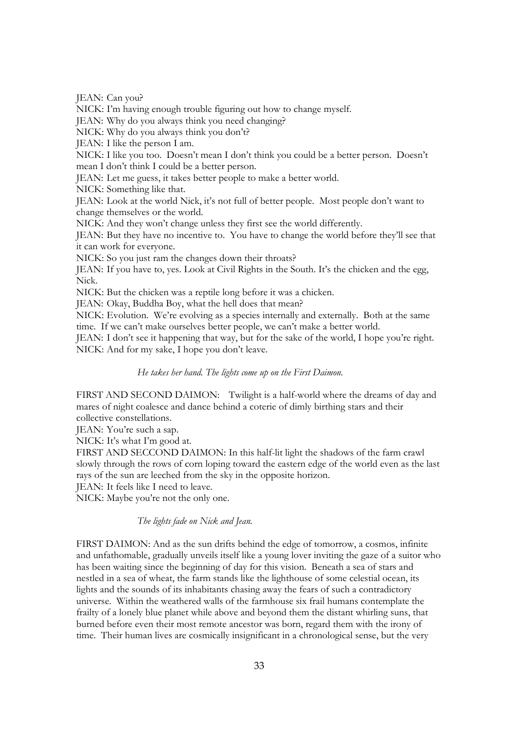JEAN: Can you?

NICK: I'm having enough trouble figuring out how to change myself.

JEAN: Why do you always think you need changing?

NICK: Why do you always think you don't?

JEAN: I like the person I am.

NICK: I like you too. Doesn't mean I don't think you could be a better person. Doesn't mean I don't think I could be a better person.

JEAN: Let me guess, it takes better people to make a better world.

NICK: Something like that.

JEAN: Look at the world Nick, it's not full of better people. Most people don't want to change themselves or the world.

NICK: And they won't change unless they first see the world differently.

JEAN: But they have no incentive to. You have to change the world before they'll see that it can work for everyone.

NICK: So you just ram the changes down their throats?

JEAN: If you have to, yes. Look at Civil Rights in the South. It's the chicken and the egg, Nick.

NICK: But the chicken was a reptile long before it was a chicken.

JEAN: Okay, Buddha Boy, what the hell does that mean?

NICK: Evolution. We're evolving as a species internally and externally. Both at the same time. If we can't make ourselves better people, we can't make a better world.

JEAN: I don't see it happening that way, but for the sake of the world, I hope you're right. NICK: And for my sake, I hope you don't leave.

## *He takes her hand. The lights come up on the First Daimon.*

FIRST AND SECOND DAIMON: Twilight is a half-world where the dreams of day and mares of night coalesce and dance behind a coterie of dimly birthing stars and their collective constellations.

JEAN: You're such a sap.

NICK: It's what I'm good at.

FIRST AND SECCOND DAIMON: In this half-lit light the shadows of the farm crawl slowly through the rows of corn loping toward the eastern edge of the world even as the last rays of the sun are leeched from the sky in the opposite horizon.

JEAN: It feels like I need to leave.

NICK: Maybe you're not the only one.

# *The lights fade on Nick and Jean.*

FIRST DAIMON: And as the sun drifts behind the edge of tomorrow, a cosmos, infinite and unfathomable, gradually unveils itself like a young lover inviting the gaze of a suitor who has been waiting since the beginning of day for this vision. Beneath a sea of stars and nestled in a sea of wheat, the farm stands like the lighthouse of some celestial ocean, its lights and the sounds of its inhabitants chasing away the fears of such a contradictory universe. Within the weathered walls of the farmhouse six frail humans contemplate the frailty of a lonely blue planet while above and beyond them the distant whirling suns, that burned before even their most remote ancestor was born, regard them with the irony of time. Their human lives are cosmically insignificant in a chronological sense, but the very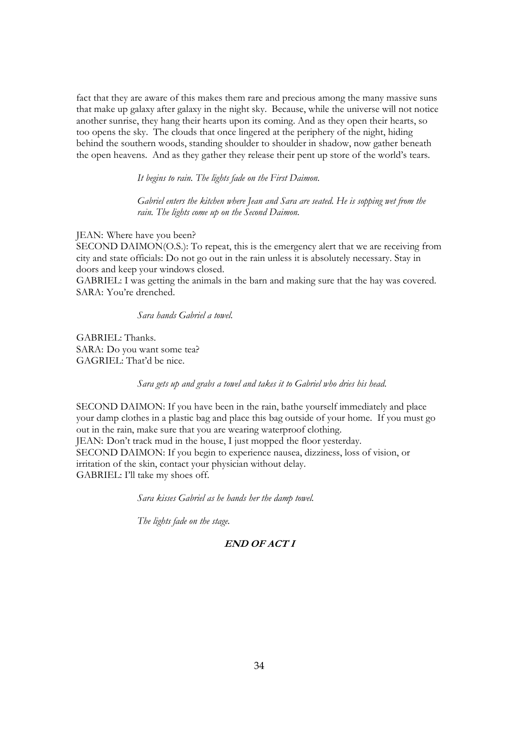fact that they are aware of this makes them rare and precious among the many massive suns that make up galaxy after galaxy in the night sky. Because, while the universe will not notice another sunrise, they hang their hearts upon its coming. And as they open their hearts, so too opens the sky. The clouds that once lingered at the periphery of the night, hiding behind the southern woods, standing shoulder to shoulder in shadow, now gather beneath the open heavens. And as they gather they release their pent up store of the world's tears.

*It begins to rain. The lights fade on the First Daimon.* 

*Gabriel enters the kitchen where Jean and Sara are seated. He is sopping wet from the rain. The lights come up on the Second Daimon.* 

JEAN: Where have you been?

SECOND DAIMON(O.S.): To repeat, this is the emergency alert that we are receiving from city and state officials: Do not go out in the rain unless it is absolutely necessary. Stay in doors and keep your windows closed.

GABRIEL: I was getting the animals in the barn and making sure that the hay was covered. SARA: You're drenched.

*Sara hands Gabriel a towel.* 

GABRIEL: Thanks. SARA: Do you want some tea? GAGRIEL: That'd be nice.

*Sara gets up and grabs a towel and takes it to Gabriel who dries his head.* 

SECOND DAIMON: If you have been in the rain, bathe yourself immediately and place your damp clothes in a plastic bag and place this bag outside of your home. If you must go out in the rain, make sure that you are wearing waterproof clothing. JEAN: Don't track mud in the house, I just mopped the floor yesterday. SECOND DAIMON: If you begin to experience nausea, dizziness, loss of vision, or irritation of the skin, contact your physician without delay. GABRIEL: I'll take my shoes off.

*Sara kisses Gabriel as he hands her the damp towel.* 

*The lights fade on the stage.* 

# **END OF ACT I**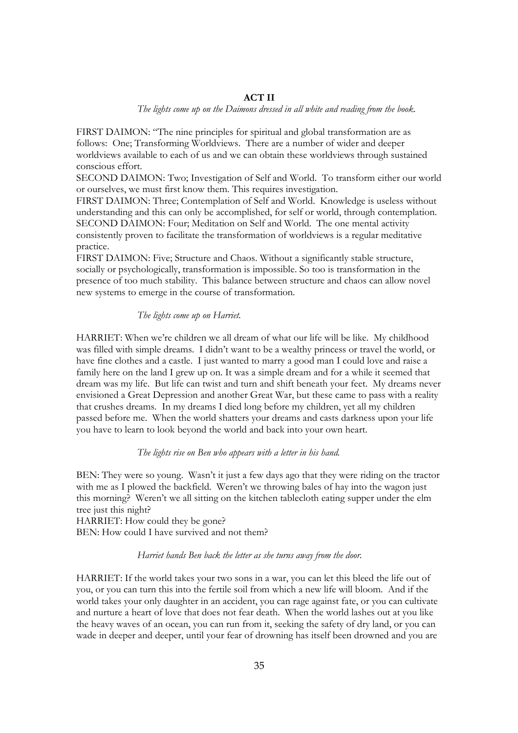# **ACT II**

*The lights come up on the Daimons dressed in all white and reading from the book.* 

FIRST DAIMON: "The nine principles for spiritual and global transformation are as follows: One; Transforming Worldviews. There are a number of wider and deeper worldviews available to each of us and we can obtain these worldviews through sustained conscious effort.

SECOND DAIMON: Two; Investigation of Self and World. To transform either our world or ourselves, we must first know them. This requires investigation.

FIRST DAIMON: Three; Contemplation of Self and World. Knowledge is useless without understanding and this can only be accomplished, for self or world, through contemplation. SECOND DAIMON: Four; Meditation on Self and World. The one mental activity consistently proven to facilitate the transformation of worldviews is a regular meditative practice.

FIRST DAIMON: Five; Structure and Chaos. Without a significantly stable structure, socially or psychologically, transformation is impossible. So too is transformation in the presence of too much stability. This balance between structure and chaos can allow novel new systems to emerge in the course of transformation.

## *The lights come up on Harriet.*

HARRIET: When we're children we all dream of what our life will be like. My childhood was filled with simple dreams. I didn't want to be a wealthy princess or travel the world, or have fine clothes and a castle. I just wanted to marry a good man I could love and raise a family here on the land I grew up on. It was a simple dream and for a while it seemed that dream was my life. But life can twist and turn and shift beneath your feet. My dreams never envisioned a Great Depression and another Great War, but these came to pass with a reality that crushes dreams. In my dreams I died long before my children, yet all my children passed before me. When the world shatters your dreams and casts darkness upon your life you have to learn to look beyond the world and back into your own heart.

# *The lights rise on Ben who appears with a letter in his hand.*

BEN: They were so young. Wasn't it just a few days ago that they were riding on the tractor with me as I plowed the backfield. Weren't we throwing bales of hay into the wagon just this morning? Weren't we all sitting on the kitchen tablecloth eating supper under the elm tree just this night?

HARRIET: How could they be gone? BEN: How could I have survived and not them?

## *Harriet hands Ben back the letter as she turns away from the door.*

HARRIET: If the world takes your two sons in a war, you can let this bleed the life out of you, or you can turn this into the fertile soil from which a new life will bloom. And if the world takes your only daughter in an accident, you can rage against fate, or you can cultivate and nurture a heart of love that does not fear death. When the world lashes out at you like the heavy waves of an ocean, you can run from it, seeking the safety of dry land, or you can wade in deeper and deeper, until your fear of drowning has itself been drowned and you are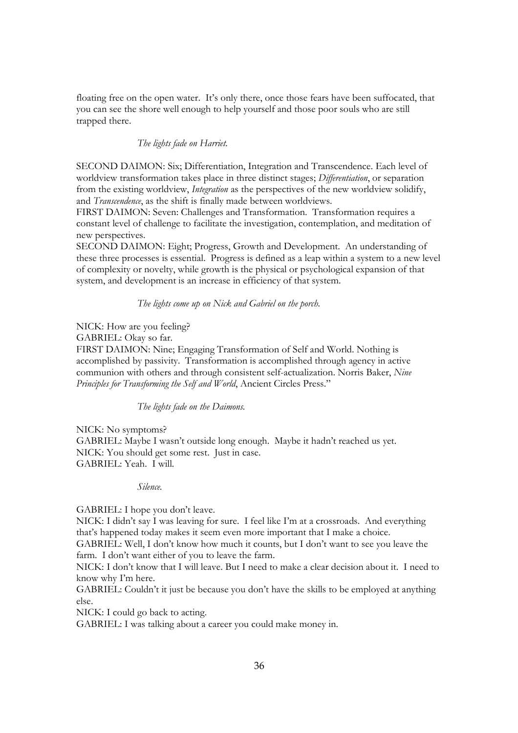floating free on the open water. It's only there, once those fears have been suffocated, that you can see the shore well enough to help yourself and those poor souls who are still trapped there.

# *The lights fade on Harriet.*

SECOND DAIMON: Six; Differentiation, Integration and Transcendence. Each level of worldview transformation takes place in three distinct stages; *Differentiation*, or separation from the existing worldview, *Integration* as the perspectives of the new worldview solidify, and *Transcendence*, as the shift is finally made between worldviews.

FIRST DAIMON: Seven: Challenges and Transformation. Transformation requires a constant level of challenge to facilitate the investigation, contemplation, and meditation of new perspectives.

SECOND DAIMON: Eight; Progress, Growth and Development. An understanding of these three processes is essential. Progress is defined as a leap within a system to a new level of complexity or novelty, while growth is the physical or psychological expansion of that system, and development is an increase in efficiency of that system.

# *The lights come up on Nick and Gabriel on the porch.*

NICK: How are you feeling?

GABRIEL: Okay so far.

FIRST DAIMON: Nine; Engaging Transformation of Self and World. Nothing is accomplished by passivity. Transformation is accomplished through agency in active communion with others and through consistent self-actualization. Norris Baker, *Nine Principles for Transforming the Self and World*, Ancient Circles Press."

*The lights fade on the Daimons.* 

NICK: No symptoms? GABRIEL: Maybe I wasn't outside long enough. Maybe it hadn't reached us yet. NICK: You should get some rest. Just in case. GABRIEL: Yeah. I will.

*Silence.* 

GABRIEL: I hope you don't leave.

NICK: I didn't say I was leaving for sure. I feel like I'm at a crossroads. And everything that's happened today makes it seem even more important that I make a choice.

GABRIEL: Well, I don't know how much it counts, but I don't want to see you leave the farm. I don't want either of you to leave the farm.

NICK: I don't know that I will leave. But I need to make a clear decision about it. I need to know why I'm here.

GABRIEL: Couldn't it just be because you don't have the skills to be employed at anything else.

NICK: I could go back to acting.

GABRIEL: I was talking about a career you could make money in.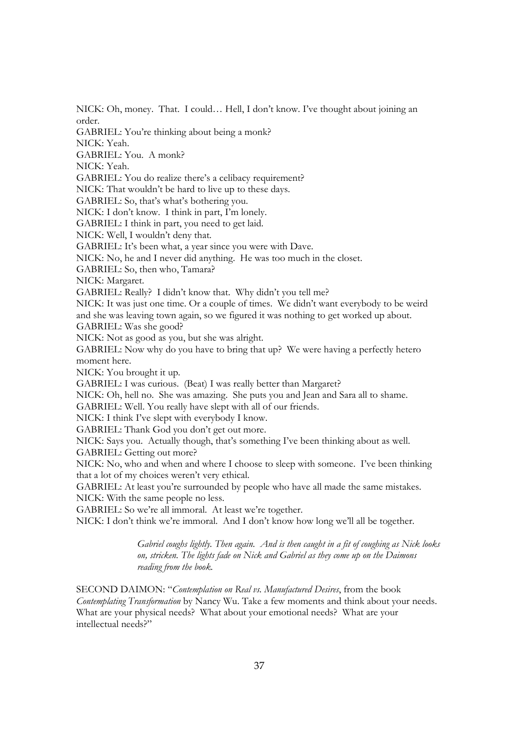NICK: Oh, money. That. I could… Hell, I don't know. I've thought about joining an order.

GABRIEL: You're thinking about being a monk?

NICK: Yeah.

GABRIEL: You. A monk?

NICK: Yeah.

GABRIEL: You do realize there's a celibacy requirement?

NICK: That wouldn't be hard to live up to these days.

GABRIEL: So, that's what's bothering you.

NICK: I don't know. I think in part, I'm lonely.

GABRIEL: I think in part, you need to get laid.

NICK: Well, I wouldn't deny that.

GABRIEL: It's been what, a year since you were with Dave.

NICK: No, he and I never did anything. He was too much in the closet.

GABRIEL: So, then who, Tamara?

NICK: Margaret.

GABRIEL: Really? I didn't know that. Why didn't you tell me?

NICK: It was just one time. Or a couple of times. We didn't want everybody to be weird and she was leaving town again, so we figured it was nothing to get worked up about.

GABRIEL: Was she good?

NICK: Not as good as you, but she was alright.

GABRIEL: Now why do you have to bring that up? We were having a perfectly hetero moment here.

NICK: You brought it up.

GABRIEL: I was curious. (Beat) I was really better than Margaret?

NICK: Oh, hell no. She was amazing. She puts you and Jean and Sara all to shame.

GABRIEL: Well. You really have slept with all of our friends.

NICK: I think I've slept with everybody I know.

GABRIEL: Thank God you don't get out more.

NICK: Says you. Actually though, that's something I've been thinking about as well.

GABRIEL: Getting out more?

NICK: No, who and when and where I choose to sleep with someone. I've been thinking that a lot of my choices weren't very ethical.

GABRIEL: At least you're surrounded by people who have all made the same mistakes. NICK: With the same people no less.

GABRIEL: So we're all immoral. At least we're together.

NICK: I don't think we're immoral. And I don't know how long we'll all be together.

*Gabriel coughs lightly. Then again. And is then caught in a fit of coughing as Nick looks on, stricken. The lights fade on Nick and Gabriel as they come up on the Daimons reading from the book.* 

SECOND DAIMON: "*Contemplation on Real vs. Manufactured Desires*, from the book *Contemplating Transformation* by Nancy Wu. Take a few moments and think about your needs. What are your physical needs? What about your emotional needs? What are your intellectual needs?"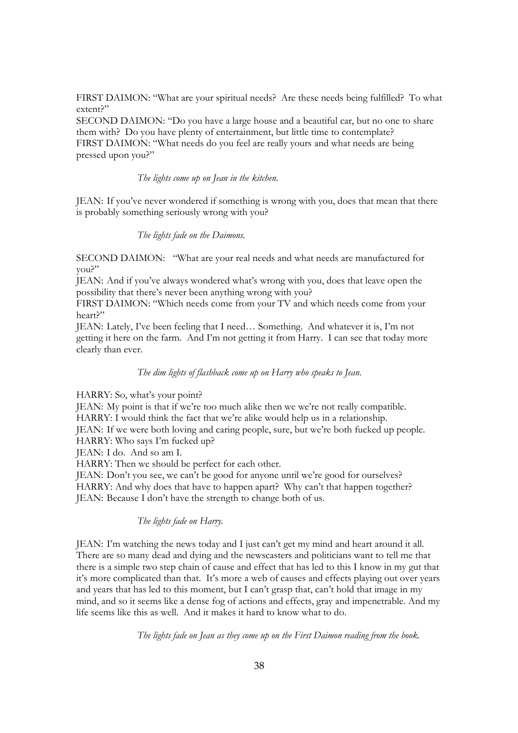FIRST DAIMON: "What are your spiritual needs? Are these needs being fulfilled? To what extent?"

SECOND DAIMON: "Do you have a large house and a beautiful car, but no one to share them with? Do you have plenty of entertainment, but little time to contemplate? FIRST DAIMON: "What needs do you feel are really yours and what needs are being pressed upon you?"

*The lights come up on Jean in the kitchen.*

JEAN: If you've never wondered if something is wrong with you, does that mean that there is probably something seriously wrong with you?

*The lights fade on the Daimons.* 

SECOND DAIMON: "What are your real needs and what needs are manufactured for you?"

JEAN: And if you've always wondered what's wrong with you, does that leave open the possibility that there's never been anything wrong with you?

FIRST DAIMON: "Which needs come from your TV and which needs come from your heart?"

JEAN: Lately, I've been feeling that I need… Something. And whatever it is, I'm not getting it here on the farm. And I'm not getting it from Harry. I can see that today more clearly than ever.

*The dim lights of flashback come up on Harry who speaks to Jean.*

HARRY: So, what's your point?

JEAN: My point is that if we're too much alike then we we're not really compatible. HARRY: I would think the fact that we're alike would help us in a relationship. JEAN: If we were both loving and caring people, sure, but we're both fucked up people.

HARRY: Who says I'm fucked up?

JEAN: I do. And so am I.

HARRY: Then we should be perfect for each other.

JEAN: Don't you see, we can't be good for anyone until we're good for ourselves? HARRY: And why does that have to happen apart? Why can't that happen together? JEAN: Because I don't have the strength to change both of us.

*The lights fade on Harry.* 

JEAN: I'm watching the news today and I just can't get my mind and heart around it all. There are so many dead and dying and the newscasters and politicians want to tell me that there is a simple two step chain of cause and effect that has led to this I know in my gut that it's more complicated than that. It's more a web of causes and effects playing out over years and years that has led to this moment, but I can't grasp that, can't hold that image in my mind, and so it seems like a dense fog of actions and effects, gray and impenetrable. And my life seems like this as well. And it makes it hard to know what to do.

*The lights fade on Jean as they come up on the First Daimon reading from the book.*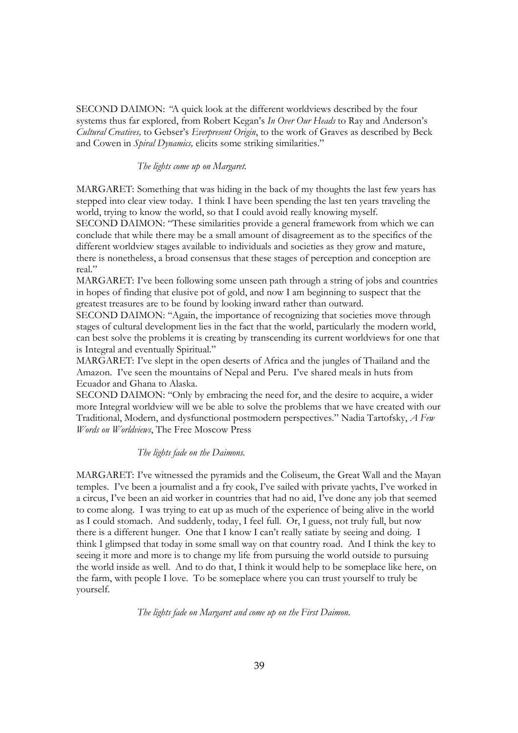SECOND DAIMON: *"*A quick look at the different worldviews described by the four systems thus far explored, from Robert Kegan's *In Over Our Heads* to Ray and Anderson's *Cultural Creatives,* to Gebser's *Everpresent Origin*, to the work of Graves as described by Beck and Cowen in *Spiral Dynamics,* elicits some striking similarities."

# *The lights come up on Margaret.*

MARGARET: Something that was hiding in the back of my thoughts the last few years has stepped into clear view today. I think I have been spending the last ten years traveling the world, trying to know the world, so that I could avoid really knowing myself. SECOND DAIMON: "These similarities provide a general framework from which we can conclude that while there may be a small amount of disagreement as to the specifics of the different worldview stages available to individuals and societies as they grow and mature, there is nonetheless, a broad consensus that these stages of perception and conception are real."

MARGARET: I've been following some unseen path through a string of jobs and countries in hopes of finding that elusive pot of gold, and now I am beginning to suspect that the greatest treasures are to be found by looking inward rather than outward.

SECOND DAIMON: "Again, the importance of recognizing that societies move through stages of cultural development lies in the fact that the world, particularly the modern world, can best solve the problems it is creating by transcending its current worldviews for one that is Integral and eventually Spiritual."

MARGARET: I've slept in the open deserts of Africa and the jungles of Thailand and the Amazon. I've seen the mountains of Nepal and Peru. I've shared meals in huts from Ecuador and Ghana to Alaska.

SECOND DAIMON: "Only by embracing the need for, and the desire to acquire, a wider more Integral worldview will we be able to solve the problems that we have created with our Traditional, Modern, and dysfunctional postmodern perspectives." Nadia Tartofsky, *A Few Words on Worldviews*, The Free Moscow Press

#### *The lights fade on the Daimons.*

MARGARET: I've witnessed the pyramids and the Coliseum, the Great Wall and the Mayan temples. I've been a journalist and a fry cook, I've sailed with private yachts, I've worked in a circus, I've been an aid worker in countries that had no aid, I've done any job that seemed to come along. I was trying to eat up as much of the experience of being alive in the world as I could stomach. And suddenly, today, I feel full. Or, I guess, not truly full, but now there is a different hunger. One that I know I can't really satiate by seeing and doing. I think I glimpsed that today in some small way on that country road. And I think the key to seeing it more and more is to change my life from pursuing the world outside to pursuing the world inside as well. And to do that, I think it would help to be someplace like here, on the farm, with people I love. To be someplace where you can trust yourself to truly be yourself.

*The lights fade on Margaret and come up on the First Daimon.*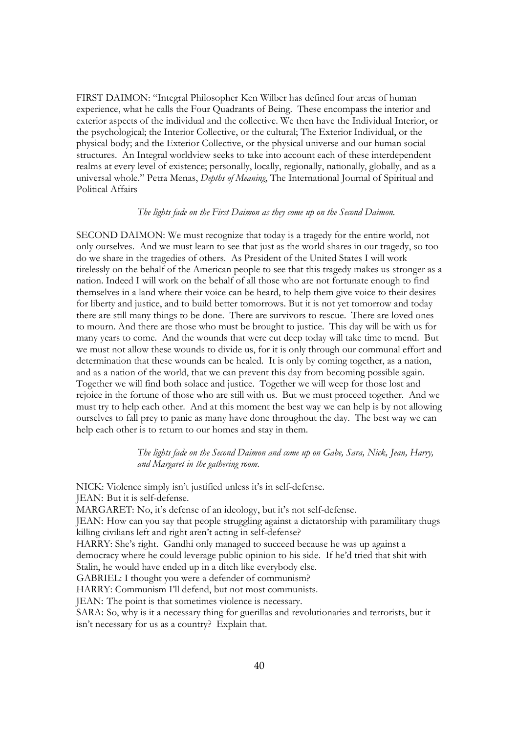FIRST DAIMON: "Integral Philosopher Ken Wilber has defined four areas of human experience, what he calls the Four Quadrants of Being. These encompass the interior and exterior aspects of the individual and the collective. We then have the Individual Interior, or the psychological; the Interior Collective, or the cultural; The Exterior Individual, or the physical body; and the Exterior Collective, or the physical universe and our human social structures. An Integral worldview seeks to take into account each of these interdependent realms at every level of existence; personally, locally, regionally, nationally, globally, and as a universal whole." Petra Menas, *Depths of Meaning*, The International Journal of Spiritual and Political Affairs

#### *The lights fade on the First Daimon as they come up on the Second Daimon.*

SECOND DAIMON: We must recognize that today is a tragedy for the entire world, not only ourselves. And we must learn to see that just as the world shares in our tragedy, so too do we share in the tragedies of others. As President of the United States I will work tirelessly on the behalf of the American people to see that this tragedy makes us stronger as a nation. Indeed I will work on the behalf of all those who are not fortunate enough to find themselves in a land where their voice can be heard, to help them give voice to their desires for liberty and justice, and to build better tomorrows. But it is not yet tomorrow and today there are still many things to be done. There are survivors to rescue. There are loved ones to mourn. And there are those who must be brought to justice. This day will be with us for many years to come. And the wounds that were cut deep today will take time to mend. But we must not allow these wounds to divide us, for it is only through our communal effort and determination that these wounds can be healed. It is only by coming together, as a nation, and as a nation of the world, that we can prevent this day from becoming possible again. Together we will find both solace and justice. Together we will weep for those lost and rejoice in the fortune of those who are still with us. But we must proceed together. And we must try to help each other. And at this moment the best way we can help is by not allowing ourselves to fall prey to panic as many have done throughout the day. The best way we can help each other is to return to our homes and stay in them.

> *The lights fade on the Second Daimon and come up on Gabe, Sara, Nick, Jean, Harry, and Margaret in the gathering room.*

NICK: Violence simply isn't justified unless it's in self-defense. JEAN: But it is self-defense. MARGARET: No, it's defense of an ideology, but it's not self-defense. JEAN: How can you say that people struggling against a dictatorship with paramilitary thugs killing civilians left and right aren't acting in self-defense? HARRY: She's right. Gandhi only managed to succeed because he was up against a democracy where he could leverage public opinion to his side. If he'd tried that shit with Stalin, he would have ended up in a ditch like everybody else. GABRIEL: I thought you were a defender of communism? HARRY: Communism I'll defend, but not most communists. JEAN: The point is that sometimes violence is necessary. SARA: So, why is it a necessary thing for guerillas and revolutionaries and terrorists, but it isn't necessary for us as a country? Explain that.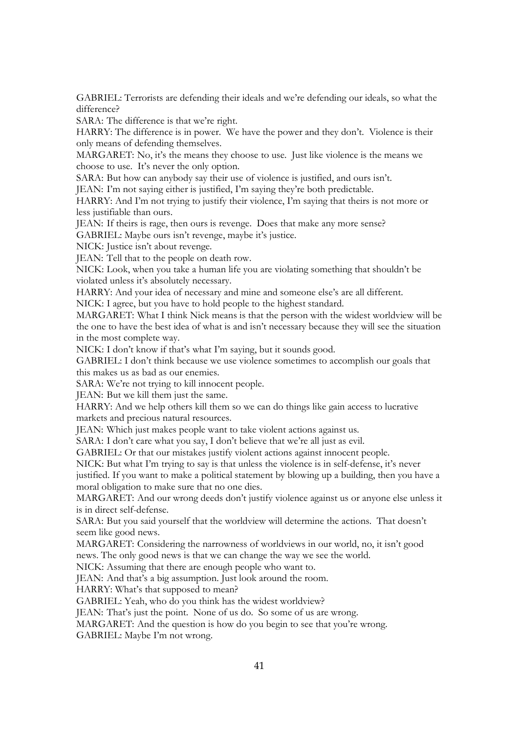GABRIEL: Terrorists are defending their ideals and we're defending our ideals, so what the difference?

SARA: The difference is that we're right.

HARRY: The difference is in power. We have the power and they don't. Violence is their only means of defending themselves.

MARGARET: No, it's the means they choose to use. Just like violence is the means we choose to use. It's never the only option.

SARA: But how can anybody say their use of violence is justified, and ours isn't.

JEAN: I'm not saying either is justified, I'm saying they're both predictable.

HARRY: And I'm not trying to justify their violence, I'm saying that theirs is not more or less justifiable than ours.

JEAN: If theirs is rage, then ours is revenge. Does that make any more sense?

GABRIEL: Maybe ours isn't revenge, maybe it's justice.

NICK: Justice isn't about revenge.

JEAN: Tell that to the people on death row.

NICK: Look, when you take a human life you are violating something that shouldn't be violated unless it's absolutely necessary.

HARRY: And your idea of necessary and mine and someone else's are all different.

NICK: I agree, but you have to hold people to the highest standard.

MARGARET: What I think Nick means is that the person with the widest worldview will be the one to have the best idea of what is and isn't necessary because they will see the situation in the most complete way.

NICK: I don't know if that's what I'm saying, but it sounds good.

GABRIEL: I don't think because we use violence sometimes to accomplish our goals that this makes us as bad as our enemies.

SARA: We're not trying to kill innocent people.

JEAN: But we kill them just the same.

HARRY: And we help others kill them so we can do things like gain access to lucrative markets and precious natural resources.

JEAN: Which just makes people want to take violent actions against us.

SARA: I don't care what you say, I don't believe that we're all just as evil.

GABRIEL: Or that our mistakes justify violent actions against innocent people.

NICK: But what I'm trying to say is that unless the violence is in self-defense, it's never

justified. If you want to make a political statement by blowing up a building, then you have a moral obligation to make sure that no one dies.

MARGARET: And our wrong deeds don't justify violence against us or anyone else unless it is in direct self-defense.

SARA: But you said yourself that the worldview will determine the actions. That doesn't seem like good news.

MARGARET: Considering the narrowness of worldviews in our world, no, it isn't good news. The only good news is that we can change the way we see the world.

NICK: Assuming that there are enough people who want to.

JEAN: And that's a big assumption. Just look around the room.

HARRY: What's that supposed to mean?

GABRIEL: Yeah, who do you think has the widest worldview?

JEAN: That's just the point. None of us do. So some of us are wrong.

MARGARET: And the question is how do you begin to see that you're wrong.

GABRIEL: Maybe I'm not wrong.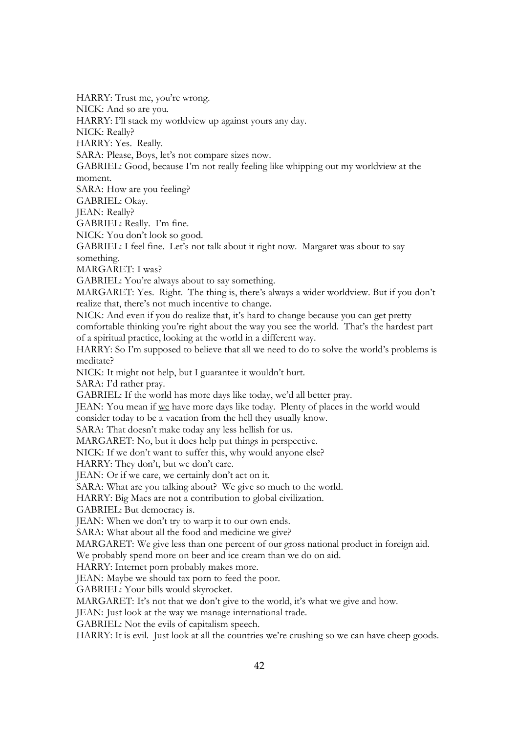HARRY: Trust me, you're wrong. NICK: And so are you. HARRY: I'll stack my worldview up against yours any day. NICK: Really? HARRY: Yes. Really. SARA: Please, Boys, let's not compare sizes now. GABRIEL: Good, because I'm not really feeling like whipping out my worldview at the moment. SARA: How are you feeling? GABRIEL: Okay. JEAN: Really? GABRIEL: Really. I'm fine. NICK: You don't look so good. GABRIEL: I feel fine. Let's not talk about it right now. Margaret was about to say something. MARGARET: I was? GABRIEL: You're always about to say something. MARGARET: Yes. Right. The thing is, there's always a wider worldview. But if you don't realize that, there's not much incentive to change. NICK: And even if you do realize that, it's hard to change because you can get pretty comfortable thinking you're right about the way you see the world. That's the hardest part of a spiritual practice, looking at the world in a different way. HARRY: So I'm supposed to believe that all we need to do to solve the world's problems is meditate? NICK: It might not help, but I guarantee it wouldn't hurt. SARA: I'd rather pray. GABRIEL: If the world has more days like today, we'd all better pray. JEAN: You mean if we have more days like today. Plenty of places in the world would consider today to be a vacation from the hell they usually know. SARA: That doesn't make today any less hellish for us. MARGARET: No, but it does help put things in perspective. NICK: If we don't want to suffer this, why would anyone else? HARRY: They don't, but we don't care. JEAN: Or if we care, we certainly don't act on it. SARA: What are you talking about? We give so much to the world. HARRY: Big Macs are not a contribution to global civilization. GABRIEL: But democracy is. JEAN: When we don't try to warp it to our own ends. SARA: What about all the food and medicine we give? MARGARET: We give less than one percent of our gross national product in foreign aid. We probably spend more on beer and ice cream than we do on aid. HARRY: Internet porn probably makes more. JEAN: Maybe we should tax porn to feed the poor. GABRIEL: Your bills would skyrocket. MARGARET: It's not that we don't give to the world, it's what we give and how. JEAN: Just look at the way we manage international trade. GABRIEL: Not the evils of capitalism speech. HARRY: It is evil. Just look at all the countries we're crushing so we can have cheep goods.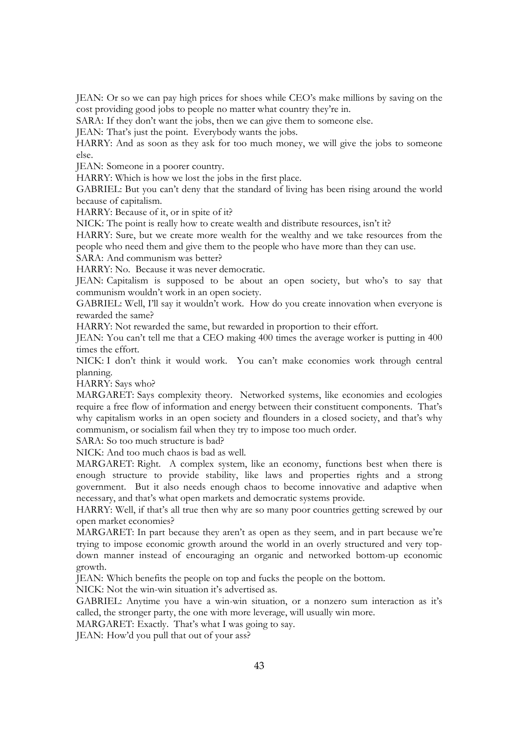JEAN: Or so we can pay high prices for shoes while CEO's make millions by saving on the cost providing good jobs to people no matter what country they're in.

SARA: If they don't want the jobs, then we can give them to someone else.

JEAN: That's just the point. Everybody wants the jobs.

HARRY: And as soon as they ask for too much money, we will give the jobs to someone else.

JEAN: Someone in a poorer country.

HARRY: Which is how we lost the jobs in the first place.

GABRIEL: But you can't deny that the standard of living has been rising around the world because of capitalism.

HARRY: Because of it, or in spite of it?

NICK: The point is really how to create wealth and distribute resources, isn't it?

HARRY: Sure, but we create more wealth for the wealthy and we take resources from the people who need them and give them to the people who have more than they can use.

SARA: And communism was better?

HARRY: No. Because it was never democratic.

JEAN: Capitalism is supposed to be about an open society, but who's to say that communism wouldn't work in an open society.

GABRIEL: Well, I'll say it wouldn't work. How do you create innovation when everyone is rewarded the same?

HARRY: Not rewarded the same, but rewarded in proportion to their effort.

JEAN: You can't tell me that a CEO making 400 times the average worker is putting in 400 times the effort.

NICK: I don't think it would work. You can't make economies work through central planning.

HARRY: Says who?

MARGARET: Says complexity theory. Networked systems, like economies and ecologies require a free flow of information and energy between their constituent components. That's why capitalism works in an open society and flounders in a closed society, and that's why communism, or socialism fail when they try to impose too much order.

SARA: So too much structure is bad?

NICK: And too much chaos is bad as well.

MARGARET: Right. A complex system, like an economy, functions best when there is enough structure to provide stability, like laws and properties rights and a strong government. But it also needs enough chaos to become innovative and adaptive when necessary, and that's what open markets and democratic systems provide.

HARRY: Well, if that's all true then why are so many poor countries getting screwed by our open market economies?

MARGARET: In part because they aren't as open as they seem, and in part because we're trying to impose economic growth around the world in an overly structured and very topdown manner instead of encouraging an organic and networked bottom-up economic growth.

JEAN: Which benefits the people on top and fucks the people on the bottom.

NICK: Not the win-win situation it's advertised as.

GABRIEL: Anytime you have a win-win situation, or a nonzero sum interaction as it's called, the stronger party, the one with more leverage, will usually win more.

MARGARET: Exactly. That's what I was going to say.

JEAN: How'd you pull that out of your ass?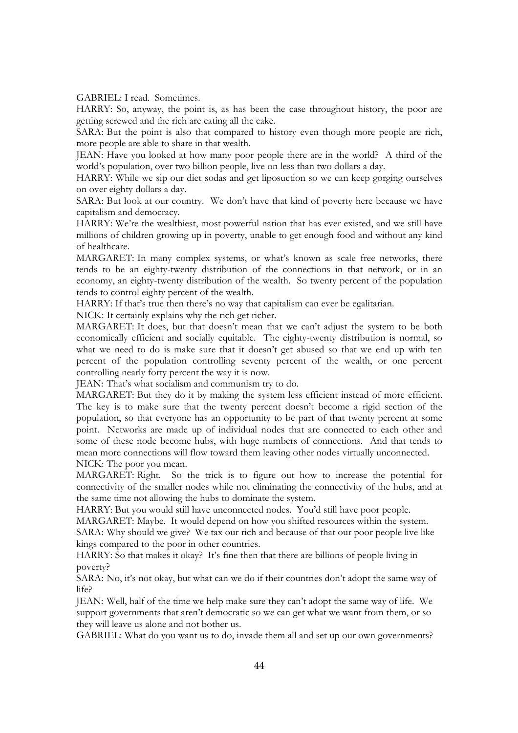GABRIEL: I read. Sometimes.

HARRY: So, anyway, the point is, as has been the case throughout history, the poor are getting screwed and the rich are eating all the cake.

SARA: But the point is also that compared to history even though more people are rich, more people are able to share in that wealth.

JEAN: Have you looked at how many poor people there are in the world? A third of the world's population, over two billion people, live on less than two dollars a day.

HARRY: While we sip our diet sodas and get liposuction so we can keep gorging ourselves on over eighty dollars a day.

SARA: But look at our country. We don't have that kind of poverty here because we have capitalism and democracy.

HARRY: We're the wealthiest, most powerful nation that has ever existed, and we still have millions of children growing up in poverty, unable to get enough food and without any kind of healthcare.

MARGARET: In many complex systems, or what's known as scale free networks, there tends to be an eighty-twenty distribution of the connections in that network, or in an economy, an eighty-twenty distribution of the wealth. So twenty percent of the population tends to control eighty percent of the wealth.

HARRY: If that's true then there's no way that capitalism can ever be egalitarian.

NICK: It certainly explains why the rich get richer.

MARGARET: It does, but that doesn't mean that we can't adjust the system to be both economically efficient and socially equitable. The eighty-twenty distribution is normal, so what we need to do is make sure that it doesn't get abused so that we end up with ten percent of the population controlling seventy percent of the wealth, or one percent controlling nearly forty percent the way it is now.

JEAN: That's what socialism and communism try to do.

MARGARET: But they do it by making the system less efficient instead of more efficient. The key is to make sure that the twenty percent doesn't become a rigid section of the population, so that everyone has an opportunity to be part of that twenty percent at some point. Networks are made up of individual nodes that are connected to each other and some of these node become hubs, with huge numbers of connections. And that tends to mean more connections will flow toward them leaving other nodes virtually unconnected. NICK: The poor you mean.

MARGARET: Right. So the trick is to figure out how to increase the potential for connectivity of the smaller nodes while not eliminating the connectivity of the hubs, and at the same time not allowing the hubs to dominate the system.

HARRY: But you would still have unconnected nodes. You'd still have poor people.

MARGARET: Maybe. It would depend on how you shifted resources within the system. SARA: Why should we give? We tax our rich and because of that our poor people live like

kings compared to the poor in other countries. HARRY: So that makes it okay? It's fine then that there are billions of people living in poverty?

SARA: No, it's not okay, but what can we do if their countries don't adopt the same way of life?

JEAN: Well, half of the time we help make sure they can't adopt the same way of life. We support governments that aren't democratic so we can get what we want from them, or so they will leave us alone and not bother us.

GABRIEL: What do you want us to do, invade them all and set up our own governments?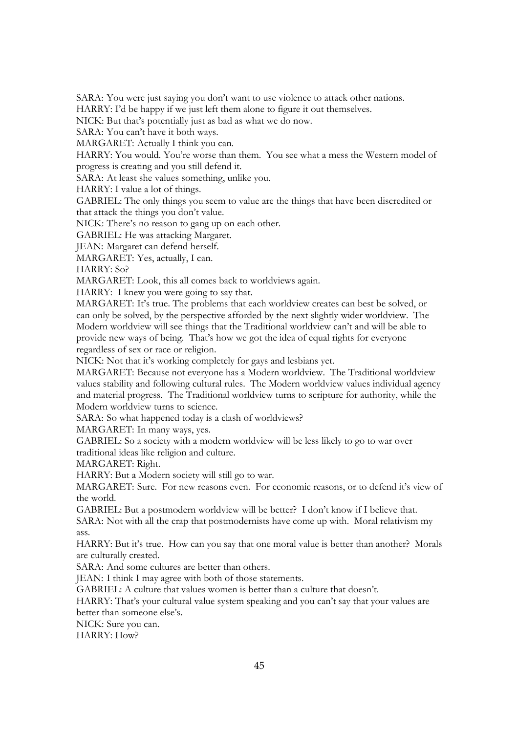SARA: You were just saying you don't want to use violence to attack other nations.

HARRY: I'd be happy if we just left them alone to figure it out themselves.

NICK: But that's potentially just as bad as what we do now.

SARA: You can't have it both ways.

MARGARET: Actually I think you can.

HARRY: You would. You're worse than them. You see what a mess the Western model of progress is creating and you still defend it.

SARA: At least she values something, unlike you.

HARRY: I value a lot of things.

GABRIEL: The only things you seem to value are the things that have been discredited or that attack the things you don't value.

NICK: There's no reason to gang up on each other.

GABRIEL: He was attacking Margaret.

JEAN: Margaret can defend herself.

MARGARET: Yes, actually, I can.

HARRY: So?

MARGARET: Look, this all comes back to worldviews again.

HARRY: I knew you were going to say that.

MARGARET: It's true. The problems that each worldview creates can best be solved, or can only be solved, by the perspective afforded by the next slightly wider worldview. The Modern worldview will see things that the Traditional worldview can't and will be able to provide new ways of being. That's how we got the idea of equal rights for everyone regardless of sex or race or religion.

NICK: Not that it's working completely for gays and lesbians yet.

MARGARET: Because not everyone has a Modern worldview. The Traditional worldview values stability and following cultural rules. The Modern worldview values individual agency and material progress. The Traditional worldview turns to scripture for authority, while the Modern worldview turns to science.

SARA: So what happened today is a clash of worldviews?

MARGARET: In many ways, yes.

GABRIEL: So a society with a modern worldview will be less likely to go to war over traditional ideas like religion and culture.

MARGARET: Right.

HARRY: But a Modern society will still go to war.

MARGARET: Sure. For new reasons even. For economic reasons, or to defend it's view of the world.

GABRIEL: But a postmodern worldview will be better? I don't know if I believe that.

SARA: Not with all the crap that postmodernists have come up with. Moral relativism my ass.

HARRY: But it's true. How can you say that one moral value is better than another? Morals are culturally created.

SARA: And some cultures are better than others.

JEAN: I think I may agree with both of those statements.

GABRIEL: A culture that values women is better than a culture that doesn't.

HARRY: That's your cultural value system speaking and you can't say that your values are better than someone else's.

NICK: Sure you can.

HARRY: How?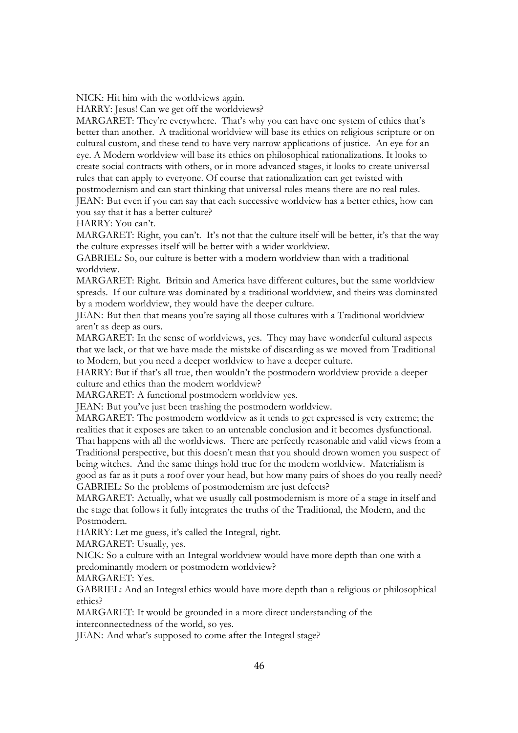NICK: Hit him with the worldviews again.

HARRY: Jesus! Can we get off the worldviews?

MARGARET: They're everywhere. That's why you can have one system of ethics that's better than another. A traditional worldview will base its ethics on religious scripture or on cultural custom, and these tend to have very narrow applications of justice. An eye for an eye. A Modern worldview will base its ethics on philosophical rationalizations. It looks to create social contracts with others, or in more advanced stages, it looks to create universal rules that can apply to everyone. Of course that rationalization can get twisted with postmodernism and can start thinking that universal rules means there are no real rules.

JEAN: But even if you can say that each successive worldview has a better ethics, how can you say that it has a better culture?

HARRY: You can't.

MARGARET: Right, you can't. It's not that the culture itself will be better, it's that the way the culture expresses itself will be better with a wider worldview.

GABRIEL: So, our culture is better with a modern worldview than with a traditional worldview.

MARGARET: Right. Britain and America have different cultures, but the same worldview spreads. If our culture was dominated by a traditional worldview, and theirs was dominated by a modern worldview, they would have the deeper culture.

JEAN: But then that means you're saying all those cultures with a Traditional worldview aren't as deep as ours.

MARGARET: In the sense of worldviews, yes. They may have wonderful cultural aspects that we lack, or that we have made the mistake of discarding as we moved from Traditional to Modern, but you need a deeper worldview to have a deeper culture.

HARRY: But if that's all true, then wouldn't the postmodern worldview provide a deeper culture and ethics than the modern worldview?

MARGARET: A functional postmodern worldview yes.

JEAN: But you've just been trashing the postmodern worldview.

MARGARET: The postmodern worldview as it tends to get expressed is very extreme; the realities that it exposes are taken to an untenable conclusion and it becomes dysfunctional.

That happens with all the worldviews. There are perfectly reasonable and valid views from a Traditional perspective, but this doesn't mean that you should drown women you suspect of being witches. And the same things hold true for the modern worldview. Materialism is good as far as it puts a roof over your head, but how many pairs of shoes do you really need? GABRIEL: So the problems of postmodernism are just defects?

MARGARET: Actually, what we usually call postmodernism is more of a stage in itself and the stage that follows it fully integrates the truths of the Traditional, the Modern, and the Postmodern.

HARRY: Let me guess, it's called the Integral, right.

MARGARET: Usually, yes.

NICK: So a culture with an Integral worldview would have more depth than one with a predominantly modern or postmodern worldview?

MARGARET: Yes.

GABRIEL: And an Integral ethics would have more depth than a religious or philosophical ethics?

MARGARET: It would be grounded in a more direct understanding of the interconnectedness of the world, so yes.

JEAN: And what's supposed to come after the Integral stage?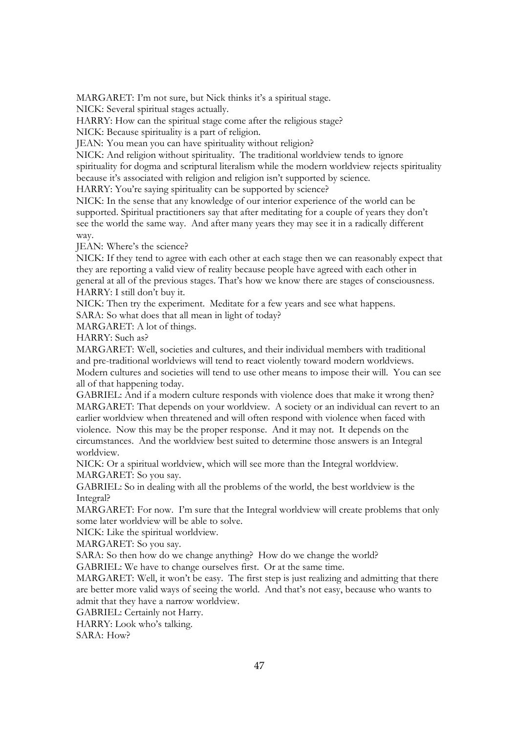MARGARET: I'm not sure, but Nick thinks it's a spiritual stage.

NICK: Several spiritual stages actually.

HARRY: How can the spiritual stage come after the religious stage?

NICK: Because spirituality is a part of religion.

JEAN: You mean you can have spirituality without religion?

NICK: And religion without spirituality. The traditional worldview tends to ignore spirituality for dogma and scriptural literalism while the modern worldview rejects spirituality because it's associated with religion and religion isn't supported by science.

HARRY: You're saying spirituality can be supported by science?

NICK: In the sense that any knowledge of our interior experience of the world can be supported. Spiritual practitioners say that after meditating for a couple of years they don't see the world the same way. And after many years they may see it in a radically different way.

JEAN: Where's the science?

NICK: If they tend to agree with each other at each stage then we can reasonably expect that they are reporting a valid view of reality because people have agreed with each other in general at all of the previous stages. That's how we know there are stages of consciousness. HARRY: I still don't buy it.

NICK: Then try the experiment. Meditate for a few years and see what happens.

SARA: So what does that all mean in light of today?

MARGARET: A lot of things.

HARRY: Such as?

MARGARET: Well, societies and cultures, and their individual members with traditional and pre-traditional worldviews will tend to react violently toward modern worldviews. Modern cultures and societies will tend to use other means to impose their will. You can see all of that happening today.

GABRIEL: And if a modern culture responds with violence does that make it wrong then? MARGARET: That depends on your worldview. A society or an individual can revert to an earlier worldview when threatened and will often respond with violence when faced with violence. Now this may be the proper response. And it may not. It depends on the circumstances. And the worldview best suited to determine those answers is an Integral worldview.

NICK: Or a spiritual worldview, which will see more than the Integral worldview. MARGARET: So you say.

GABRIEL: So in dealing with all the problems of the world, the best worldview is the Integral?

MARGARET: For now. I'm sure that the Integral worldview will create problems that only some later worldview will be able to solve.

NICK: Like the spiritual worldview.

MARGARET: So you say.

SARA: So then how do we change anything? How do we change the world?

GABRIEL: We have to change ourselves first. Or at the same time.

MARGARET: Well, it won't be easy. The first step is just realizing and admitting that there are better more valid ways of seeing the world. And that's not easy, because who wants to admit that they have a narrow worldview.

GABRIEL: Certainly not Harry.

HARRY: Look who's talking.

SARA: How?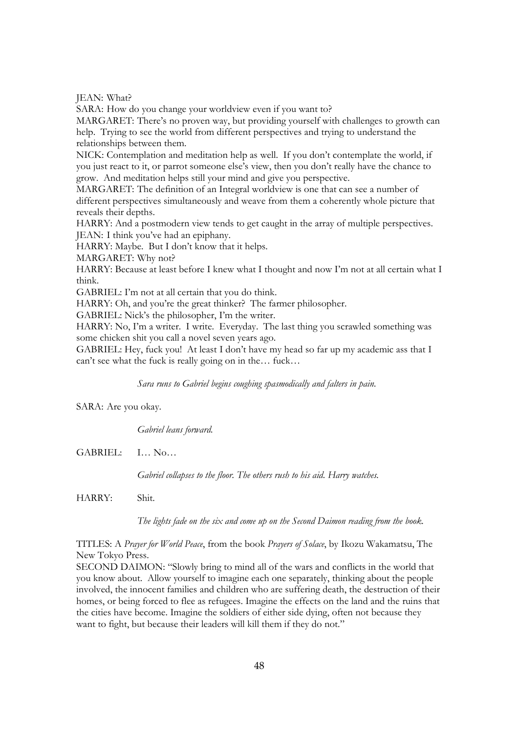JEAN: What?

SARA: How do you change your worldview even if you want to?

MARGARET: There's no proven way, but providing yourself with challenges to growth can help. Trying to see the world from different perspectives and trying to understand the relationships between them.

NICK: Contemplation and meditation help as well. If you don't contemplate the world, if you just react to it, or parrot someone else's view, then you don't really have the chance to grow. And meditation helps still your mind and give you perspective.

MARGARET: The definition of an Integral worldview is one that can see a number of different perspectives simultaneously and weave from them a coherently whole picture that reveals their depths.

HARRY: And a postmodern view tends to get caught in the array of multiple perspectives. JEAN: I think you've had an epiphany.

HARRY: Maybe. But I don't know that it helps.

MARGARET: Why not?

HARRY: Because at least before I knew what I thought and now I'm not at all certain what I think.

GABRIEL: I'm not at all certain that you do think.

HARRY: Oh, and you're the great thinker? The farmer philosopher.

GABRIEL: Nick's the philosopher, I'm the writer.

HARRY: No, I'm a writer. I write. Everyday. The last thing you scrawled something was some chicken shit you call a novel seven years ago.

GABRIEL: Hey, fuck you! At least I don't have my head so far up my academic ass that I can't see what the fuck is really going on in the… fuck…

*Sara runs to Gabriel begins coughing spasmodically and falters in pain.* 

SARA: Are you okay.

*Gabriel leans forward.* 

GABRIEL: I… No…

*Gabriel collapses to the floor. The others rush to his aid. Harry watches.* 

HARRY: Shit.

*The lights fade on the six and come up on the Second Daimon reading from the book.* 

TITLES: A *Prayer for World Peace*, from the book *Prayers of Solace*, by Ikozu Wakamatsu, The New Tokyo Press.

SECOND DAIMON: "Slowly bring to mind all of the wars and conflicts in the world that you know about. Allow yourself to imagine each one separately, thinking about the people involved, the innocent families and children who are suffering death, the destruction of their homes, or being forced to flee as refugees. Imagine the effects on the land and the ruins that the cities have become. Imagine the soldiers of either side dying, often not because they want to fight, but because their leaders will kill them if they do not."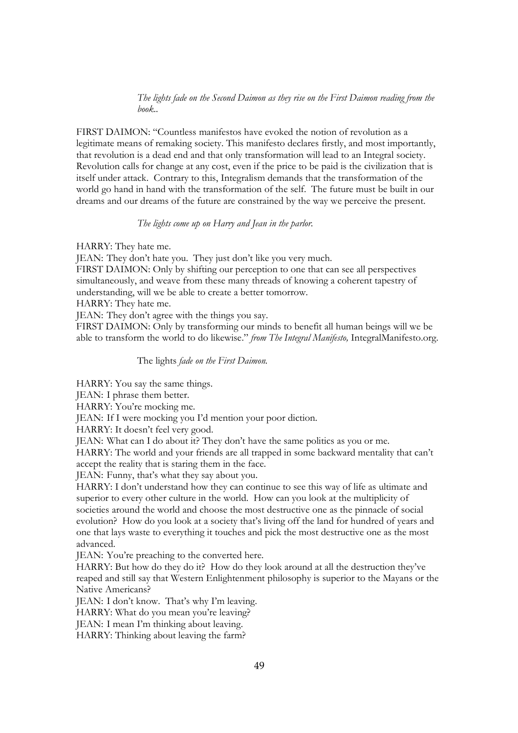# *The lights fade on the Second Daimon as they rise on the First Daimon reading from the book..*

FIRST DAIMON: "Countless manifestos have evoked the notion of revolution as a legitimate means of remaking society. This manifesto declares firstly, and most importantly, that revolution is a dead end and that only transformation will lead to an Integral society. Revolution calls for change at any cost, even if the price to be paid is the civilization that is itself under attack. Contrary to this, Integralism demands that the transformation of the world go hand in hand with the transformation of the self. The future must be built in our dreams and our dreams of the future are constrained by the way we perceive the present.

# *The lights come up on Harry and Jean in the parlor.*

HARRY: They hate me.

JEAN: They don't hate you. They just don't like you very much.

FIRST DAIMON: Only by shifting our perception to one that can see all perspectives simultaneously, and weave from these many threads of knowing a coherent tapestry of understanding, will we be able to create a better tomorrow.

HARRY: They hate me.

JEAN: They don't agree with the things you say.

FIRST DAIMON: Only by transforming our minds to benefit all human beings will we be able to transform the world to do likewise." *from The Integral Manifesto,* IntegralManifesto.org.

The lights *fade on the First Daimon.*

HARRY: You say the same things.

JEAN: I phrase them better.

HARRY: You're mocking me.

JEAN: If I were mocking you I'd mention your poor diction.

HARRY: It doesn't feel very good.

JEAN: What can I do about it? They don't have the same politics as you or me.

HARRY: The world and your friends are all trapped in some backward mentality that can't accept the reality that is staring them in the face.

JEAN: Funny, that's what they say about you.

HARRY: I don't understand how they can continue to see this way of life as ultimate and superior to every other culture in the world. How can you look at the multiplicity of societies around the world and choose the most destructive one as the pinnacle of social evolution? How do you look at a society that's living off the land for hundred of years and one that lays waste to everything it touches and pick the most destructive one as the most advanced.

JEAN: You're preaching to the converted here.

HARRY: But how do they do it? How do they look around at all the destruction they've reaped and still say that Western Enlightenment philosophy is superior to the Mayans or the Native Americans?

JEAN: I don't know. That's why I'm leaving.

HARRY: What do you mean you're leaving?

JEAN: I mean I'm thinking about leaving.

HARRY: Thinking about leaving the farm?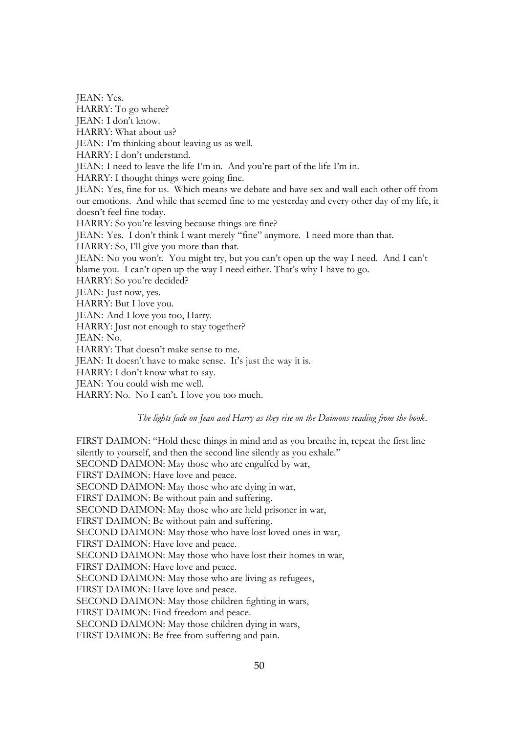JEAN: Yes. HARRY: To go where? JEAN: I don't know. HARRY: What about us? JEAN: I'm thinking about leaving us as well. HARRY: I don't understand. JEAN: I need to leave the life I'm in. And you're part of the life I'm in. HARRY: I thought things were going fine. JEAN: Yes, fine for us. Which means we debate and have sex and wall each other off from our emotions. And while that seemed fine to me yesterday and every other day of my life, it doesn't feel fine today. HARRY: So you're leaving because things are fine? JEAN: Yes. I don't think I want merely "fine" anymore. I need more than that. HARRY: So, I'll give you more than that. JEAN: No you won't. You might try, but you can't open up the way I need. And I can't blame you. I can't open up the way I need either. That's why I have to go. HARRY: So you're decided? JEAN: Just now, yes. HARRY: But I love you. JEAN: And I love you too, Harry. HARRY: Just not enough to stay together? JEAN: No. HARRY: That doesn't make sense to me. JEAN: It doesn't have to make sense. It's just the way it is. HARRY: I don't know what to say. JEAN: You could wish me well.

HARRY: No. No I can't. I love you too much.

#### *The lights fade on Jean and Harry as they rise on the Daimons reading from the book.*

FIRST DAIMON: "Hold these things in mind and as you breathe in, repeat the first line silently to yourself, and then the second line silently as you exhale." SECOND DAIMON: May those who are engulfed by war, FIRST DAIMON: Have love and peace. SECOND DAIMON: May those who are dying in war, FIRST DAIMON: Be without pain and suffering. SECOND DAIMON: May those who are held prisoner in war, FIRST DAIMON: Be without pain and suffering. SECOND DAIMON: May those who have lost loved ones in war, FIRST DAIMON: Have love and peace. SECOND DAIMON: May those who have lost their homes in war, FIRST DAIMON: Have love and peace. SECOND DAIMON: May those who are living as refugees, FIRST DAIMON: Have love and peace. SECOND DAIMON: May those children fighting in wars, FIRST DAIMON: Find freedom and peace. SECOND DAIMON: May those children dying in wars, FIRST DAIMON: Be free from suffering and pain.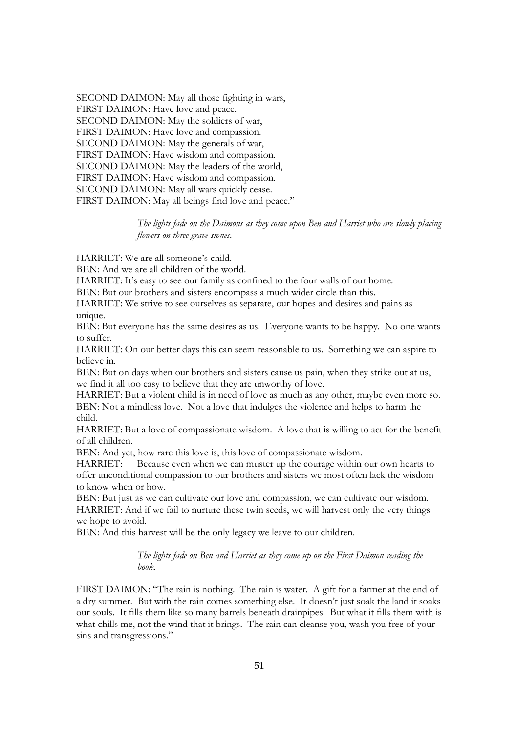SECOND DAIMON: May all those fighting in wars, FIRST DAIMON: Have love and peace. SECOND DAIMON: May the soldiers of war, FIRST DAIMON: Have love and compassion. SECOND DAIMON: May the generals of war, FIRST DAIMON: Have wisdom and compassion. SECOND DAIMON: May the leaders of the world, FIRST DAIMON: Have wisdom and compassion. SECOND DAIMON: May all wars quickly cease. FIRST DAIMON: May all beings find love and peace."

> *The lights fade on the Daimons as they come upon Ben and Harriet who are slowly placing flowers on three grave stones.*

HARRIET: We are all someone's child.

BEN: And we are all children of the world.

HARRIET: It's easy to see our family as confined to the four walls of our home.

BEN: But our brothers and sisters encompass a much wider circle than this.

HARRIET: We strive to see ourselves as separate, our hopes and desires and pains as unique.

BEN: But everyone has the same desires as us. Everyone wants to be happy. No one wants to suffer.

HARRIET: On our better days this can seem reasonable to us. Something we can aspire to believe in.

BEN: But on days when our brothers and sisters cause us pain, when they strike out at us, we find it all too easy to believe that they are unworthy of love.

HARRIET: But a violent child is in need of love as much as any other, maybe even more so. BEN: Not a mindless love. Not a love that indulges the violence and helps to harm the child.

HARRIET: But a love of compassionate wisdom. A love that is willing to act for the benefit of all children.

BEN: And yet, how rare this love is, this love of compassionate wisdom.

HARRIET: Because even when we can muster up the courage within our own hearts to offer unconditional compassion to our brothers and sisters we most often lack the wisdom to know when or how.

BEN: But just as we can cultivate our love and compassion, we can cultivate our wisdom. HARRIET: And if we fail to nurture these twin seeds, we will harvest only the very things we hope to avoid.

BEN: And this harvest will be the only legacy we leave to our children.

*The lights fade on Ben and Harriet as they come up on the First Daimon reading the book.* 

FIRST DAIMON: "The rain is nothing. The rain is water. A gift for a farmer at the end of a dry summer. But with the rain comes something else. It doesn't just soak the land it soaks our souls. It fills them like so many barrels beneath drainpipes. But what it fills them with is what chills me, not the wind that it brings. The rain can cleanse you, wash you free of your sins and transgressions."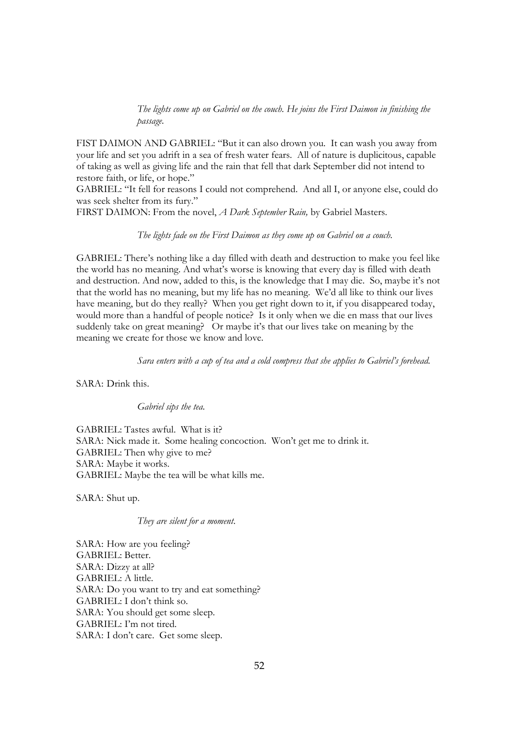*The lights come up on Gabriel on the couch. He joins the First Daimon in finishing the passage.*

FIST DAIMON AND GABRIEL: "But it can also drown you. It can wash you away from your life and set you adrift in a sea of fresh water fears. All of nature is duplicitous, capable of taking as well as giving life and the rain that fell that dark September did not intend to restore faith, or life, or hope."

GABRIEL: "It fell for reasons I could not comprehend. And all I, or anyone else, could do was seek shelter from its fury."

FIRST DAIMON: From the novel, *A Dark September Rain,* by Gabriel Masters.

*The lights fade on the First Daimon as they come up on Gabriel on a couch.* 

GABRIEL: There's nothing like a day filled with death and destruction to make you feel like the world has no meaning. And what's worse is knowing that every day is filled with death and destruction. And now, added to this, is the knowledge that I may die. So, maybe it's not that the world has no meaning, but my life has no meaning. We'd all like to think our lives have meaning, but do they really? When you get right down to it, if you disappeared today, would more than a handful of people notice? Is it only when we die en mass that our lives suddenly take on great meaning? Or maybe it's that our lives take on meaning by the meaning we create for those we know and love.

*Sara enters with a cup of tea and a cold compress that she applies to Gabriel's forehead.* 

SARA: Drink this.

*Gabriel sips the tea.*

GABRIEL: Tastes awful. What is it? SARA: Nick made it. Some healing concoction. Won't get me to drink it. GABRIEL: Then why give to me? SARA: Maybe it works. GABRIEL: Maybe the tea will be what kills me.

SARA: Shut up.

*They are silent for a moment*.

SARA: How are you feeling? GABRIEL: Better. SARA: Dizzy at all? GABRIEL: A little. SARA: Do you want to try and eat something? GABRIEL: I don't think so. SARA: You should get some sleep. GABRIEL: I'm not tired. SARA: I don't care. Get some sleep.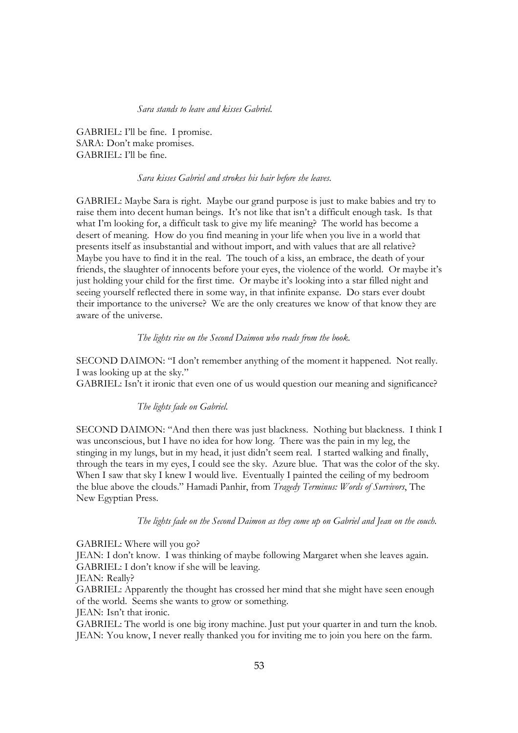*Sara stands to leave and kisses Gabriel.*

GABRIEL: I'll be fine. I promise. SARA: Don't make promises. GABRIEL: I'll be fine.

#### *Sara kisses Gabriel and strokes his hair before she leaves.*

GABRIEL: Maybe Sara is right. Maybe our grand purpose is just to make babies and try to raise them into decent human beings. It's not like that isn't a difficult enough task. Is that what I'm looking for, a difficult task to give my life meaning? The world has become a desert of meaning. How do you find meaning in your life when you live in a world that presents itself as insubstantial and without import, and with values that are all relative? Maybe you have to find it in the real. The touch of a kiss, an embrace, the death of your friends, the slaughter of innocents before your eyes, the violence of the world. Or maybe it's just holding your child for the first time. Or maybe it's looking into a star filled night and seeing yourself reflected there in some way, in that infinite expanse. Do stars ever doubt their importance to the universe? We are the only creatures we know of that know they are aware of the universe.

# *The lights rise on the Second Daimon who reads from the book.*

SECOND DAIMON: "I don't remember anything of the moment it happened. Not really. I was looking up at the sky."

GABRIEL: Isn't it ironic that even one of us would question our meaning and significance?

# *The lights fade on Gabriel.*

SECOND DAIMON: "And then there was just blackness. Nothing but blackness. I think I was unconscious, but I have no idea for how long. There was the pain in my leg, the stinging in my lungs, but in my head, it just didn't seem real. I started walking and finally, through the tears in my eyes, I could see the sky. Azure blue. That was the color of the sky. When I saw that sky I knew I would live. Eventually I painted the ceiling of my bedroom the blue above the clouds." Hamadi Panhir, from *Tragedy Terminus: Words of Survivors*, The New Egyptian Press*.* 

*The lights fade on the Second Daimon as they come up on Gabriel and Jean on the couch.* 

#### GABRIEL: Where will you go?

JEAN: I don't know. I was thinking of maybe following Margaret when she leaves again. GABRIEL: I don't know if she will be leaving.

JEAN: Really?

GABRIEL: Apparently the thought has crossed her mind that she might have seen enough of the world. Seems she wants to grow or something.

JEAN: Isn't that ironic.

GABRIEL: The world is one big irony machine. Just put your quarter in and turn the knob. JEAN: You know, I never really thanked you for inviting me to join you here on the farm.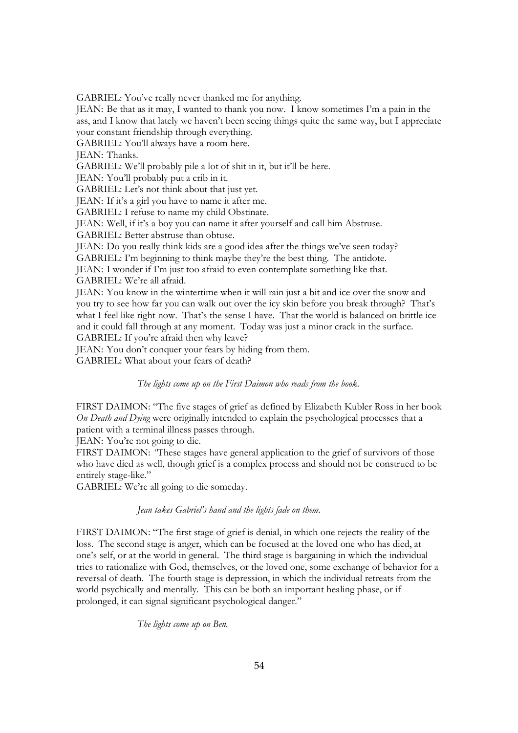GABRIEL: You've really never thanked me for anything.

JEAN: Be that as it may, I wanted to thank you now. I know sometimes I'm a pain in the ass, and I know that lately we haven't been seeing things quite the same way, but I appreciate your constant friendship through everything.

GABRIEL: You'll always have a room here.

JEAN: Thanks.

GABRIEL: We'll probably pile a lot of shit in it, but it'll be here.

JEAN: You'll probably put a crib in it.

GABRIEL: Let's not think about that just yet.

JEAN: If it's a girl you have to name it after me.

GABRIEL: I refuse to name my child Obstinate.

JEAN: Well, if it's a boy you can name it after yourself and call him Abstruse.

GABRIEL: Better abstruse than obtuse.

JEAN: Do you really think kids are a good idea after the things we've seen today?

GABRIEL: I'm beginning to think maybe they're the best thing. The antidote.

JEAN: I wonder if I'm just too afraid to even contemplate something like that.

GABRIEL: We're all afraid.

JEAN: You know in the wintertime when it will rain just a bit and ice over the snow and you try to see how far you can walk out over the icy skin before you break through? That's what I feel like right now. That's the sense I have. That the world is balanced on brittle ice and it could fall through at any moment. Today was just a minor crack in the surface. GABRIEL: If you're afraid then why leave?

JEAN: You don't conquer your fears by hiding from them.

GABRIEL: What about your fears of death?

*The lights come up on the First Daimon who reads from the book.* 

FIRST DAIMON: "The five stages of grief as defined by Elizabeth Kubler Ross in her book *On Death and Dying* were originally intended to explain the psychological processes that a patient with a terminal illness passes through.

JEAN: You're not going to die.

FIRST DAIMON: *"*These stages have general application to the grief of survivors of those who have died as well, though grief is a complex process and should not be construed to be entirely stage-like."

GABRIEL: We're all going to die someday.

# *Jean takes Gabriel's hand and the lights fade on them.*

FIRST DAIMON: "The first stage of grief is denial, in which one rejects the reality of the loss. The second stage is anger, which can be focused at the loved one who has died, at one's self, or at the world in general. The third stage is bargaining in which the individual tries to rationalize with God, themselves, or the loved one, some exchange of behavior for a reversal of death. The fourth stage is depression, in which the individual retreats from the world psychically and mentally. This can be both an important healing phase, or if prolonged, it can signal significant psychological danger."

*The lights come up on Ben.*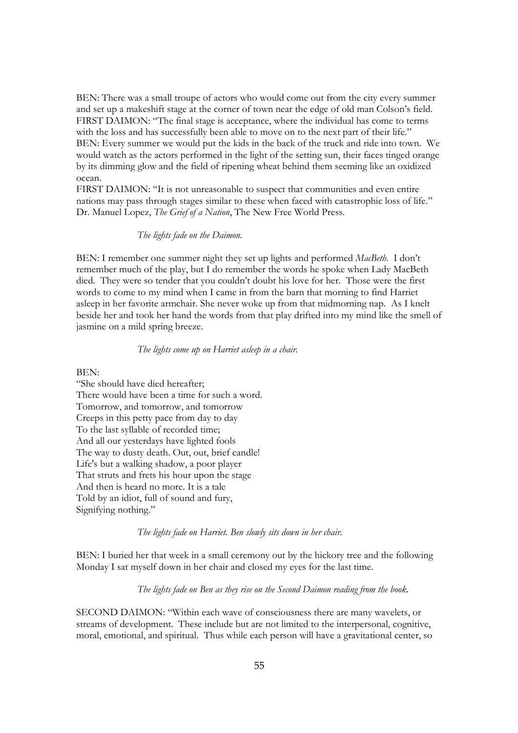BEN: There was a small troupe of actors who would come out from the city every summer and set up a makeshift stage at the corner of town near the edge of old man Colson's field. FIRST DAIMON: "The final stage is acceptance, where the individual has come to terms with the loss and has successfully been able to move on to the next part of their life." BEN: Every summer we would put the kids in the back of the truck and ride into town. We would watch as the actors performed in the light of the setting sun, their faces tinged orange by its dimming glow and the field of ripening wheat behind them seeming like an oxidized ocean.

FIRST DAIMON: "It is not unreasonable to suspect that communities and even entire nations may pass through stages similar to these when faced with catastrophic loss of life." Dr. Manuel Lopez, *The Grief of a Nation*, The New Free World Press.

# *The lights fade on the Daimon.*

BEN: I remember one summer night they set up lights and performed *MacBeth*. I don't remember much of the play, but I do remember the words he spoke when Lady MacBeth died. They were so tender that you couldn't doubt his love for her. Those were the first words to come to my mind when I came in from the barn that morning to find Harriet asleep in her favorite armchair. She never woke up from that midmorning nap. As I knelt beside her and took her hand the words from that play drifted into my mind like the smell of jasmine on a mild spring breeze.

# *The lights come up on Harriet asleep in a chair.*

BEN:

"She should have died hereafter; There would have been a time for such a word. Tomorrow, and tomorrow, and tomorrow Creeps in this petty pace from day to day To the last syllable of recorded time; And all our yesterdays have lighted fools The way to dusty death. Out, out, brief candle! Life's but a walking shadow, a poor player That struts and frets his hour upon the stage And then is heard no more. It is a tale Told by an idiot, full of sound and fury, Signifying nothing."

*The lights fade on Harriet. Ben slowly sits down in her chair.* 

BEN: I buried her that week in a small ceremony out by the hickory tree and the following Monday I sat myself down in her chair and closed my eyes for the last time.

*The lights fade on Ben as they rise on the Second Daimon reading from the book.* 

SECOND DAIMON: "Within each wave of consciousness there are many wavelets, or streams of development. These include but are not limited to the interpersonal, cognitive, moral, emotional, and spiritual. Thus while each person will have a gravitational center, so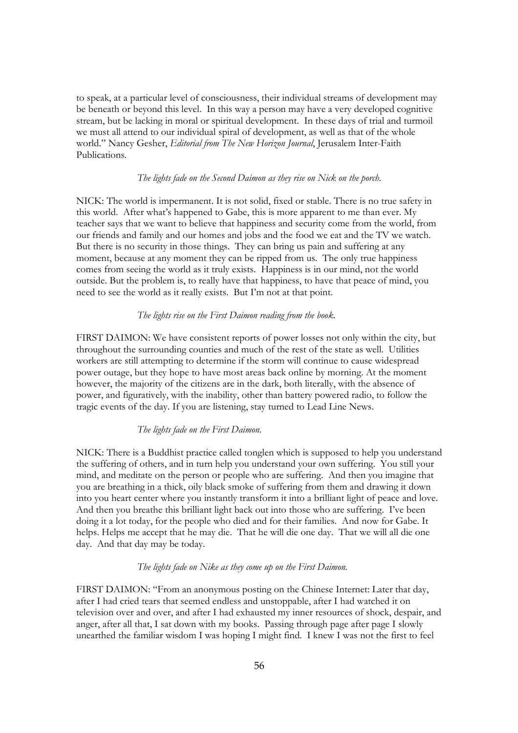to speak, at a particular level of consciousness, their individual streams of development may be beneath or beyond this level. In this way a person may have a very developed cognitive stream, but be lacking in moral or spiritual development. In these days of trial and turmoil we must all attend to our individual spiral of development, as well as that of the whole world." Nancy Gesher, *Editorial from The New Horizon Journal*, Jerusalem Inter-Faith Publications*.*

# *The lights fade on the Second Daimon as they rise on Nick on the porch.*

NICK: The world is impermanent. It is not solid, fixed or stable. There is no true safety in this world. After what's happened to Gabe, this is more apparent to me than ever. My teacher says that we want to believe that happiness and security come from the world, from our friends and family and our homes and jobs and the food we eat and the TV we watch. But there is no security in those things. They can bring us pain and suffering at any moment, because at any moment they can be ripped from us. The only true happiness comes from seeing the world as it truly exists. Happiness is in our mind, not the world outside. But the problem is, to really have that happiness, to have that peace of mind, you need to see the world as it really exists. But I'm not at that point.

## *The lights rise on the First Daimon reading from the book.*

FIRST DAIMON: We have consistent reports of power losses not only within the city, but throughout the surrounding counties and much of the rest of the state as well. Utilities workers are still attempting to determine if the storm will continue to cause widespread power outage, but they hope to have most areas back online by morning. At the moment however, the majority of the citizens are in the dark, both literally, with the absence of power, and figuratively, with the inability, other than battery powered radio, to follow the tragic events of the day. If you are listening, stay turned to Lead Line News.

## *The lights fade on the First Daimon.*

NICK: There is a Buddhist practice called tonglen which is supposed to help you understand the suffering of others, and in turn help you understand your own suffering. You still your mind, and meditate on the person or people who are suffering. And then you imagine that you are breathing in a thick, oily black smoke of suffering from them and drawing it down into you heart center where you instantly transform it into a brilliant light of peace and love. And then you breathe this brilliant light back out into those who are suffering. I've been doing it a lot today, for the people who died and for their families. And now for Gabe. It helps. Helps me accept that he may die. That he will die one day. That we will all die one day. And that day may be today.

## *The lights fade on Nike as they come up on the First Daimon.*

FIRST DAIMON: "From an anonymous posting on the Chinese Internet: Later that day, after I had cried tears that seemed endless and unstoppable, after I had watched it on television over and over, and after I had exhausted my inner resources of shock, despair, and anger, after all that, I sat down with my books. Passing through page after page I slowly unearthed the familiar wisdom I was hoping I might find. I knew I was not the first to feel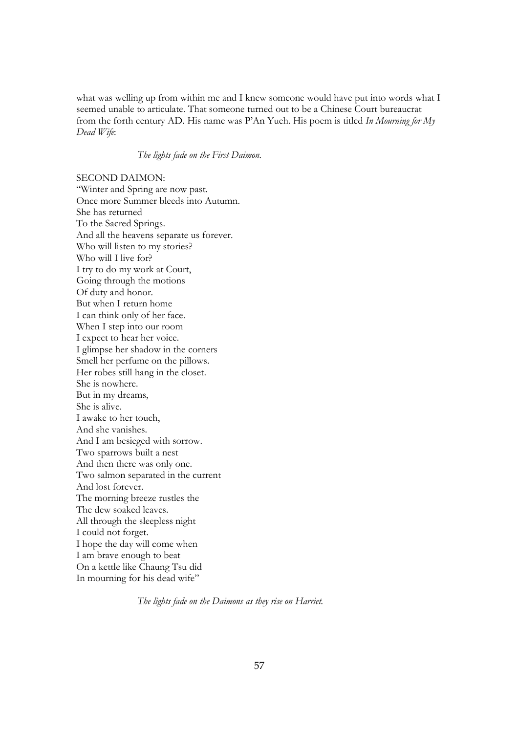what was welling up from within me and I knew someone would have put into words what I seemed unable to articulate. That someone turned out to be a Chinese Court bureaucrat from the forth century AD. His name was P'An Yueh. His poem is titled *In Mourning for My Dead Wife*:

*The lights fade on the First Daimon.* 

SECOND DAIMON: "Winter and Spring are now past. Once more Summer bleeds into Autumn. She has returned To the Sacred Springs. And all the heavens separate us forever. Who will listen to my stories? Who will I live for? I try to do my work at Court, Going through the motions Of duty and honor. But when I return home I can think only of her face. When I step into our room I expect to hear her voice. I glimpse her shadow in the corners Smell her perfume on the pillows. Her robes still hang in the closet. She is nowhere. But in my dreams, She is alive. I awake to her touch, And she vanishes. And I am besieged with sorrow. Two sparrows built a nest And then there was only one. Two salmon separated in the current And lost forever. The morning breeze rustles the The dew soaked leaves. All through the sleepless night I could not forget. I hope the day will come when I am brave enough to beat On a kettle like Chaung Tsu did In mourning for his dead wife"

*The lights fade on the Daimons as they rise on Harriet.*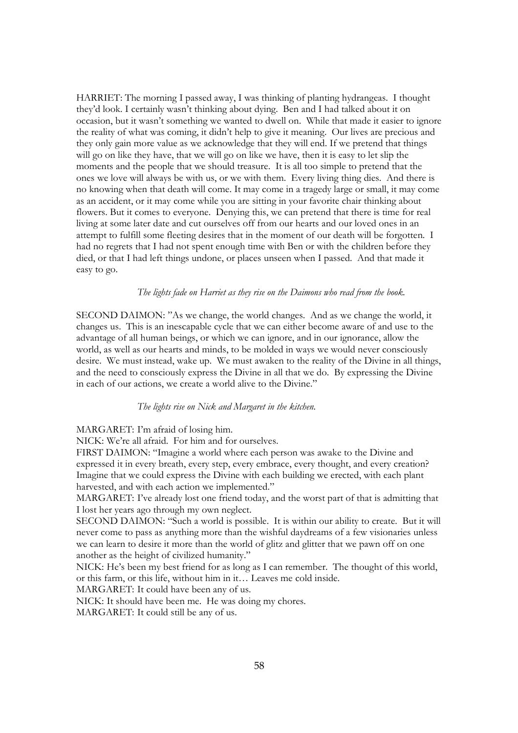HARRIET: The morning I passed away, I was thinking of planting hydrangeas. I thought they'd look. I certainly wasn't thinking about dying. Ben and I had talked about it on occasion, but it wasn't something we wanted to dwell on. While that made it easier to ignore the reality of what was coming, it didn't help to give it meaning. Our lives are precious and they only gain more value as we acknowledge that they will end. If we pretend that things will go on like they have, that we will go on like we have, then it is easy to let slip the moments and the people that we should treasure. It is all too simple to pretend that the ones we love will always be with us, or we with them. Every living thing dies. And there is no knowing when that death will come. It may come in a tragedy large or small, it may come as an accident, or it may come while you are sitting in your favorite chair thinking about flowers. But it comes to everyone. Denying this, we can pretend that there is time for real living at some later date and cut ourselves off from our hearts and our loved ones in an attempt to fulfill some fleeting desires that in the moment of our death will be forgotten. I had no regrets that I had not spent enough time with Ben or with the children before they died, or that I had left things undone, or places unseen when I passed. And that made it easy to go.

# *The lights fade on Harriet as they rise on the Daimons who read from the book.*

SECOND DAIMON: "As we change, the world changes. And as we change the world, it changes us. This is an inescapable cycle that we can either become aware of and use to the advantage of all human beings, or which we can ignore, and in our ignorance, allow the world, as well as our hearts and minds, to be molded in ways we would never consciously desire. We must instead, wake up. We must awaken to the reality of the Divine in all things, and the need to consciously express the Divine in all that we do. By expressing the Divine in each of our actions, we create a world alive to the Divine."

### *The lights rise on Nick and Margaret in the kitchen.*

MARGARET: I'm afraid of losing him.

NICK: We're all afraid. For him and for ourselves.

FIRST DAIMON: "Imagine a world where each person was awake to the Divine and expressed it in every breath, every step, every embrace, every thought, and every creation? Imagine that we could express the Divine with each building we erected, with each plant harvested, and with each action we implemented."

MARGARET: I've already lost one friend today, and the worst part of that is admitting that I lost her years ago through my own neglect.

SECOND DAIMON: "Such a world is possible. It is within our ability to create. But it will never come to pass as anything more than the wishful daydreams of a few visionaries unless we can learn to desire it more than the world of glitz and glitter that we pawn off on one another as the height of civilized humanity."

NICK: He's been my best friend for as long as I can remember. The thought of this world, or this farm, or this life, without him in it… Leaves me cold inside.

MARGARET: It could have been any of us.

NICK: It should have been me. He was doing my chores.

MARGARET: It could still be any of us.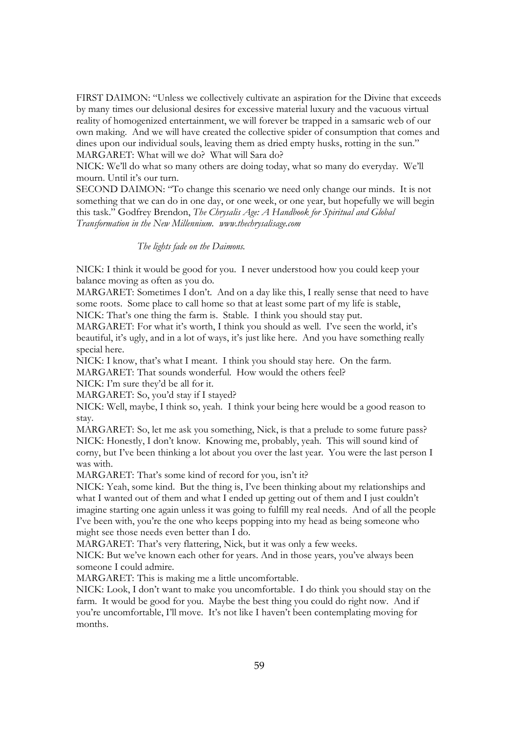FIRST DAIMON: "Unless we collectively cultivate an aspiration for the Divine that exceeds by many times our delusional desires for excessive material luxury and the vacuous virtual reality of homogenized entertainment, we will forever be trapped in a samsaric web of our own making. And we will have created the collective spider of consumption that comes and dines upon our individual souls, leaving them as dried empty husks, rotting in the sun." MARGARET: What will we do? What will Sara do?

NICK: We'll do what so many others are doing today, what so many do everyday. We'll mourn. Until it's our turn.

SECOND DAIMON: "To change this scenario we need only change our minds. It is not something that we can do in one day, or one week, or one year, but hopefully we will begin this task." Godfrey Brendon, *The Chrysalis Age: A Handbook for Spiritual and Global Transformation in the New Millennium. www.thechrysalisage.com*

#### *The lights fade on the Daimons.*

NICK: I think it would be good for you. I never understood how you could keep your balance moving as often as you do.

MARGARET: Sometimes I don't. And on a day like this, I really sense that need to have some roots. Some place to call home so that at least some part of my life is stable, NICK: That's one thing the farm is. Stable. I think you should stay put.

MARGARET: For what it's worth, I think you should as well. I've seen the world, it's

beautiful, it's ugly, and in a lot of ways, it's just like here. And you have something really special here.

NICK: I know, that's what I meant. I think you should stay here. On the farm. MARGARET: That sounds wonderful. How would the others feel?

NICK: I'm sure they'd be all for it.

MARGARET: So, you'd stay if I stayed?

NICK: Well, maybe, I think so, yeah. I think your being here would be a good reason to stay.

MARGARET: So, let me ask you something, Nick, is that a prelude to some future pass? NICK: Honestly, I don't know. Knowing me, probably, yeah. This will sound kind of corny, but I've been thinking a lot about you over the last year. You were the last person I was with.

MARGARET: That's some kind of record for you, isn't it?

NICK: Yeah, some kind. But the thing is, I've been thinking about my relationships and what I wanted out of them and what I ended up getting out of them and I just couldn't imagine starting one again unless it was going to fulfill my real needs. And of all the people I've been with, you're the one who keeps popping into my head as being someone who might see those needs even better than I do.

MARGARET: That's very flattering, Nick, but it was only a few weeks.

NICK: But we've known each other for years. And in those years, you've always been someone I could admire.

MARGARET: This is making me a little uncomfortable.

NICK: Look, I don't want to make you uncomfortable. I do think you should stay on the farm. It would be good for you. Maybe the best thing you could do right now. And if you're uncomfortable, I'll move. It's not like I haven't been contemplating moving for months.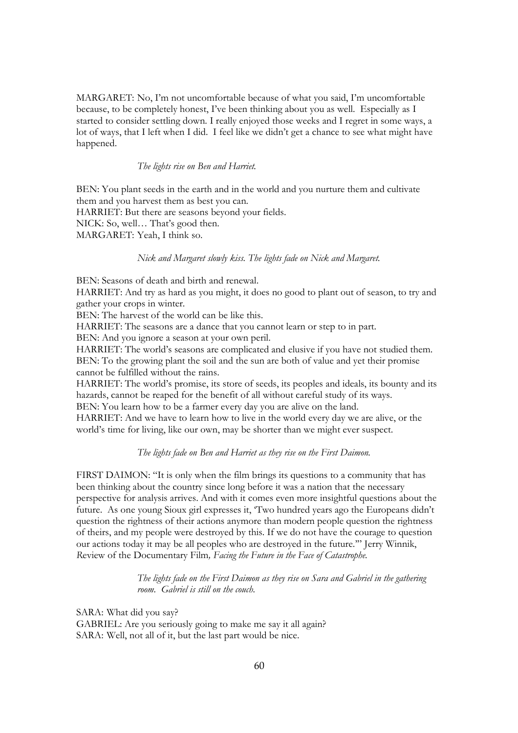MARGARET: No, I'm not uncomfortable because of what you said, I'm uncomfortable because, to be completely honest, I've been thinking about you as well. Especially as I started to consider settling down. I really enjoyed those weeks and I regret in some ways, a lot of ways, that I left when I did. I feel like we didn't get a chance to see what might have happened.

# *The lights rise on Ben and Harriet.*

BEN: You plant seeds in the earth and in the world and you nurture them and cultivate them and you harvest them as best you can.

HARRIET: But there are seasons beyond your fields.

NICK: So, well… That's good then.

MARGARET: Yeah, I think so.

## *Nick and Margaret slowly kiss. The lights fade on Nick and Margaret.*

BEN: Seasons of death and birth and renewal.

HARRIET: And try as hard as you might, it does no good to plant out of season, to try and gather your crops in winter.

BEN: The harvest of the world can be like this.

HARRIET: The seasons are a dance that you cannot learn or step to in part.

BEN: And you ignore a season at your own peril.

HARRIET: The world's seasons are complicated and elusive if you have not studied them. BEN: To the growing plant the soil and the sun are both of value and yet their promise cannot be fulfilled without the rains.

HARRIET: The world's promise, its store of seeds, its peoples and ideals, its bounty and its hazards, cannot be reaped for the benefit of all without careful study of its ways. BEN: You learn how to be a farmer every day you are alive on the land.

HARRIET: And we have to learn how to live in the world every day we are alive, or the world's time for living, like our own, may be shorter than we might ever suspect.

# *The lights fade on Ben and Harriet as they rise on the First Daimon.*

FIRST DAIMON: "It is only when the film brings its questions to a community that has been thinking about the country since long before it was a nation that the necessary perspective for analysis arrives. And with it comes even more insightful questions about the future. As one young Sioux girl expresses it, 'Two hundred years ago the Europeans didn't question the rightness of their actions anymore than modern people question the rightness of theirs, and my people were destroyed by this. If we do not have the courage to question our actions today it may be all peoples who are destroyed in the future.'" Jerry Winnik, *R*eview of the Documentary Film*, Facing the Future in the Face of Catastrophe.*

> *The lights fade on the First Daimon as they rise on Sara and Gabriel in the gathering room. Gabriel is still on the couch.*

SARA: What did you say? GABRIEL: Are you seriously going to make me say it all again? SARA: Well, not all of it, but the last part would be nice.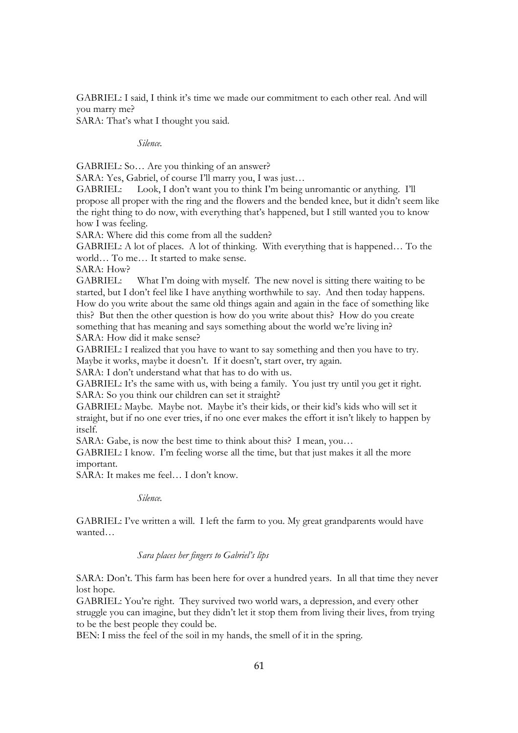GABRIEL: I said, I think it's time we made our commitment to each other real. And will you marry me?

SARA: That's what I thought you said.

*Silence.*

GABRIEL: So… Are you thinking of an answer?

SARA: Yes, Gabriel, of course I'll marry you, I was just...

GABRIEL: Look, I don't want you to think I'm being unromantic or anything. I'll propose all proper with the ring and the flowers and the bended knee, but it didn't seem like the right thing to do now, with everything that's happened, but I still wanted you to know how I was feeling.

SARA: Where did this come from all the sudden?

GABRIEL: A lot of places. A lot of thinking. With everything that is happened… To the world… To me… It started to make sense.

SARA: How?

GABRIEL: What I'm doing with myself. The new novel is sitting there waiting to be started, but I don't feel like I have anything worthwhile to say. And then today happens. How do you write about the same old things again and again in the face of something like this? But then the other question is how do you write about this? How do you create something that has meaning and says something about the world we're living in? SARA: How did it make sense?

GABRIEL: I realized that you have to want to say something and then you have to try. Maybe it works, maybe it doesn't. If it doesn't, start over, try again.

SARA: I don't understand what that has to do with us.

GABRIEL: It's the same with us, with being a family. You just try until you get it right. SARA: So you think our children can set it straight?

GABRIEL: Maybe. Maybe not. Maybe it's their kids, or their kid's kids who will set it straight, but if no one ever tries, if no one ever makes the effort it isn't likely to happen by itself.

SARA: Gabe, is now the best time to think about this? I mean, you…

GABRIEL: I know. I'm feeling worse all the time, but that just makes it all the more important.

SARA: It makes me feel… I don't know.

*Silence.* 

GABRIEL: I've written a will. I left the farm to you. My great grandparents would have wanted…

*Sara places her fingers to Gabriel's lips*

SARA: Don't. This farm has been here for over a hundred years. In all that time they never lost hope.

GABRIEL: You're right. They survived two world wars, a depression, and every other struggle you can imagine, but they didn't let it stop them from living their lives, from trying to be the best people they could be.

BEN: I miss the feel of the soil in my hands, the smell of it in the spring.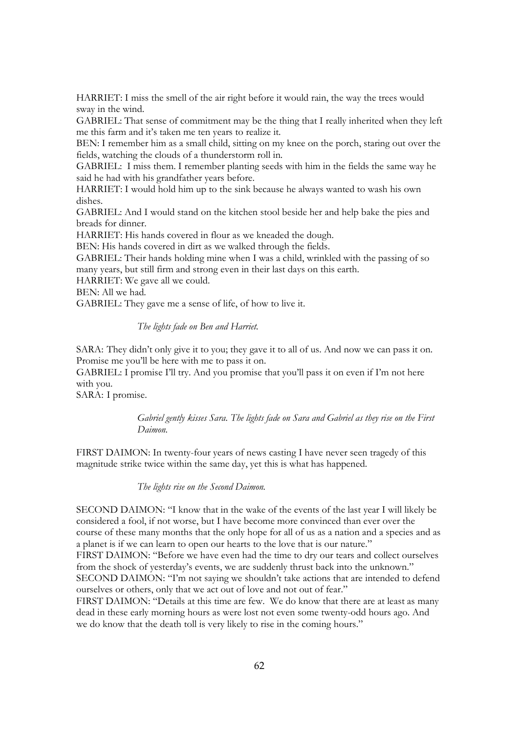HARRIET: I miss the smell of the air right before it would rain, the way the trees would sway in the wind.

GABRIEL: That sense of commitment may be the thing that I really inherited when they left me this farm and it's taken me ten years to realize it.

BEN: I remember him as a small child, sitting on my knee on the porch, staring out over the fields, watching the clouds of a thunderstorm roll in.

GABRIEL: I miss them. I remember planting seeds with him in the fields the same way he said he had with his grandfather years before.

HARRIET: I would hold him up to the sink because he always wanted to wash his own dishes.

GABRIEL: And I would stand on the kitchen stool beside her and help bake the pies and breads for dinner.

HARRIET: His hands covered in flour as we kneaded the dough.

BEN: His hands covered in dirt as we walked through the fields.

GABRIEL: Their hands holding mine when I was a child, wrinkled with the passing of so many years, but still firm and strong even in their last days on this earth.

HARRIET: We gave all we could.

BEN: All we had.

GABRIEL: They gave me a sense of life, of how to live it.

*The lights fade on Ben and Harriet.*

SARA: They didn't only give it to you; they gave it to all of us. And now we can pass it on. Promise me you'll be here with me to pass it on.

GABRIEL: I promise I'll try. And you promise that you'll pass it on even if I'm not here with you.

SARA: I promise.

# *Gabriel gently kisses Sara. The lights fade on Sara and Gabriel as they rise on the First Daimon.*

FIRST DAIMON: In twenty-four years of news casting I have never seen tragedy of this magnitude strike twice within the same day, yet this is what has happened.

*The lights rise on the Second Daimon.*

SECOND DAIMON: "I know that in the wake of the events of the last year I will likely be considered a fool, if not worse, but I have become more convinced than ever over the course of these many months that the only hope for all of us as a nation and a species and as a planet is if we can learn to open our hearts to the love that is our nature." FIRST DAIMON: "Before we have even had the time to dry our tears and collect ourselves from the shock of yesterday's events, we are suddenly thrust back into the unknown." SECOND DAIMON: "I'm not saying we shouldn't take actions that are intended to defend ourselves or others, only that we act out of love and not out of fear."

FIRST DAIMON: "Details at this time are few. We do know that there are at least as many dead in these early morning hours as were lost not even some twenty-odd hours ago. And we do know that the death toll is very likely to rise in the coming hours."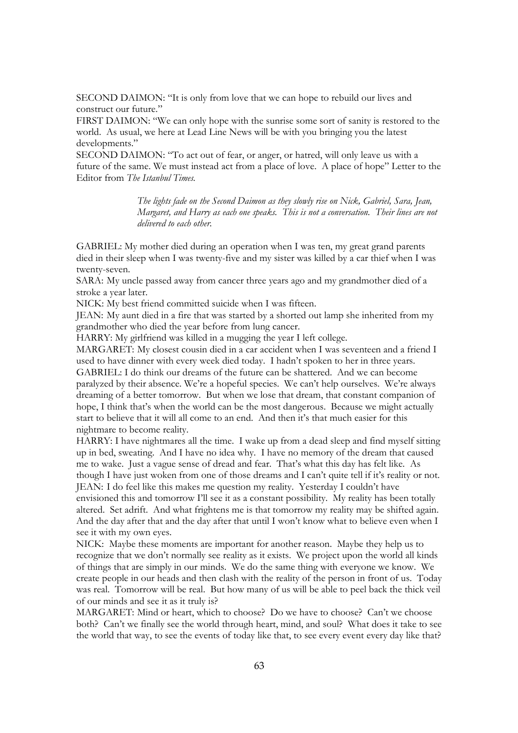SECOND DAIMON: "It is only from love that we can hope to rebuild our lives and construct our future."

FIRST DAIMON: "We can only hope with the sunrise some sort of sanity is restored to the world. As usual, we here at Lead Line News will be with you bringing you the latest developments."

SECOND DAIMON: "To act out of fear, or anger, or hatred, will only leave us with a future of the same. We must instead act from a place of love. A place of hope" Letter to the Editor from *The Istanbul Times.*

> *The lights fade on the Second Daimon as they slowly rise on Nick, Gabriel, Sara, Jean, Margaret, and Harry as each one speaks. This is not a conversation. Their lines are not delivered to each other.*

GABRIEL: My mother died during an operation when I was ten, my great grand parents died in their sleep when I was twenty-five and my sister was killed by a car thief when I was twenty-seven.

SARA: My uncle passed away from cancer three years ago and my grandmother died of a stroke a year later.

NICK: My best friend committed suicide when I was fifteen.

JEAN: My aunt died in a fire that was started by a shorted out lamp she inherited from my grandmother who died the year before from lung cancer.

HARRY: My girlfriend was killed in a mugging the year I left college.

MARGARET: My closest cousin died in a car accident when I was seventeen and a friend I used to have dinner with every week died today. I hadn't spoken to her in three years. GABRIEL: I do think our dreams of the future can be shattered. And we can become paralyzed by their absence. We're a hopeful species. We can't help ourselves. We're always dreaming of a better tomorrow. But when we lose that dream, that constant companion of hope, I think that's when the world can be the most dangerous. Because we might actually start to believe that it will all come to an end. And then it's that much easier for this nightmare to become reality.

HARRY: I have nightmares all the time. I wake up from a dead sleep and find myself sitting up in bed, sweating. And I have no idea why. I have no memory of the dream that caused me to wake. Just a vague sense of dread and fear. That's what this day has felt like. As though I have just woken from one of those dreams and I can't quite tell if it's reality or not. JEAN: I do feel like this makes me question my reality. Yesterday I couldn't have

envisioned this and tomorrow I'll see it as a constant possibility. My reality has been totally altered. Set adrift. And what frightens me is that tomorrow my reality may be shifted again. And the day after that and the day after that until I won't know what to believe even when I see it with my own eyes.

NICK: Maybe these moments are important for another reason. Maybe they help us to recognize that we don't normally see reality as it exists. We project upon the world all kinds of things that are simply in our minds. We do the same thing with everyone we know. We create people in our heads and then clash with the reality of the person in front of us. Today was real. Tomorrow will be real. But how many of us will be able to peel back the thick veil of our minds and see it as it truly is?

MARGARET: Mind or heart, which to choose? Do we have to choose? Can't we choose both? Can't we finally see the world through heart, mind, and soul? What does it take to see the world that way, to see the events of today like that, to see every event every day like that?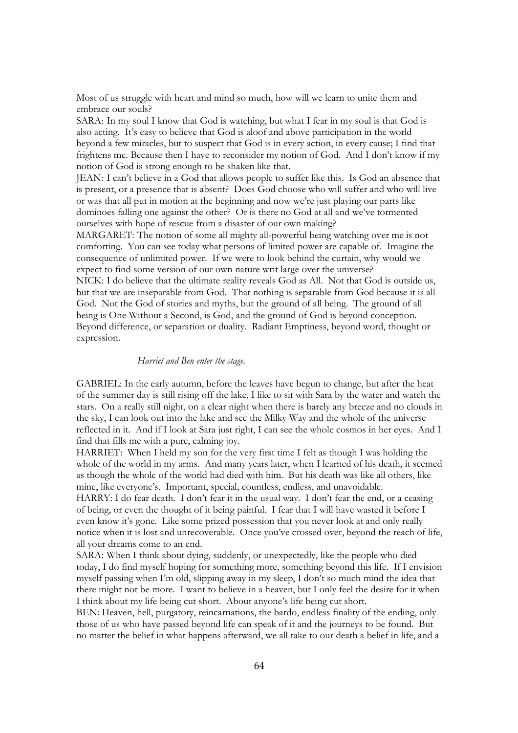Most of us struggle with heart and mind so much, how will we learn to unite them and embrace our souls?

SARA: In my soul I know that God is watching, but what I fear in my soul is that God is also acting. It's easy to believe that God is aloof and above participation in the world beyond a few miracles, but to suspect that God is in every action, in every cause; I find that frightens me. Because then I have to reconsider my notion of God. And I don't know if my notion of God is strong enough to be shaken like that.

JEAN: I can't believe in a God that allows people to suffer like this. Is God an absence that is present, or a presence that is absent? Does God choose who will suffer and who will live or was that all put in motion at the beginning and now we're just playing our parts like dominoes falling one against the other? Or is there no God at all and we've tormented ourselves with hope of rescue from a disaster of our own making?

MARGARET: The notion of some all mighty all-powerful being watching over me is not comforting. You can see today what persons of limited power are capable of. Imagine the consequence of unlimited power. If we were to look behind the curtain, why would we expect to find some version of our own nature writ large over the universe? NICK: I do believe that the ultimate reality reveals God as All. Not that God is outside us,

but that we are inseparable from God. That nothing is separable from God because it is all God. Not the God of stories and myths, but the ground of all being. The ground of all being is One Without a Second, is God, and the ground of God is beyond conception. Beyond difference, or separation or duality. Radiant Emptiness, beyond word, thought or expression.

## *Harriet and Ben enter the stage.*

GABRIEL: In the early autumn, before the leaves have begun to change, but after the heat of the summer day is still rising off the lake, I like to sit with Sara by the water and watch the stars. On a really still night, on a clear night when there is barely any breeze and no clouds in the sky, I can look out into the lake and see the Milky Way and the whole of the universe reflected in it. And if I look at Sara just right, I can see the whole cosmos in her eyes. And I find that fills me with a pure, calming joy.

HARRIET: When I held my son for the very first time I felt as though I was holding the whole of the world in my arms. And many years later, when I learned of his death, it seemed as though the whole of the world had died with him. But his death was like all others, like mine, like everyone's. Important, special, countless, endless, and unavoidable.

HARRY: I do fear death. I don't fear it in the usual way. I don't fear the end, or a ceasing of being, or even the thought of it being painful. I fear that I will have wasted it before I even know it's gone. Like some prized possession that you never look at and only really notice when it is lost and unrecoverable. Once you've crossed over, beyond the reach of life, all your dreams come to an end.

SARA: When I think about dying, suddenly, or unexpectedly, like the people who died today, I do find myself hoping for something more, something beyond this life. If I envision myself passing when I'm old, slipping away in my sleep, I don't so much mind the idea that there might not be more. I want to believe in a heaven, but I only feel the desire for it when I think about my life being cut short. About anyone's life being cut short.

BEN: Heaven, hell, purgatory, reincarnations, the bardo, endless finality of the ending, only those of us who have passed beyond life can speak of it and the journeys to be found. But no matter the belief in what happens afterward, we all take to our death a belief in life, and a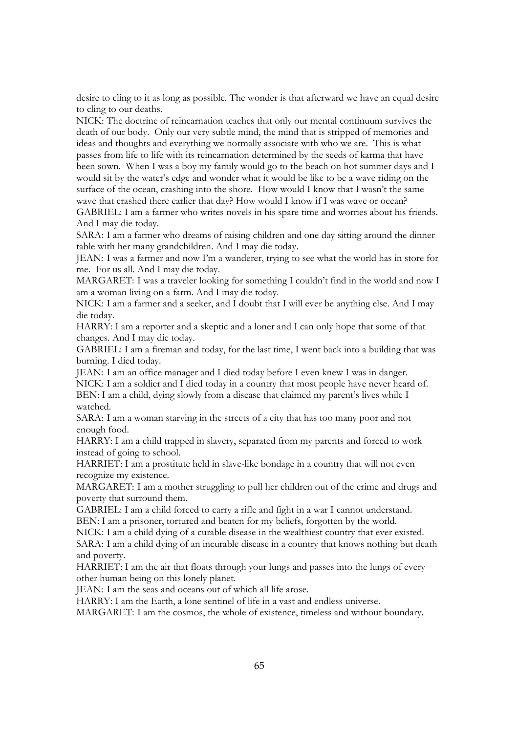desire to cling to it as long as possible. The wonder is that afterward we have an equal desire to cling to our deaths.

NICK: The doctrine of reincarnation teaches that only our mental continuum survives the death of our body. Only our very subtle mind, the mind that is stripped of memories and ideas and thoughts and everything we normally associate with who we are. This is what passes from life to life with its reincarnation determined by the seeds of karma that have been sown. When I was a boy my family would go to the beach on hot summer days and I would sit by the water's edge and wonder what it would be like to be a wave riding on the surface of the ocean, crashing into the shore. How would I know that I wasn't the same wave that crashed there earlier that day? How would I know if I was wave or ocean?

GABRIEL: I am a farmer who writes novels in his spare time and worries about his friends. And I may die today.

SARA: I am a farmer who dreams of raising children and one day sitting around the dinner table with her many grandchildren. And I may die today.

JEAN: I was a farmer and now I'm a wanderer, trying to see what the world has in store for me. For us all. And I may die today.

MARGARET: I was a traveler looking for something I couldn't find in the world and now I am a woman living on a farm. And I may die today.

NICK: I am a farmer and a seeker, and I doubt that I will ever be anything else. And I may die today.

HARRY: I am a reporter and a skeptic and a loner and I can only hope that some of that changes. And I may die today.

GABRIEL: I am a fireman and today, for the last time, I went back into a building that was burning. I died today.

JEAN: I am an office manager and I died today before I even knew I was in danger. NICK: I am a soldier and I died today in a country that most people have never heard of. BEN: I am a child, dying slowly from a disease that claimed my parent's lives while I watched.

SARA: I am a woman starving in the streets of a city that has too many poor and not enough food.

HARRY: I am a child trapped in slavery, separated from my parents and forced to work instead of going to school.

HARRIET: I am a prostitute held in slave-like bondage in a country that will not even recognize my existence.

MARGARET: I am a mother struggling to pull her children out of the crime and drugs and poverty that surround them.

GABRIEL: I am a child forced to carry a rifle and fight in a war I cannot understand. BEN: I am a prisoner, tortured and beaten for my beliefs, forgotten by the world.

NICK: I am a child dying of a curable disease in the wealthiest country that ever existed. SARA: I am a child dying of an incurable disease in a country that knows nothing but death and poverty.

HARRIET: I am the air that floats through your lungs and passes into the lungs of every other human being on this lonely planet.

JEAN: I am the seas and oceans out of which all life arose.

HARRY: I am the Earth, a lone sentinel of life in a vast and endless universe.

MARGARET: I am the cosmos, the whole of existence, timeless and without boundary.